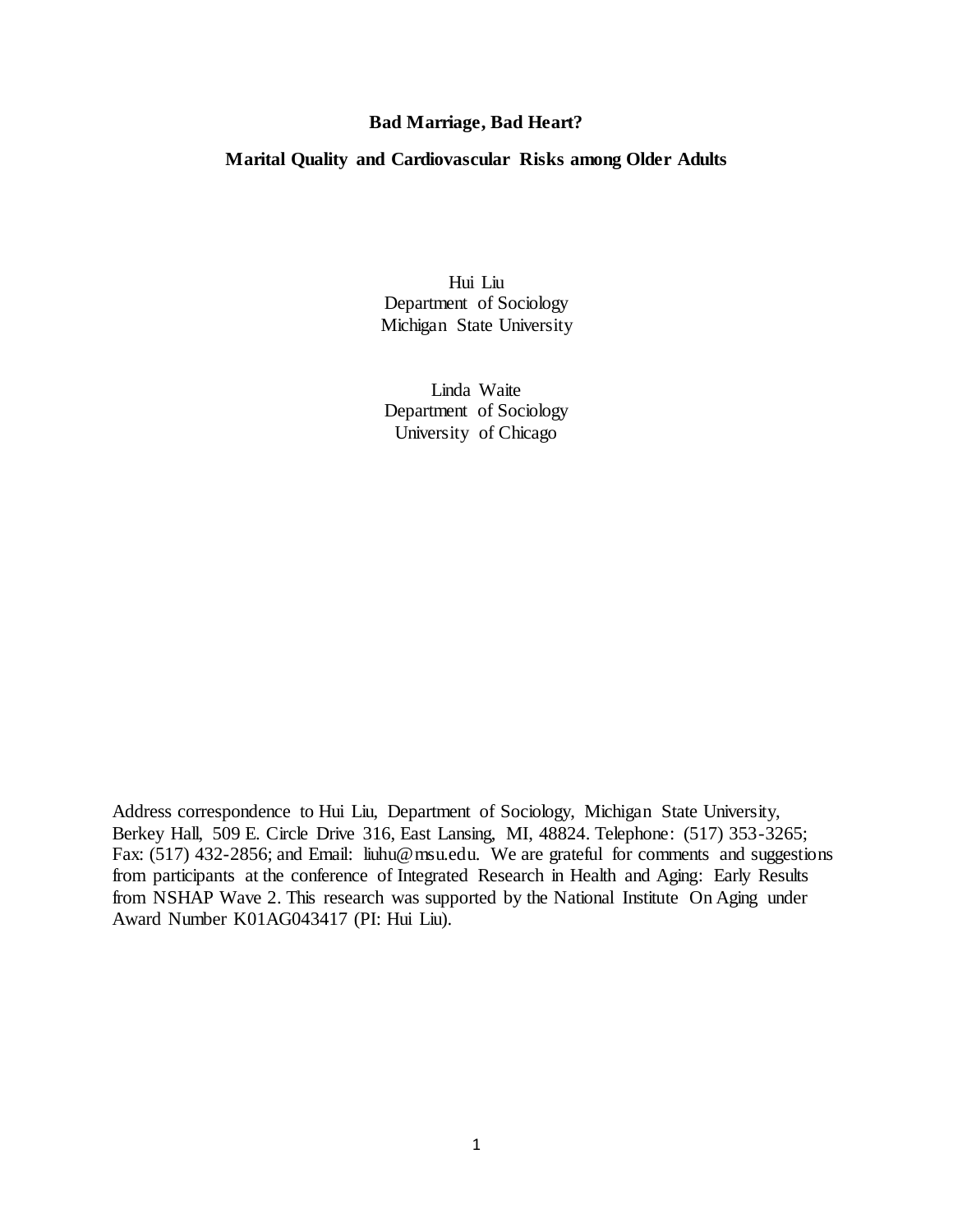# **[Bad Marriage, Bad Heart?](http://www.webmd.com/heart-disease/news/20071008/bad-marriage-bad-heart)**

#### **Marital Quality and Cardiovascular Risks among Older Adults**

Hui Liu Department of Sociology Michigan State University

Linda Waite Department of Sociology University of Chicago

Address correspondence to Hui Liu, Department of Sociology, Michigan State University, Berkey Hall, 509 E. Circle Drive 316, East Lansing, MI, 48824. Telephone: (517) 353-3265; Fax: (517) 432-2856; and Email: [liuhu@msu.edu.](mailto:liuhu@msu.edu) We are grateful for comments and suggestions from participants at the conference of Integrated Research in Health and Aging: Early Results from NSHAP Wave 2. This research was supported by the National Institute On Aging under Award Number K01AG043417 (PI: Hui Liu).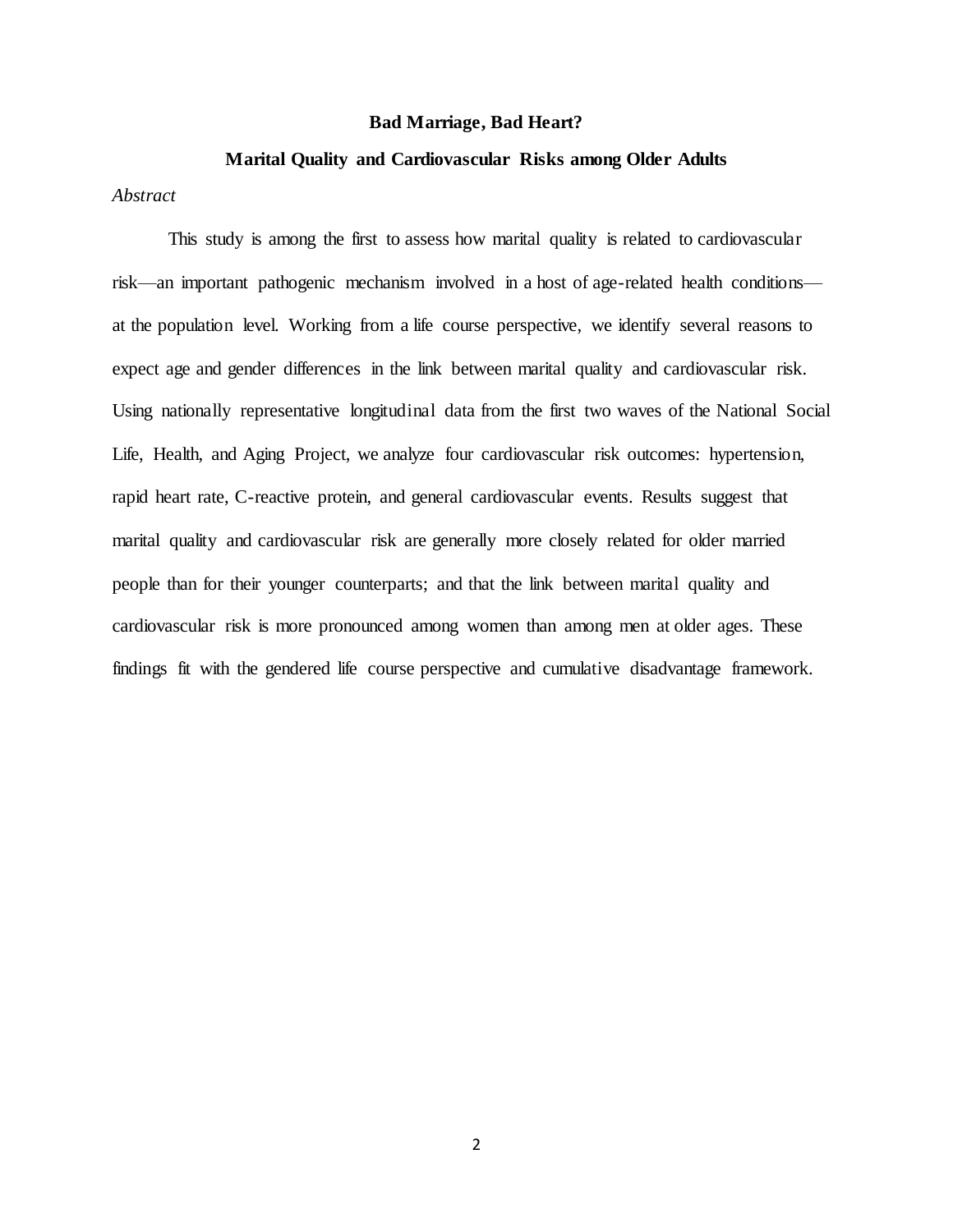## **[Bad Marriage, Bad Heart?](http://www.webmd.com/heart-disease/news/20071008/bad-marriage-bad-heart)**

#### **Marital Quality and Cardiovascular Risks among Older Adults**

### *Abstract*

This study is among the first to assess how marital quality is related to cardiovascular risk—an important pathogenic mechanism involved in a host of age-related health conditions at the population level. Working from a life course perspective, we identify several reasons to expect age and gender differences in the link between marital quality and cardiovascular risk. Using nationally representative longitudinal data from the first two waves of the National Social Life, Health, and Aging Project, we analyze four cardiovascular risk outcomes: hypertension, rapid heart rate, C-reactive protein, and general cardiovascular events. Results suggest that marital quality and cardiovascular risk are generally more closely related for older married people than for their younger counterparts; and that the link between marital quality and cardiovascular risk is more pronounced among women than among men at older ages. These findings fit with the gendered life course perspective and cumulative disadvantage framework.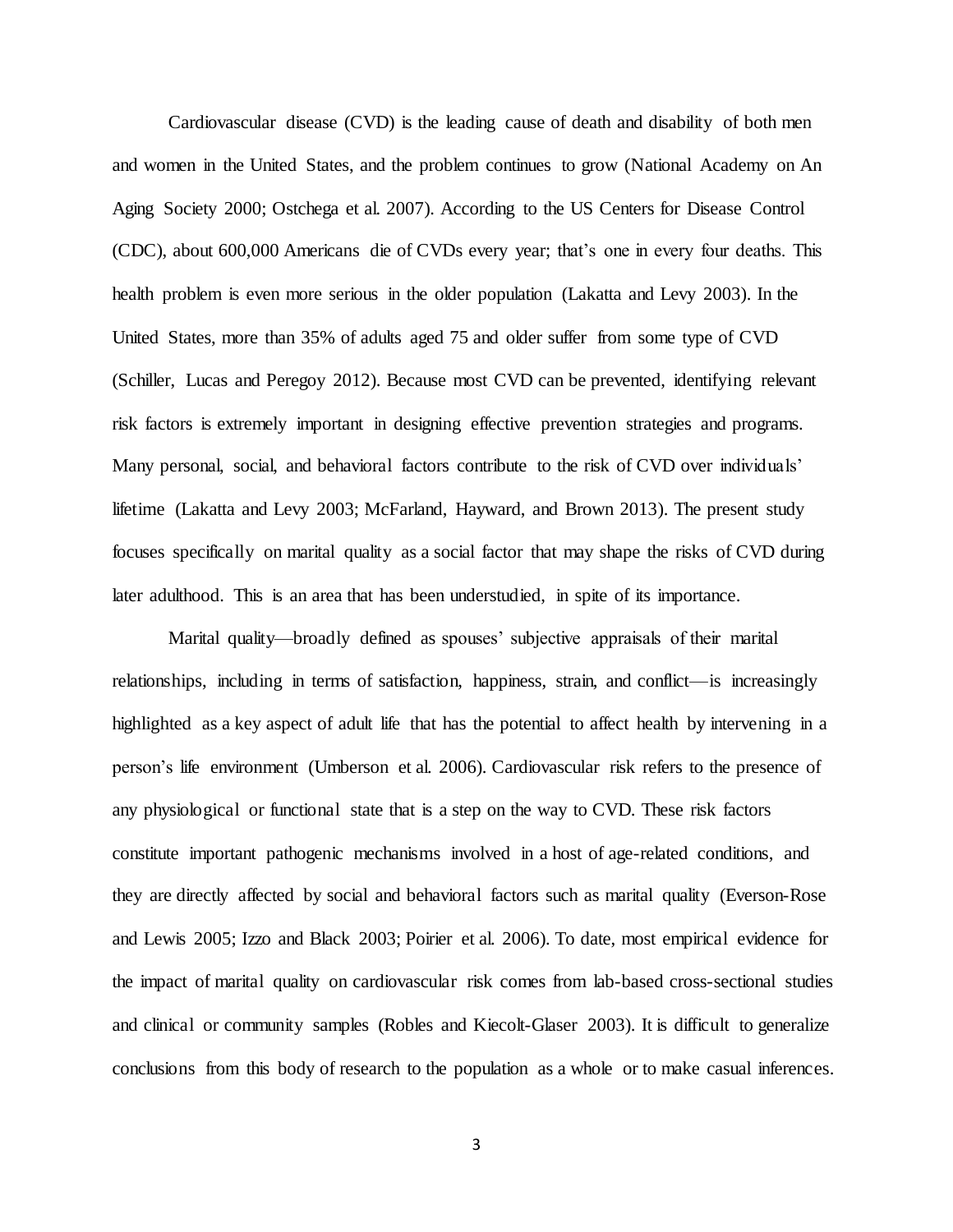Cardiovascular disease (CVD) is the leading cause of death and disability of both men and women in the United States, and the problem continues to grow (National Academy on An Aging Society 2000; Ostchega et al. 2007). According to the US Centers for Disease Control (CDC), about 600,000 Americans die of CVDs every year; that's one in every four deaths. This health problem is even more serious in the older population (Lakatta and Levy 2003). In the United States, more than 35% of adults aged 75 and older suffer from some type of CVD (Schiller, Lucas and Peregoy 2012). Because most CVD can be prevented, identifying relevant risk factors is extremely important in designing effective prevention strategies and programs. Many personal, social, and behavioral factors contribute to the risk of CVD over individuals' lifetime (Lakatta and Levy 2003; McFarland, Hayward, and Brown 2013). The present study focuses specifically on marital quality as a social factor that may shape the risks of CVD during later adulthood. This is an area that has been understudied, in spite of its importance.

Marital quality—broadly defined as spouses' subjective appraisals of their marital relationships, including in terms of satisfaction, happiness, strain, and conflict—is increasingly highlighted as a key aspect of adult life that has the potential to affect health by intervening in a person's life environment (Umberson et al. 2006). Cardiovascular risk refers to the presence of any physiological or functional state that is a step on the way to CVD. These risk factors constitute important pathogenic mechanisms involved in a host of age-related conditions, and they are directly affected by social and behavioral factors such as marital quality (Everson-Rose and Lewis 2005; Izzo and Black 2003; [Poirier](http://circ.ahajournals.org/search?author1=Paul+Poirier&sortspec=date&submit=Submit) et al. 2006). To date, most empirical evidence for the impact of marital quality on cardiovascular risk comes from lab-based cross-sectional studies and clinical or community samples (Robles and Kiecolt-Glaser 2003). It is difficult to generalize conclusions from this body of research to the population as a whole or to make casual inferences.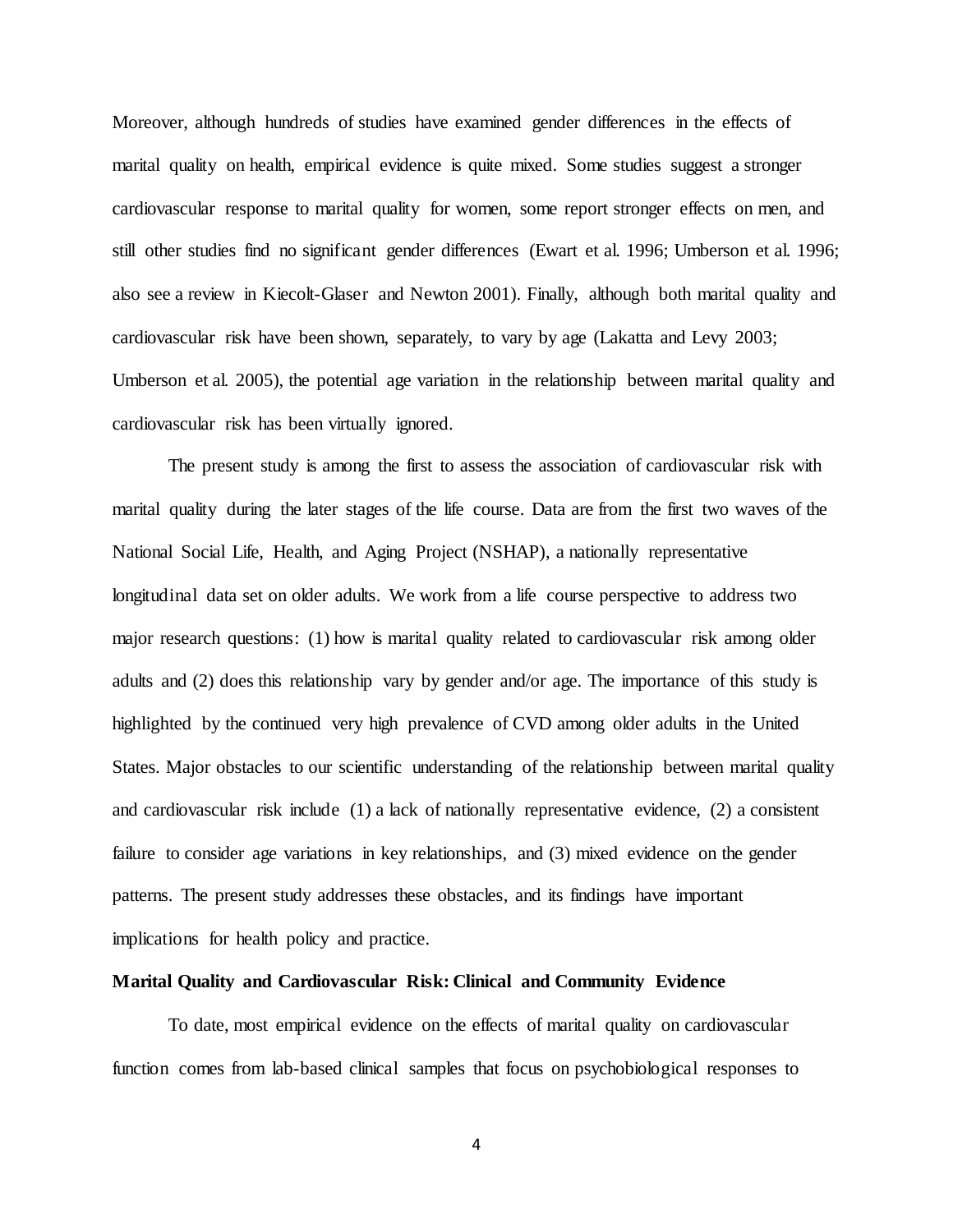Moreover, although hundreds of studies have examined gender differences in the effects of marital quality on health, empirical evidence is quite mixed. Some studies suggest a stronger cardiovascular response to marital quality for women, some report stronger effects on men, and still other studies find no significant gender differences (Ewart et al. 1996; Umberson et al. 1996; also see a review in Kiecolt-Glaser and Newton 2001). Finally, although both marital quality and cardiovascular risk have been shown, separately, to vary by age (Lakatta and Levy 2003; Umberson et al. 2005), the potential age variation in the relationship between marital quality and cardiovascular risk has been virtually ignored.

The present study is among the first to assess the association of cardiovascular risk with marital quality during the later stages of the life course. Data are from the first two waves of the National Social Life, Health, and Aging Project (NSHAP), a nationally representative longitudinal data set on older adults. We work from a life course perspective to address two major research questions: (1) how is marital quality related to cardiovascular risk among older adults and (2) does this relationship vary by gender and/or age. The importance of this study is highlighted by the continued very high prevalence of CVD among older adults in the United States. Major obstacles to our scientific understanding of the relationship between marital quality and cardiovascular risk include (1) a lack of nationally representative evidence, (2) a consistent failure to consider age variations in key relationships, and (3) mixed evidence on the gender patterns. The present study addresses these obstacles, and its findings have important implications for health policy and practice.

#### **Marital Quality and Cardiovascular Risk: Clinical and Community Evidence**

To date, most empirical evidence on the effects of marital quality on cardiovascular function comes from lab-based clinical samples that focus on psychobiological responses to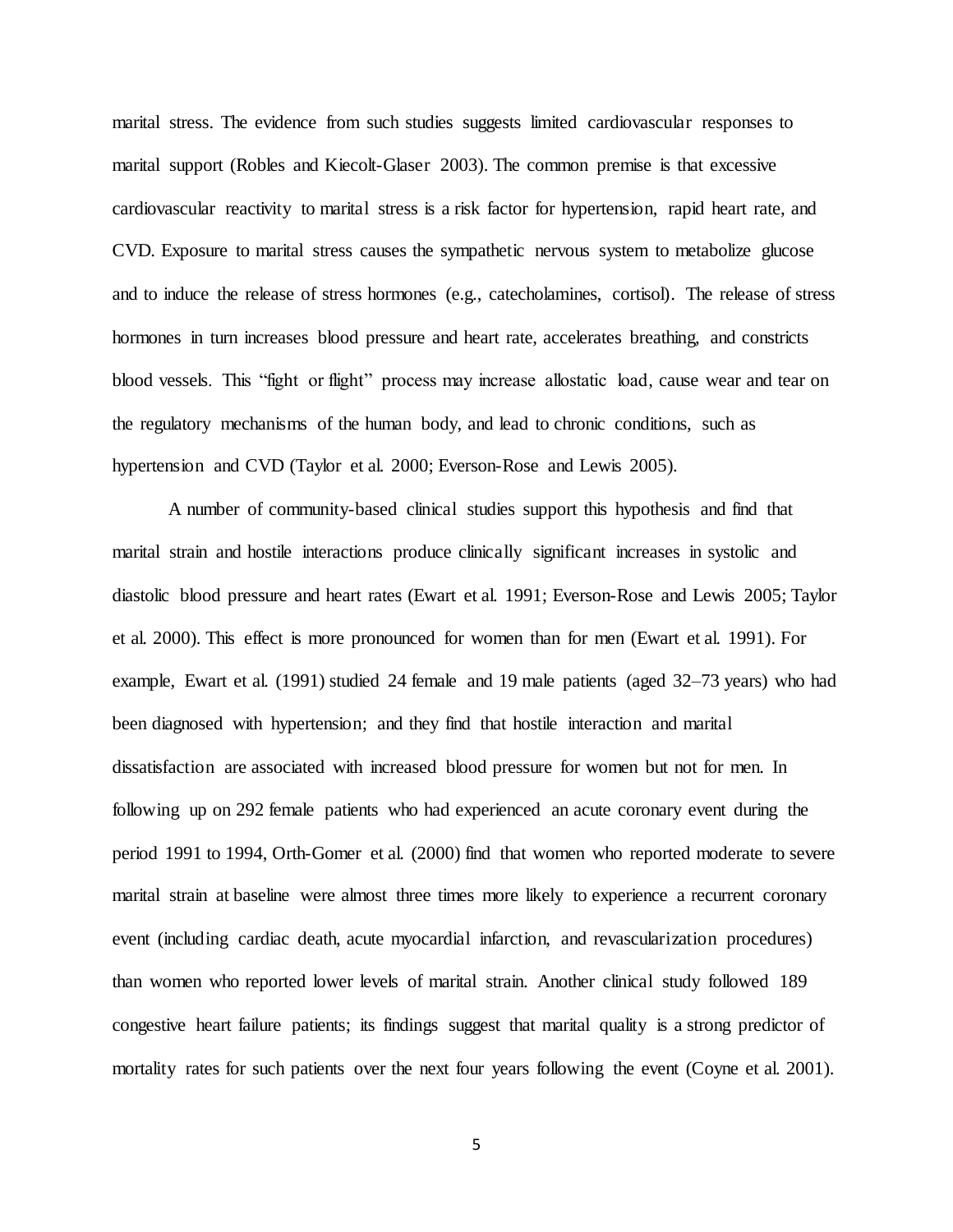marital stress. The evidence from such studies suggests limited cardiovascular responses to marital support (Robles and Kiecolt-Glaser 2003). The common premise is that excessive cardiovascular reactivity to marital stress is a risk factor for hypertension, rapid heart rate, and CVD. Exposure to marital stress causes the sympathetic nervous system to metabolize glucose and to induce the release of stress hormones (e.g., catecholamines, cortisol). The release of stress hormones in turn increases [blood pressure and heart](http://www.google.com/url?sa=t&rct=j&q=catechlomines%20and%20glucocorticoids&source=web&cd=2&ved=0CC4QFjAB&url=http%3A%2F%2Fwww.ncbi.nlm.nih.gov%2Fpmc%2Farticles%2FPMC1153601%2F&ei=2cahTtvdDPGFsAKT2PikBQ&usg=AFQjCNEDClgaRlPMnZ3z95D6e-x-UgEqQg) rate, accelerates breathing, and constricts [blood vessels.](http://www.google.com/url?sa=t&rct=j&q=catechlomines%20and%20glucocorticoids&source=web&cd=2&ved=0CC4QFjAB&url=http%3A%2F%2Fwww.ncbi.nlm.nih.gov%2Fpmc%2Farticles%2FPMC1153601%2F&ei=2cahTtvdDPGFsAKT2PikBQ&usg=AFQjCNEDClgaRlPMnZ3z95D6e-x-UgEqQg) This "fight or flight" process may increase allostatic load, cause wear and tear on the regulatory mechanisms of the human body, and lead to chronic conditions, such as hypertension and CVD (Taylor et al. 2000; Everson-Rose and Lewis 2005).

A number of community-based clinical studies support this hypothesis and find that marital strain and hostile interactions produce clinically significant increases in systolic and diastolic blood pressure and heart rates (Ewart et al. 1991; Everson-Rose and Lewis 2005; Taylor et al. 2000). This effect is more pronounced for women than for men (Ewart et al. 1991). For example, Ewart et al. (1991) studied 24 female and 19 male patients (aged 32–73 years) who had been diagnosed with hypertension; and they find that hostile interaction and marital dissatisfaction are associated with increased blood pressure for women but not for men. In following up on 292 female patients who had experienced an acute coronary event during the period 1991 to 1994, Orth-Gomer et al. (2000) find that women who reported moderate to severe marital strain at baseline were almost three times more likely to experience a recurrent coronary event (including cardiac death, acute myocardial infarction, and revascularization procedures) than women who reported lower levels of marital strain. Another clinical study followed 189 congestive heart failure patients; its findings suggest that marital quality is a strong predictor of mortality rates for such patients over the next four years following the event (Coyne et al. 2001).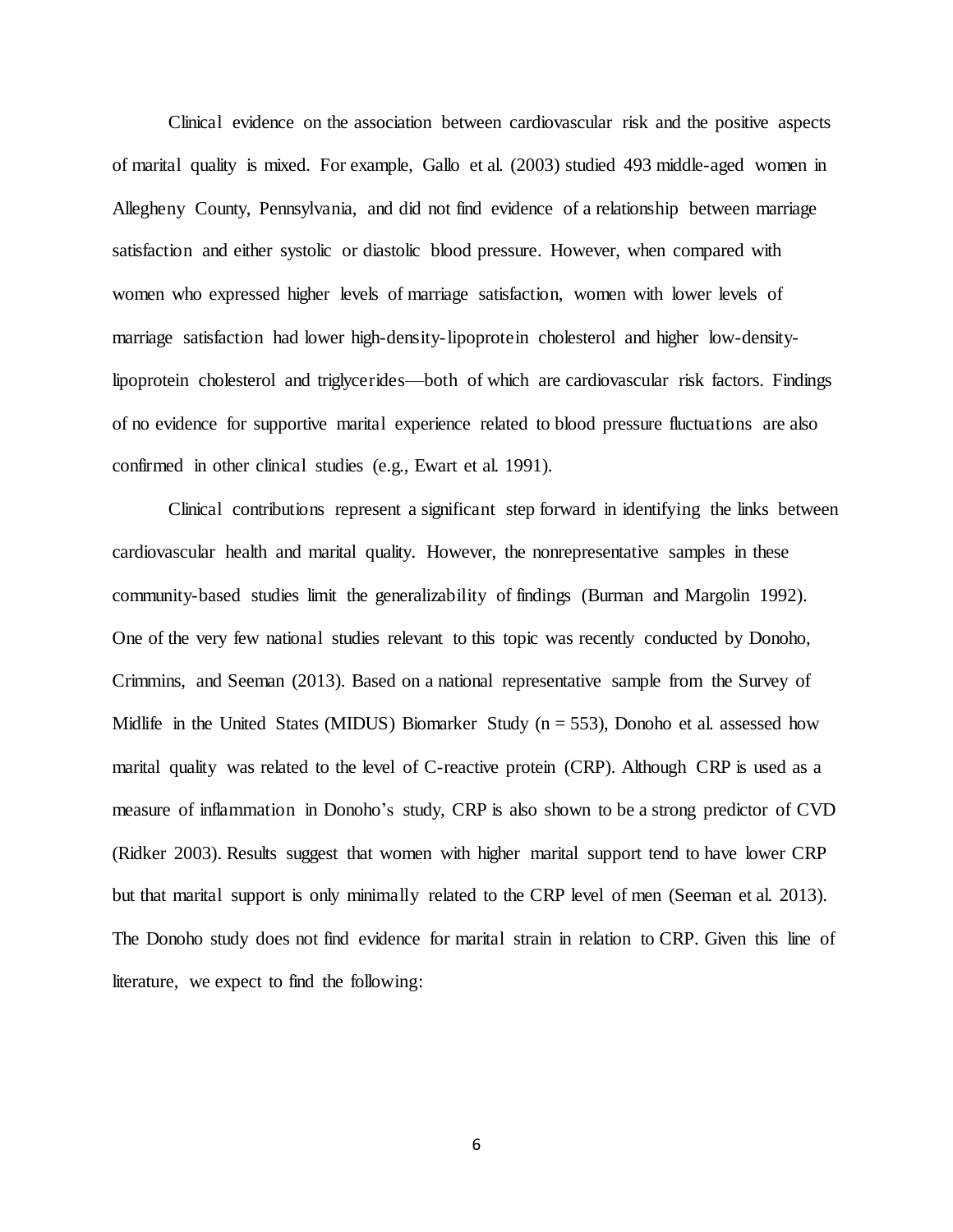Clinical evidence on the association between cardiovascular risk and the positive aspects of marital quality is mixed. For example, Gallo et al. (2003) studied 493 middle-aged women in Allegheny County, Pennsylvania, and did not find evidence of a relationship between marriage satisfaction and either systolic or diastolic blood pressure. However, when compared with women who expressed higher levels of marriage satisfaction, women with lower levels of marriage satisfaction had lower high-density-lipoprotein cholesterol and higher low-densitylipoprotein cholesterol and triglycerides—both of which are cardiovascular risk factors. Findings of no evidence for supportive marital experience related to blood pressure fluctuations are also confirmed in other clinical studies (e.g., Ewart et al. 1991).

Clinical contributions represent a significant step forward in identifying the links between cardiovascular health and marital quality. However, the nonrepresentative samples in these community-based studies limit the generalizability of findings (Burman and Margolin 1992). One of the very few national studies relevant to this topic was recently conducted by Donoho, Crimmins, and Seeman (2013). Based on a national representative sample from the Survey of Midlife in the United States (MIDUS) Biomarker Study ( $n = 553$ ), Donoho et al. assessed how marital quality was related to the level of C-reactive protein (CRP). Although CRP is used as a measure of inflammation in Donoho's study, CRP is also shown to be a strong predictor of CVD (Ridker 2003). Results suggest that women with higher marital support tend to have lower CRP but that marital support is only minimally related to the CRP level of men (Seeman et al. 2013). The Donoho study does not find evidence for marital strain in relation to CRP. Given this line of literature, we expect to find the following: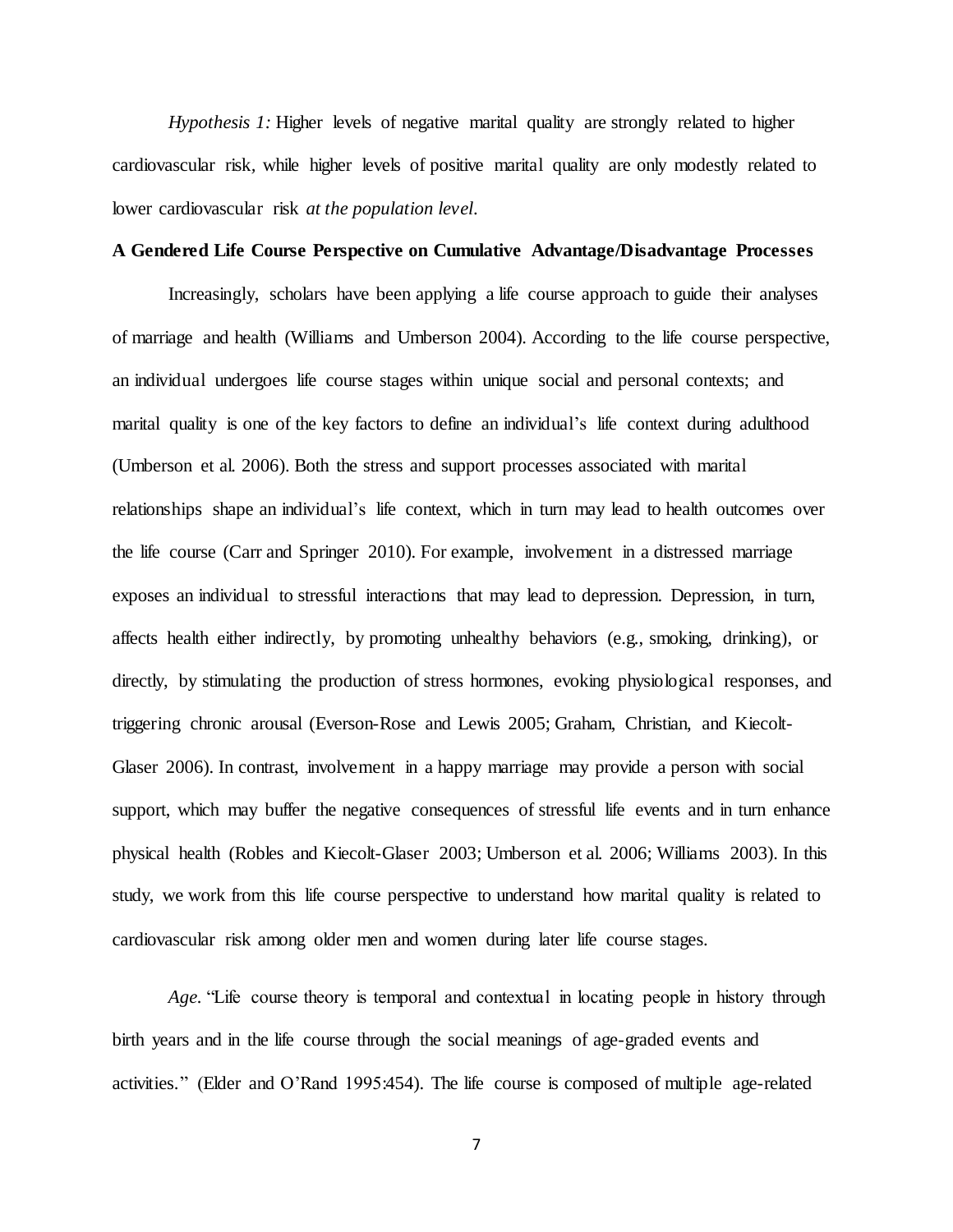*Hypothesis 1:* Higher levels of negative marital quality are strongly related to higher cardiovascular risk*,* while higher levels of positive marital quality are only modestly related to lower cardiovascular risk *at the population level*.

#### **A Gendered Life Course Perspective on Cumulative Advantage/Disadvantage Processes**

Increasingly, scholars have been applying a life course approach to guide their analyses of marriage and health (Williams and Umberson 2004). According to the life course perspective, an individual undergoes life course stages within unique social and personal contexts; and marital quality is one of the key factors to define an individual's life context during adulthood (Umberson et al. 2006). Both the stress and support processes associated with marital relationships shape an individual's life context, which in turn may lead to health outcomes over the life course (Carr and Springer 2010). For example, involvement in a distressed marriage exposes an individual to stressful interactions that may lead to depression. Depression, in turn, affects health either indirectly, by promoting unhealthy behaviors (e.g., smoking, drinking), or directly, by stimulating the production of stress hormones, evoking physiological responses, and triggering chronic arousal (Everson-Rose and Lewis 2005; Graham, Christian, and Kiecolt-Glaser 2006). In contrast, involvement in a happy marriage may provide a person with social support, which may buffer the negative consequences of stressful life events and in turn enhance physical health (Robles and Kiecolt-Glaser 2003; Umberson et al. 2006; Williams 2003). In this study, we work from this life course perspective to understand how marital quality is related to cardiovascular risk among older men and women during later life course stages.

*Age.* "Life course theory is temporal and contextual in locating people in history through birth years and in the life course through the social meanings of age-graded events and activities." (Elder and O'Rand 1995:454). The life course is composed of multiple age-related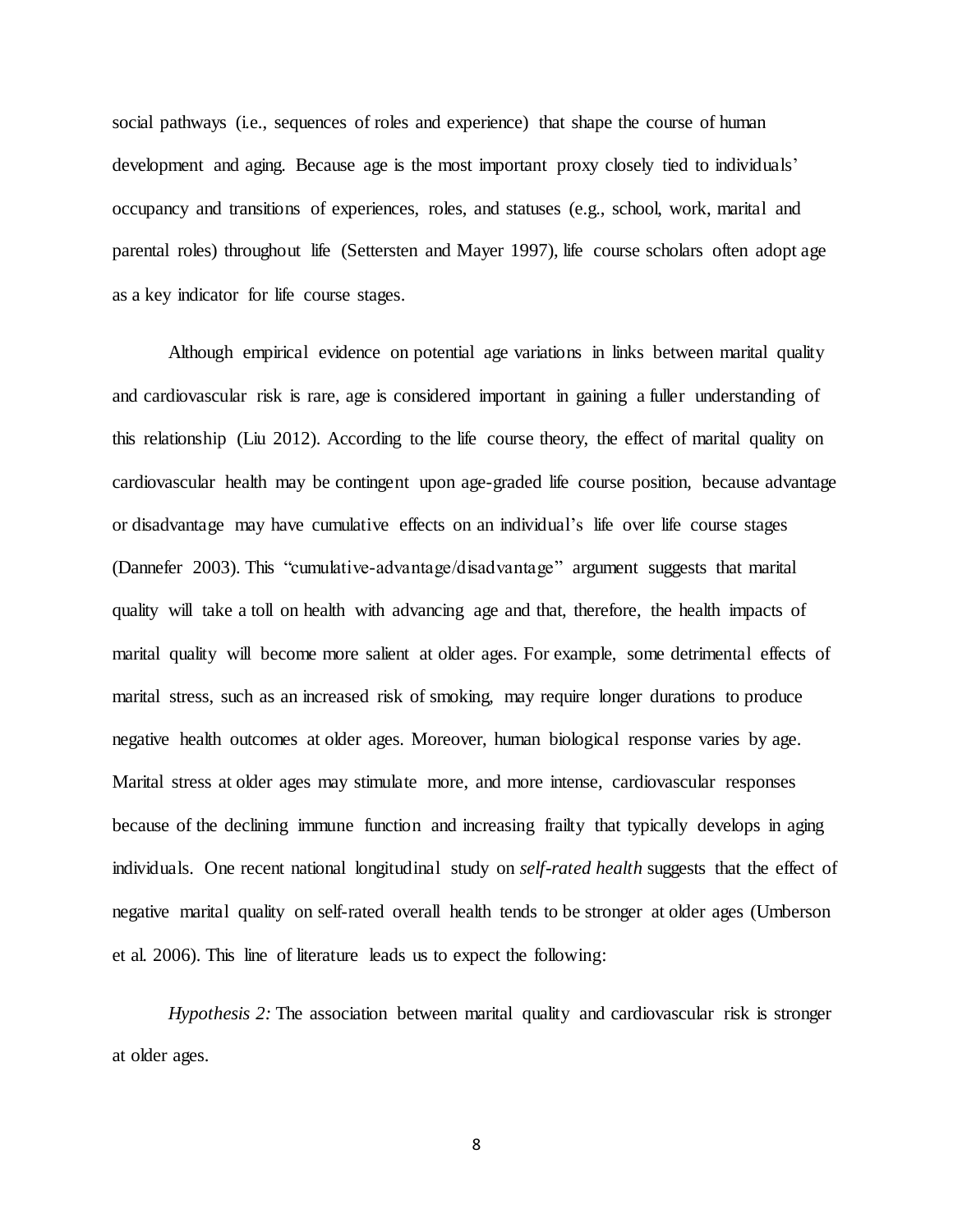social pathways (i.e., sequences of roles and experience) that shape the course of human development and aging. Because age is the most important proxy closely tied to individuals' occupancy and transitions of experiences, roles, and statuses (e.g., school, work, marital and parental roles) throughout life (Settersten and Mayer 1997), life course scholars often adopt age as a key indicator for life course stages.

Although empirical evidence on potential age variations in links between marital quality and cardiovascular risk is rare, age is considered important in gaining a fuller understanding of this relationship (Liu 2012). According to the life course theory, the effect of marital quality on cardiovascular health may be contingent upon age-graded life course position, because advantage or disadvantage may have cumulative effects on an individual's life over life course stages (Dannefer 2003). This "cumulative-advantage/disadvantage" argument suggests that marital quality will take a toll on health with advancing age and that, therefore, the health impacts of marital quality will become more salient at older ages. For example, some detrimental effects of marital stress, such as an increased risk of smoking, may require longer durations to produce negative health outcomes at older ages. Moreover, human biological response varies by age. Marital stress at older ages may stimulate more, and more intense, cardiovascular responses because of the declining immune function and increasing frailty that typically develops in aging individuals. One recent national longitudinal study on *self-rated health* suggests that the effect of negative marital quality on self-rated overall health tends to be stronger at older ages (Umberson et al. 2006). This line of literature leads us to expect the following:

*Hypothesis 2:* The association between marital quality and cardiovascular risk is stronger at older ages.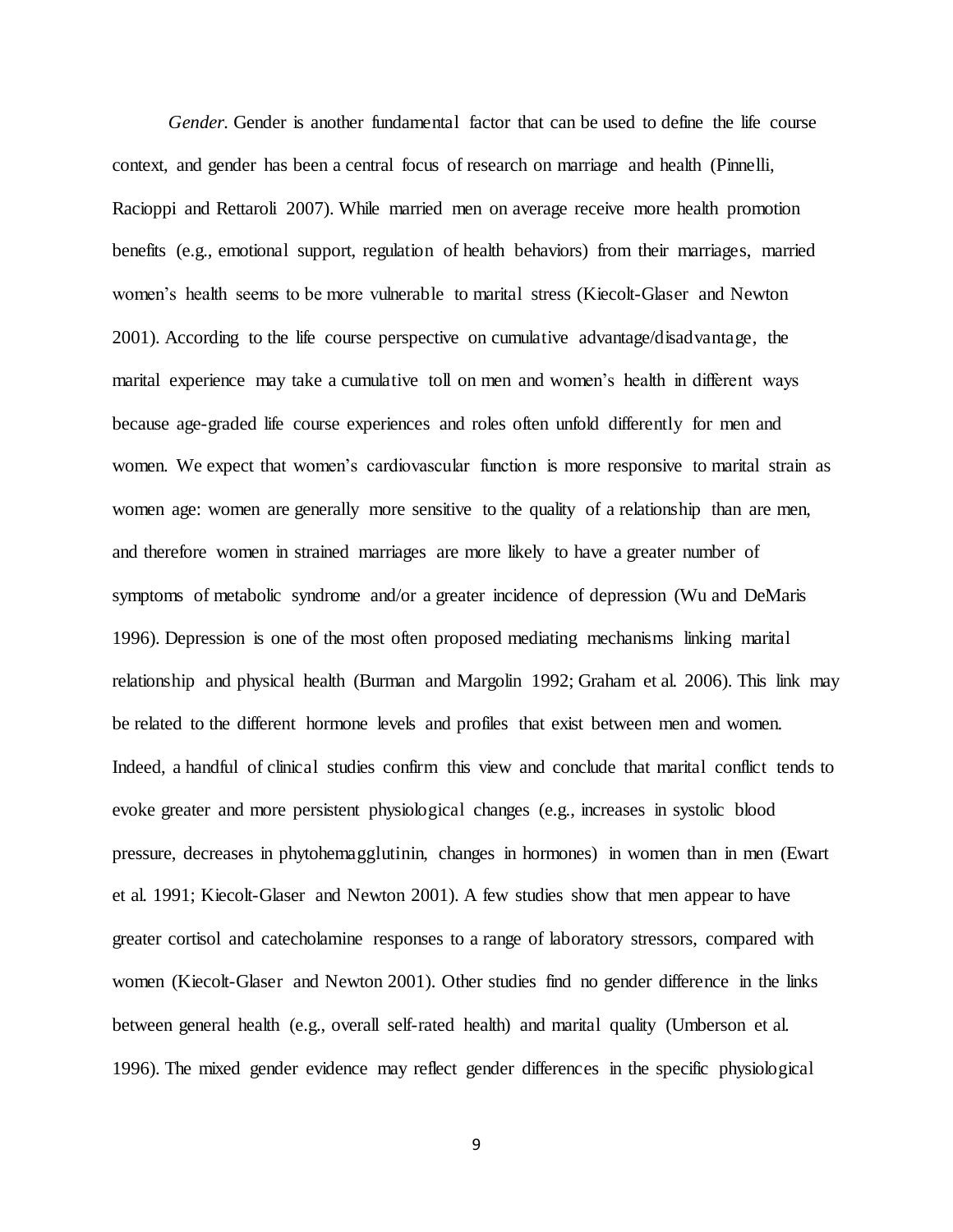*Gender.* Gender is another fundamental factor that can be used to define the life course context, and gender has been a central focus of research on marriage and health (Pinnelli, Racioppi and Rettaroli 2007). While married men on average receive more health promotion benefits (e.g., emotional support, regulation of health behaviors) from their marriages, married women's health seems to be more vulnerable to marital stress (Kiecolt-Glaser and Newton 2001). According to the life course perspective on cumulative advantage/disadvantage, the marital experience may take a cumulative toll on men and women's health in different ways because age-graded life course experiences and roles often unfold differently for men and women. We expect that women's cardiovascular function is more responsive to marital strain as women age: women are generally more sensitive to the quality of a relationship than are men, and therefore women in strained marriages are more likely to have a greater number of symptoms of metabolic syndrome and/or a greater incidence of depression (Wu and [DeMaris](http://link.springer.com/search?facet-author=%22Alfred+DeMaris%22) 1996). Depression is one of the most often proposed mediating mechanisms linking marital relationship and physical health (Burman and Margolin 1992; Graham et al. 2006). This link may be related to the different hormone levels and profiles that exist between men and women. Indeed, a handful of clinical studies confirm this view and conclude that marital conflict tends to evoke greater and more persistent physiological changes (e.g., increases in systolic blood pressure, decreases in phytohemagglutinin, changes in hormones) in women than in men (Ewart et al. 1991; Kiecolt-Glaser and Newton 2001). A few studies show that men appear to have greater cortisol and catecholamine responses to a range of laboratory stressors, compared with women (Kiecolt-Glaser and Newton 2001). Other studies find no gender difference in the links between general health (e.g., overall self-rated health) and marital quality (Umberson et al. 1996). The mixed gender evidence may reflect gender differences in the specific physiological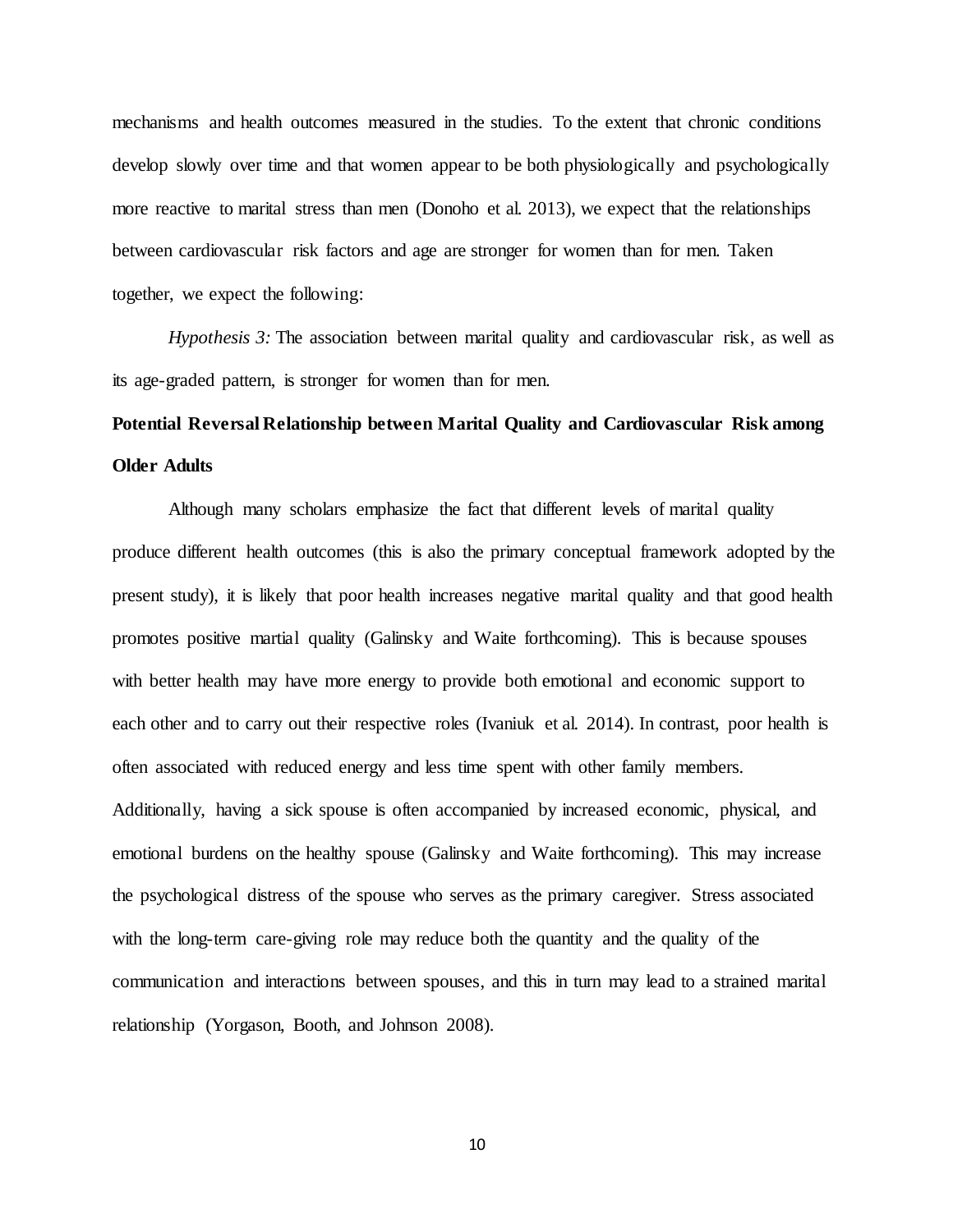mechanisms and health outcomes measured in the studies. To the extent that chronic conditions develop slowly over time and that women appear to be both physiologically and psychologically more reactive to marital stress than men (Donoho et al. 2013), we expect that the relationships between cardiovascular risk factors and age are stronger for women than for men. Taken together, we expect the following:

*Hypothesis 3:* The association between marital quality and cardiovascular risk, as well as its age-graded pattern, is stronger for women than for men.

# **Potential Reversal Relationship between Marital Quality and Cardiovascular Risk among Older Adults**

Although many scholars emphasize the fact that different levels of marital quality produce different health outcomes (this is also the primary conceptual framework adopted by the present study), it is likely that poor health increases negative marital quality and that good health promotes positive martial quality (Galinsky and Waite forthcoming). This is because spouses with better health may have more energy to provide both emotional and economic support to each other and to carry out their respective roles (Ivaniuk et al. 2014). In contrast, poor health is often associated with reduced energy and less time spent with other family members. Additionally, having a sick spouse is often accompanied by increased economic, physical, and emotional burdens on the healthy spouse (Galinsky and Waite forthcoming). This may increase the psychological distress of the spouse who serves as the primary caregiver. Stress associated with the long-term care-giving role may reduce both the quantity and the quality of the communication and interactions between spouses, and this in turn may lead to a strained marital relationship (Yorgason, Booth, and Johnson 2008).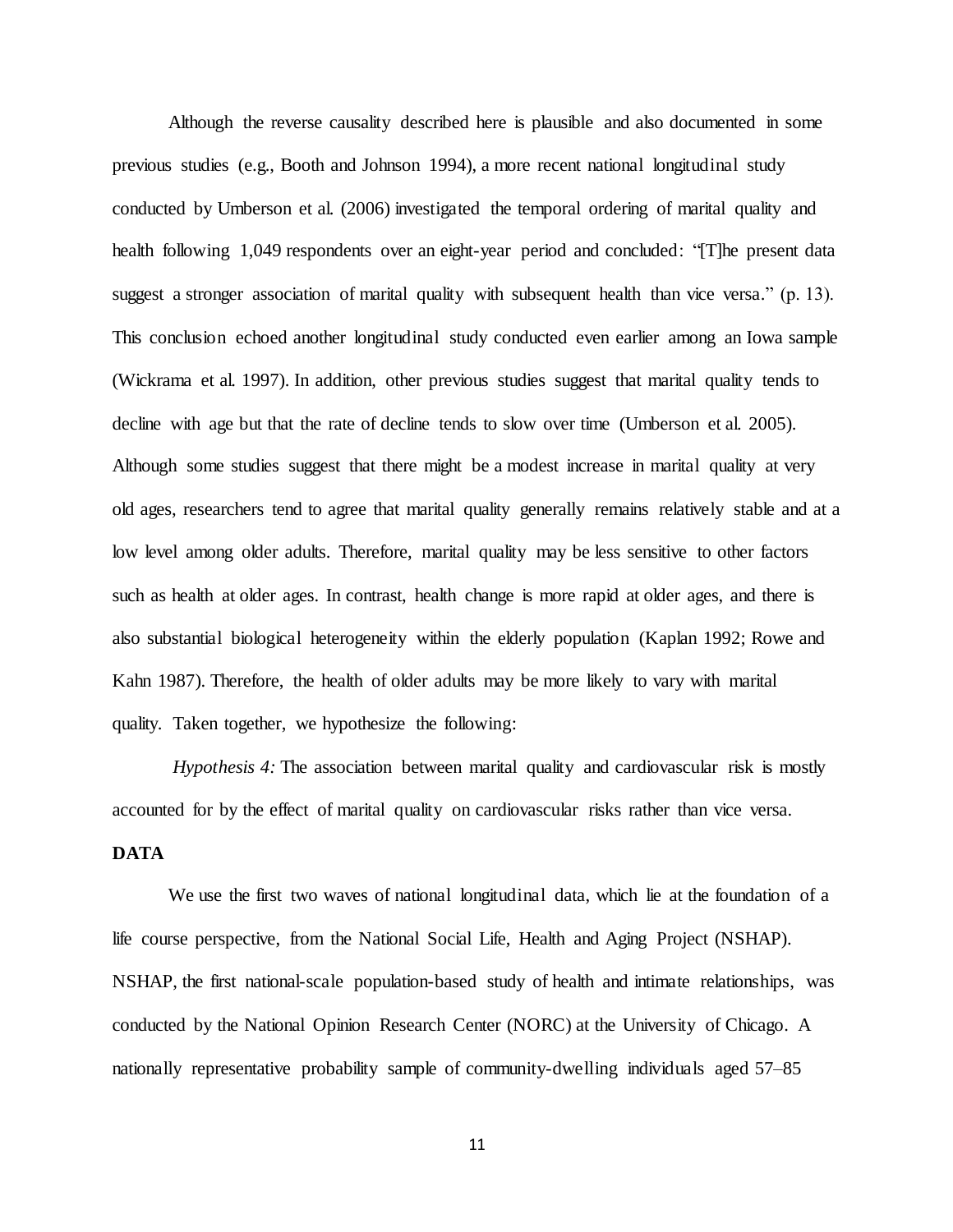Although the reverse causality described here is plausible and also documented in some previous studies (e.g., Booth and Johnson 1994), a more recent national longitudinal study conducted by Umberson et al. (2006) investigated the temporal ordering of marital quality and health following 1,049 respondents over an eight-year period and concluded: "[T]he present data suggest a stronger association of marital quality with subsequent health than vice versa." (p. 13). This conclusion echoed another longitudinal study conducted even earlier among an Iowa sample (Wickrama et al. 1997). In addition, other previous studies suggest that marital quality tends to decline with age but that the rate of decline tends to slow over time (Umberson et al. 2005). Although some studies suggest that there might be a modest increase in marital quality at very old ages, researchers tend to agree that marital quality generally remains relatively stable and at a low level among older adults. Therefore, marital quality may be less sensitive to other factors such as health at older ages. In contrast, health change is more rapid at older ages, and there is also substantial biological heterogeneity within the elderly population (Kaplan 1992; Rowe and Kahn 1987). Therefore, the health of older adults may be more likely to vary with marital quality. Taken together, we hypothesize the following:

*Hypothesis 4:* The association between marital quality and cardiovascular risk is mostly accounted for by the effect of marital quality on cardiovascular risks rather than vice versa.

## **DATA**

We use the first two waves of national longitudinal data, which lie at the foundation of a life course perspective, from the National Social Life, Health and Aging Project (NSHAP). NSHAP, the first national-scale population-based study of health and intimate relationships, was conducted by the National Opinion Research Center (NORC) at the University of Chicago. A nationally representative probability sample of community-dwelling individuals aged 57–85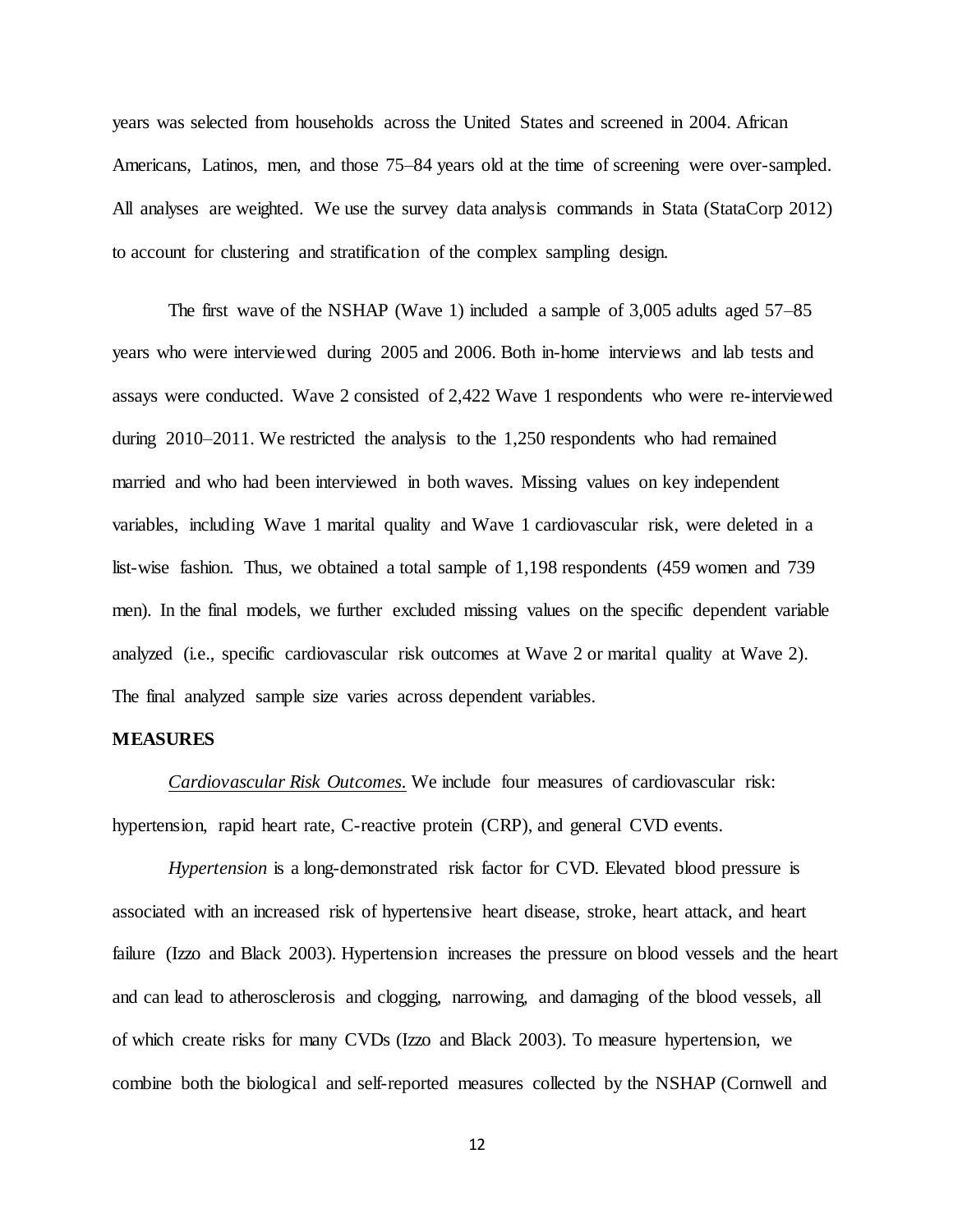years was selected from households across the United States and screened in 2004. African Americans, Latinos, men, and those 75–84 years old at the time of screening were over-sampled. All analyses are weighted. We use the survey data analysis commands in Stata (StataCorp 2012) to account for clustering and stratification of the complex sampling design.

The first wave of the NSHAP (Wave 1) included a sample of 3,005 adults aged 57–85 years who were interviewed during 2005 and 2006. Both in-home interviews and lab tests and assays were conducted. Wave 2 consisted of 2,422 Wave 1 respondents who were re-interviewed during 2010–2011. We restricted the analysis to the 1,250 respondents who had remained married and who had been interviewed in both waves. Missing values on key independent variables, including Wave 1 marital quality and Wave 1 cardiovascular risk, were deleted in a list-wise fashion. Thus, we obtained a total sample of 1,198 respondents (459 women and 739 men). In the final models, we further excluded missing values on the specific dependent variable analyzed (i.e., specific cardiovascular risk outcomes at Wave 2 or marital quality at Wave 2). The final analyzed sample size varies across dependent variables.

## **MEASURES**

*Cardiovascular Risk Outcomes.* We include four measures of cardiovascular risk: hypertension, rapid heart rate, C-reactive protein (CRP), and general CVD events.

*Hypertension* is a long-demonstrated risk factor for CVD. Elevated blood pressure is associated with an increased risk of hypertensive heart disease, stroke, heart attack, and heart failure (Izzo and Black 2003). Hypertension increases the pressure on blood vessels and the heart and can lead to atherosclerosis and clogging, narrowing, and damaging of the blood vessels, all of which create risks for many CVDs (Izzo and Black 2003). To measure hypertension, we combine both the biological and self-reported measures collected by the NSHAP (Cornwell and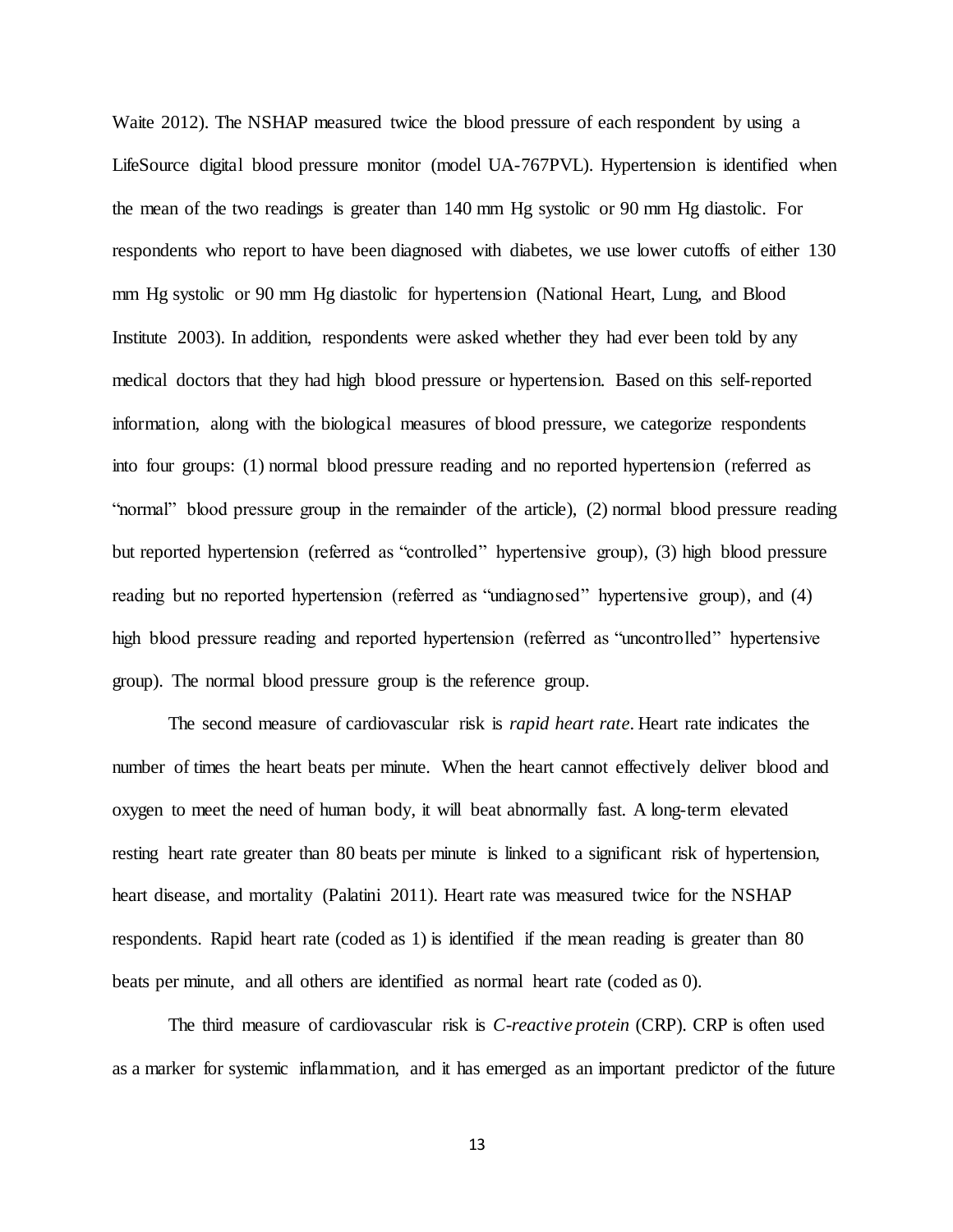Waite 2012). The NSHAP measured twice the blood pressure of each respondent by using a LifeSource digital blood pressure monitor (model UA-767PVL). Hypertension is identified when the mean of the two readings is greater than 140 mm Hg systolic or 90 mm Hg diastolic. For respondents who report to have been diagnosed with diabetes, we use lower cutoffs of either 130 mm Hg systolic or 90 mm Hg diastolic for hypertension (National Heart, Lung, and Blood Institute 2003). In addition, respondents were asked whether they had ever been told by any medical doctors that they had high blood pressure or hypertension. Based on this self-reported information, along with the biological measures of blood pressure, we categorize respondents into four groups: (1) normal blood pressure reading and no reported hypertension (referred as "normal" blood pressure group in the remainder of the article), (2) normal blood pressure reading but reported hypertension (referred as "controlled" hypertensive group), (3) high blood pressure reading but no reported hypertension (referred as "undiagnosed" hypertensive group), and (4) high blood pressure reading and reported hypertension (referred as "uncontrolled" hypertensive group). The normal blood pressure group is the reference group.

The second measure of cardiovascular risk is *rapid heart rate*. Heart rate indicates the number of times the heart beats per minute. When the heart cannot effectively deliver blood and oxygen to meet the need of human body, it will beat abnormally fast. A long-term elevated resting heart rate greater than 80 beats per minute is linked to a significant risk of hypertension, heart disease, and mortality (Palatini 2011). Heart rate was measured twice for the NSHAP respondents. Rapid heart rate (coded as 1) is identified if the mean reading is greater than 80 beats per minute, and all others are identified as normal heart rate (coded as 0).

The third measure of cardiovascular risk is *C-reactive protein* (CRP). CRP is often used as a marker for systemic inflammation, and it has emerged as an important predictor of the future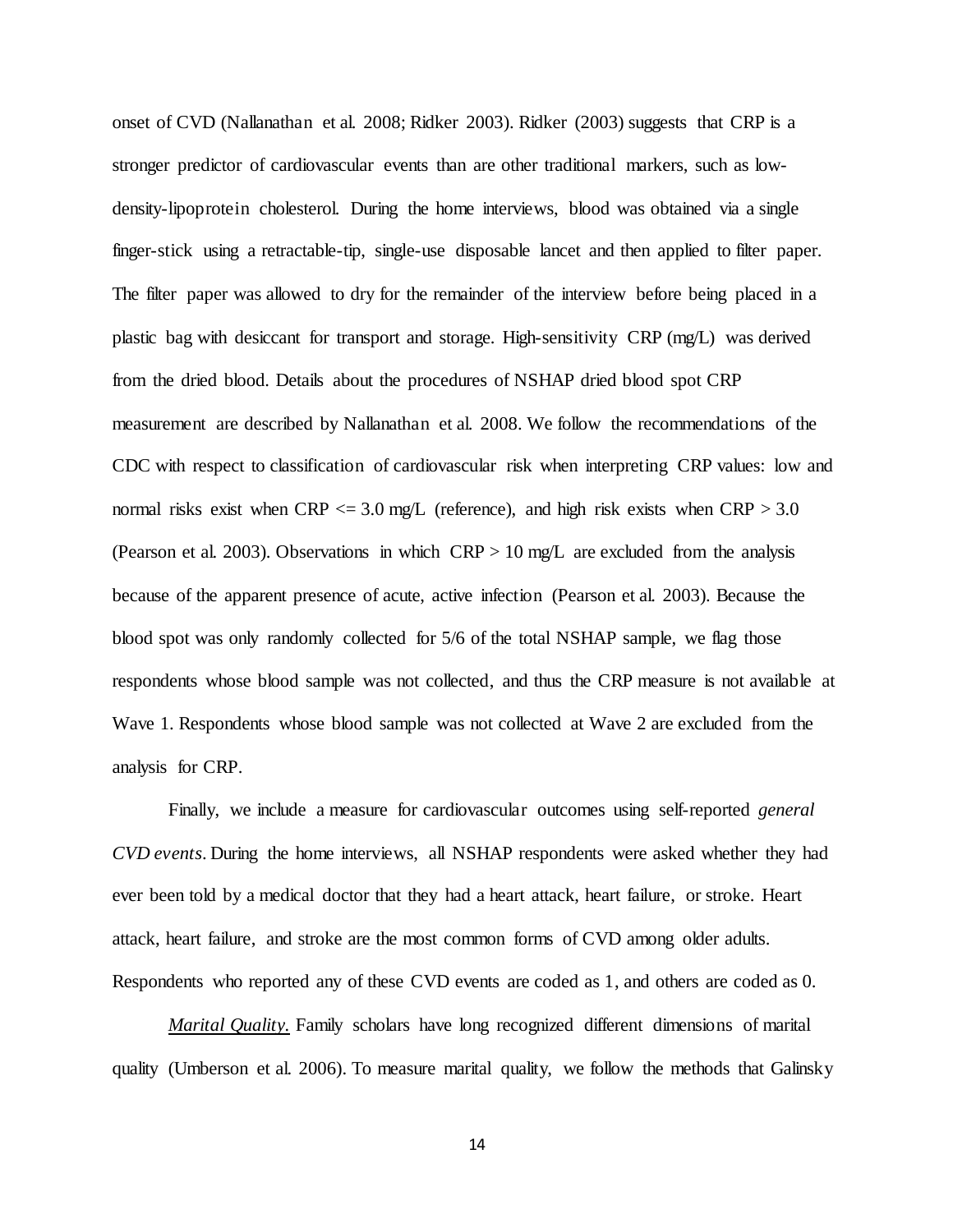onset of CVD (Nallanathan et al. 2008; Ridker 2003). Ridker (2003) suggests that CRP is a stronger predictor of cardiovascular events than are other traditional markers, such as lowdensity-lipoprotein cholesterol. During the home interviews, blood was obtained via a single finger-stick using a retractable-tip, single-use disposable lancet and then applied to filter paper. The filter paper was allowed to dry for the remainder of the interview before being placed in a plastic bag with desiccant for transport and storage. High-sensitivity CRP (mg/L) was derived from the dried blood. Details about the procedures of NSHAP dried blood spot CRP measurement are described by Nallanathan et al. 2008. We follow the recommendations of the CDC with respect to classification of cardiovascular risk when interpreting CRP values: low and normal risks exist when  $CRP \le 3.0$  mg/L (reference), and high risk exists when  $CRP > 3.0$ (Pearson et al. 2003). Observations in which  $CRP > 10$  mg/L are excluded from the analysis because of the apparent presence of acute, active infection (Pearson et al. 2003). Because the blood spot was only randomly collected for 5/6 of the total NSHAP sample, we flag those respondents whose blood sample was not collected, and thus the CRP measure is not available at Wave 1. Respondents whose blood sample was not collected at Wave 2 are excluded from the analysis for CRP.

Finally, we include a measure for cardiovascular outcomes using self-reported *general CVD events*. During the home interviews, all NSHAP respondents were asked whether they had ever been told by a medical doctor that they had a heart attack, heart failure, or stroke. Heart attack, heart failure, and stroke are the most common forms of CVD among older adults. Respondents who reported any of these CVD events are coded as 1, and others are coded as 0.

*Marital Quality.* Family scholars have long recognized different dimensions of marital quality (Umberson et al. 2006). To measure marital quality, we follow the methods that Galinsky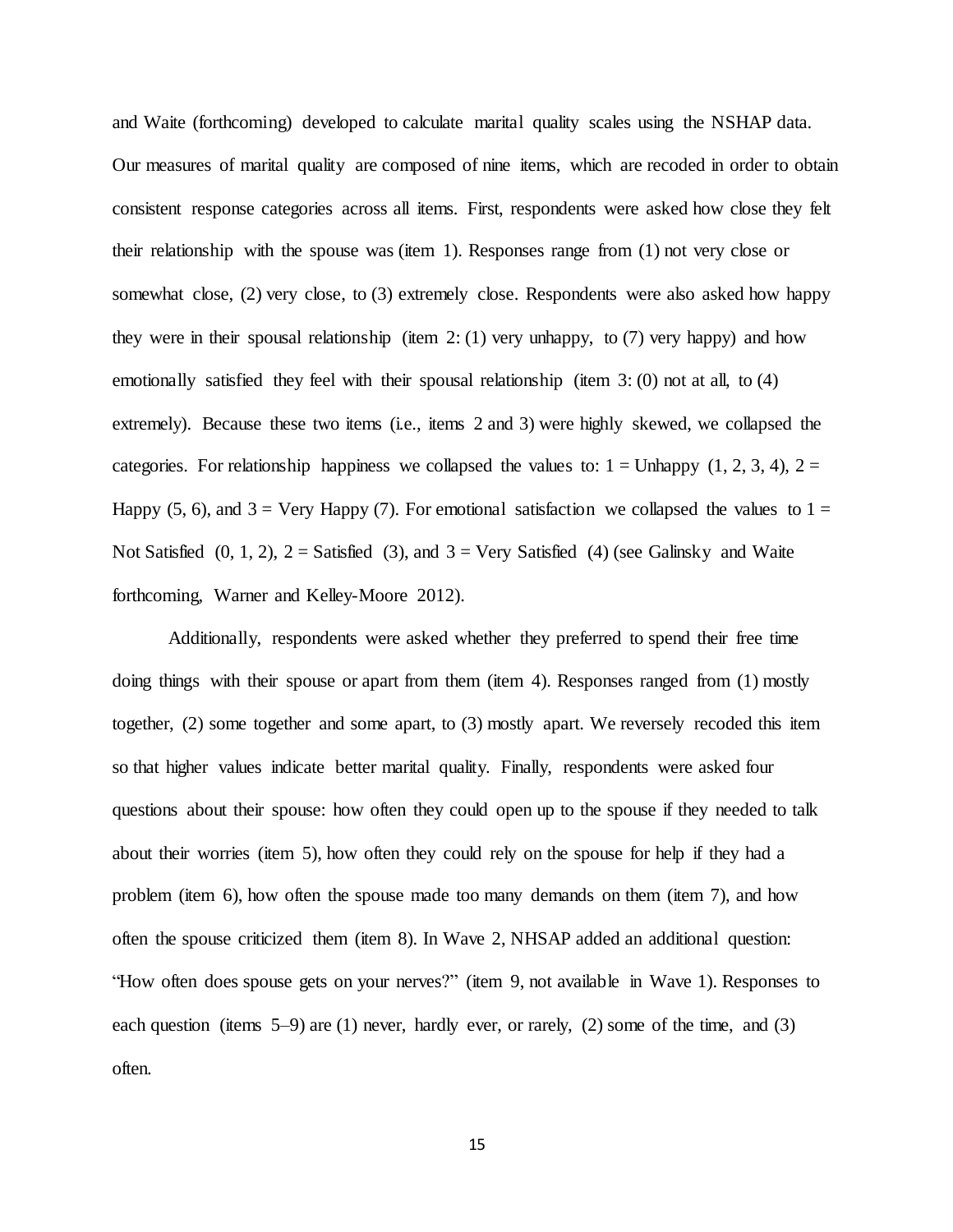and Waite (forthcoming) developed to calculate marital quality scales using the NSHAP data. Our measures of marital quality are composed of nine items, which are recoded in order to obtain consistent response categories across all items. First, respondents were asked how close they felt their relationship with the spouse was (item 1). Responses range from (1) not very close or somewhat close, (2) very close, to (3) extremely close. Respondents were also asked how happy they were in their spousal relationship (item  $2: (1)$  very unhappy, to (7) very happy) and how emotionally satisfied they feel with their spousal relationship (item 3: (0) not at all, to (4) extremely). Because these two items (i.e., items 2 and 3) were highly skewed, we collapsed the categories. For relationship happiness we collapsed the values to:  $1 =$  Unhappy (1, 2, 3, 4),  $2 =$ Happy (5, 6), and  $3 =$  Very Happy (7). For emotional satisfaction we collapsed the values to  $1 =$ Not Satisfied  $(0, 1, 2)$ ,  $2 =$  Satisfied  $(3)$ , and  $3 =$  Very Satisfied  $(4)$  (see Galinsky and Waite forthcoming, Warner and Kelley-Moore 2012).

Additionally, respondents were asked whether they preferred to spend their free time doing things with their spouse or apart from them (item 4). Responses ranged from (1) mostly together, (2) some together and some apart, to (3) mostly apart. We reversely recoded this item so that higher values indicate better marital quality. Finally, respondents were asked four questions about their spouse: how often they could open up to the spouse if they needed to talk about their worries (item 5), how often they could rely on the spouse for help if they had a problem (item 6), how often the spouse made too many demands on them (item 7), and how often the spouse criticized them (item 8). In Wave 2, NHSAP added an additional question: "How often does spouse gets on your nerves?" (item 9, not available in Wave 1). Responses to each question (items 5–9) are (1) never, hardly ever, or rarely, (2) some of the time, and (3) often.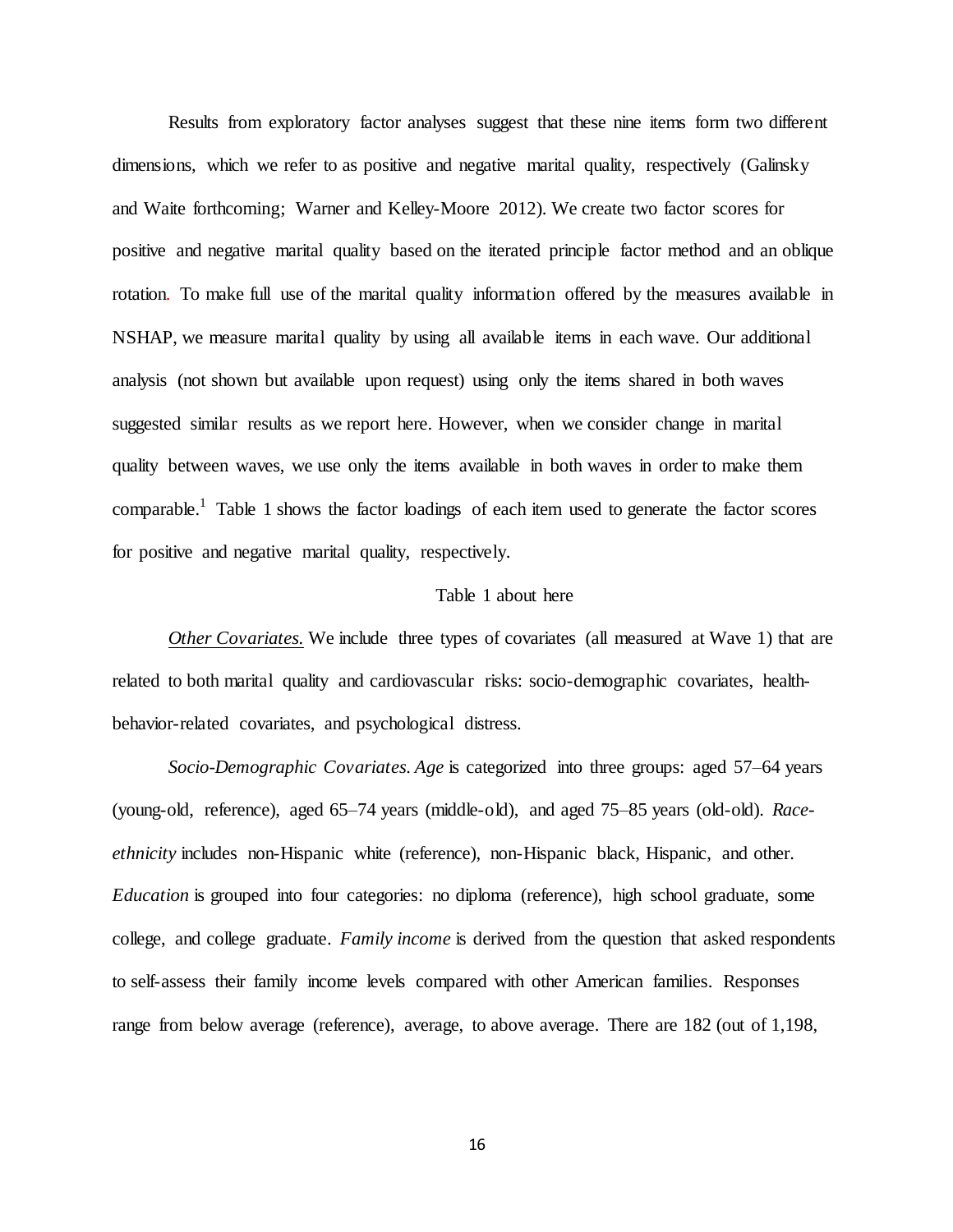Results from exploratory factor analyses suggest that these nine items form two different dimensions, which we refer to as positive and negative marital quality, respectively (Galinsky and Waite forthcoming; Warner and Kelley-Moore 2012). We create two factor scores for positive and negative marital quality based on the iterated principle factor method and an oblique rotation. To make full use of the marital quality information offered by the measures available in NSHAP, we measure marital quality by using all available items in each wave. Our additional analysis (not shown but available upon request) using only the items shared in both waves suggested similar results as we report here. However, when we consider change in marital quality between waves, we use only the items available in both waves in order to make them comparable.<sup>1</sup> Table 1 shows the factor loadings of each item used to generate the factor scores for positive and negative marital quality, respectively.

#### Table 1 about here

*Other Covariates.* We include three types of covariates (all measured at Wave 1) that are related to both marital quality and cardiovascular risks: socio-demographic covariates, healthbehavior-related covariates, and psychological distress.

*Socio-Demographic Covariates. Age* is categorized into three groups: aged 57–64 years (young-old, reference), aged 65–74 years (middle-old), and aged 75–85 years (old-old). *Raceethnicity* includes non-Hispanic white (reference), non-Hispanic black, Hispanic, and other. *Education* is grouped into four categories: no diploma (reference), high school graduate, some college, and college graduate. *Family income* is derived from the question that asked respondents to self-assess their family income levels compared with other American families. Responses range from below average (reference), average, to above average. There are 182 (out of 1,198,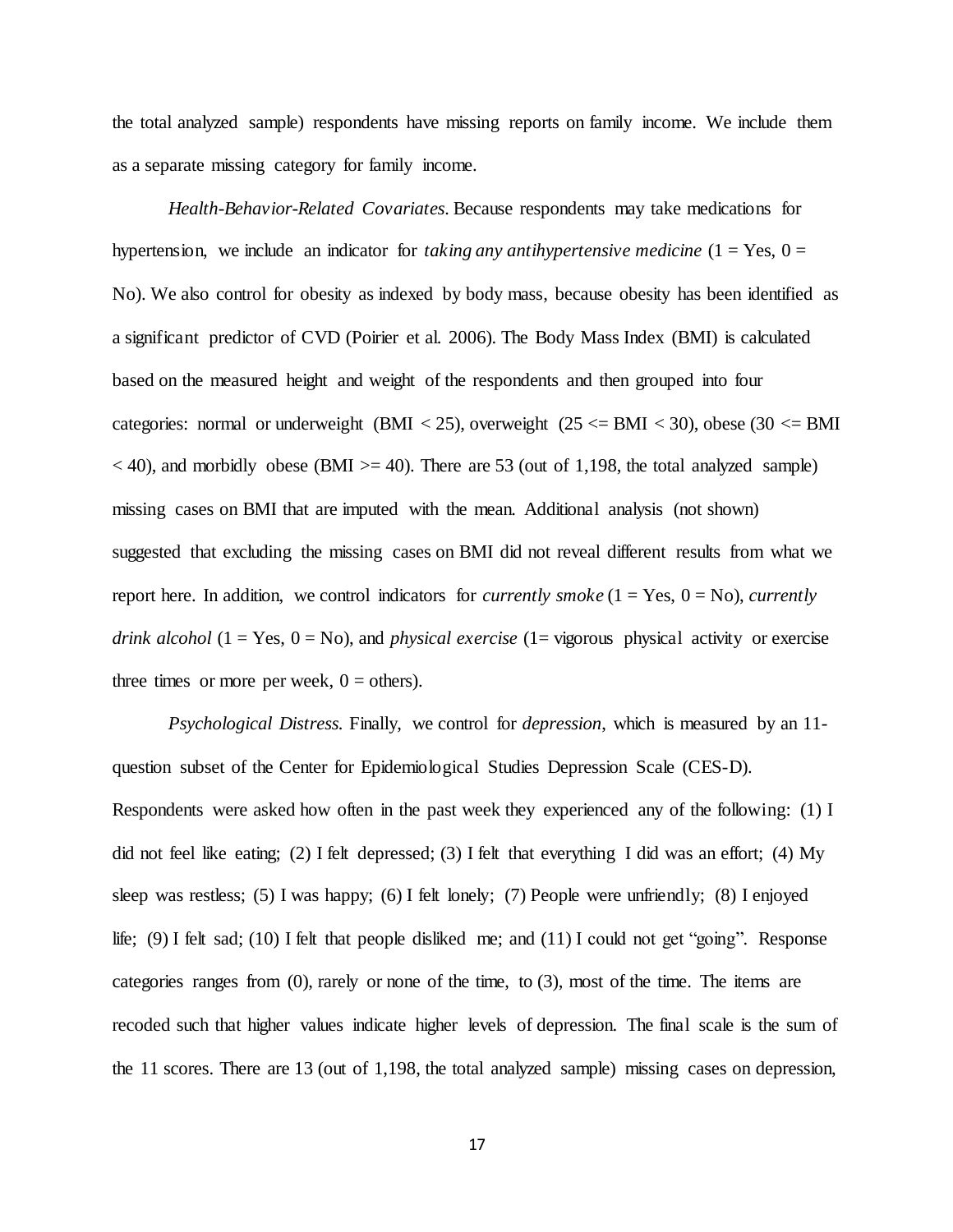the total analyzed sample) respondents have missing reports on family income. We include them as a separate missing category for family income.

*Health-Behavior-Related Covariates.* Because respondents may take medications for hypertension, we include an indicator for *taking any antihypertensive medicine*  $(1 = Yes, 0 =$ No). We also control for obesity as indexed by body mass, because obesity has been identified as a significant predictor of CVD (Poirier et al. 2006). The Body Mass Index (BMI) is calculated based on the measured height and weight of the respondents and then grouped into four categories: normal or underweight (BMI < 25), overweight ( $25 \leq BMI$  < 30), obese (30  $\leq BMI$  $<$  40), and morbidly obese (BMI  $>=$  40). There are 53 (out of 1,198, the total analyzed sample) missing cases on BMI that are imputed with the mean. Additional analysis (not shown) suggested that excluding the missing cases on BMI did not reveal different results from what we report here. In addition, we control indicators for *currently smoke*  $(1 = Yes, 0 = No)$ , *currently drink alcohol* (1 = Yes, 0 = No), and *physical exercise* (1 = vigorous physical activity or exercise three times or more per week,  $0 =$  others).

*Psychological Distress.* Finally, we control for *depression*, which is measured by an 11 question subset of the Center for Epidemiological Studies Depression Scale (CES-D). Respondents were asked how often in the past week they experienced any of the following: (1) I did not feel like eating; (2) I felt depressed; (3) I felt that everything I did was an effort; (4) My sleep was restless; (5) I was happy; (6) I felt lonely; (7) People were unfriendly; (8) I enjoyed life; (9) I felt sad; (10) I felt that people disliked me; and  $(11)$  I could not get "going". Response categories ranges from  $(0)$ , rarely or none of the time, to  $(3)$ , most of the time. The items are recoded such that higher values indicate higher levels of depression. The final scale is the sum of the 11 scores. There are 13 (out of 1,198, the total analyzed sample) missing cases on depression,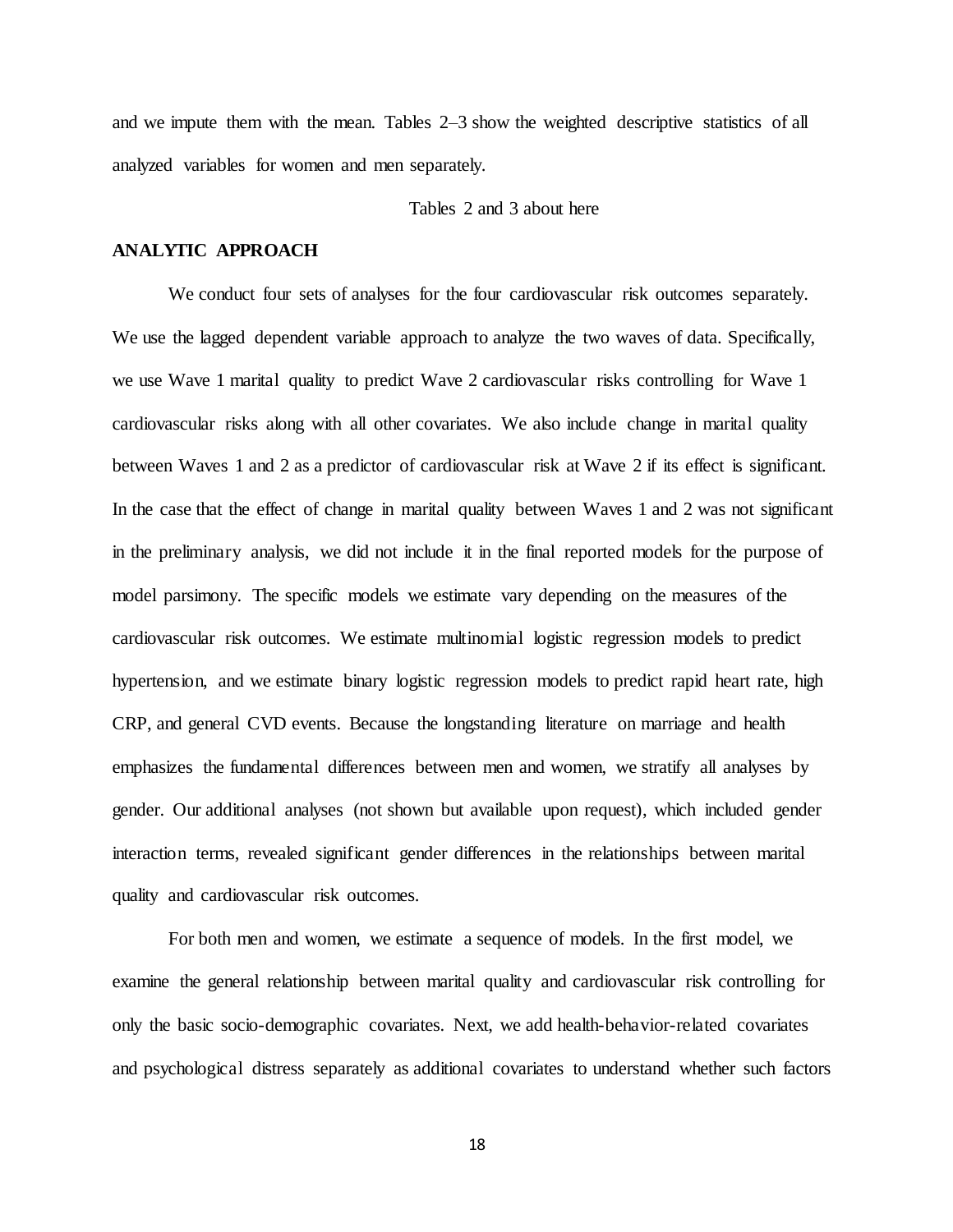and we impute them with the mean. Tables 2–3 show the weighted descriptive statistics of all analyzed variables for women and men separately.

#### Tables 2 and 3 about here

#### **ANALYTIC APPROACH**

We conduct four sets of analyses for the four cardiovascular risk outcomes separately. We use the lagged dependent variable approach to analyze the two waves of data. Specifically, we use Wave 1 marital quality to predict Wave 2 cardiovascular risks controlling for Wave 1 cardiovascular risks along with all other covariates. We also include change in marital quality between Waves 1 and 2 as a predictor of cardiovascular risk at Wave 2 if its effect is significant. In the case that the effect of change in marital quality between Waves 1 and 2 was not significant in the preliminary analysis, we did not include it in the final reported models for the purpose of model parsimony. The specific models we estimate vary depending on the measures of the cardiovascular risk outcomes. We estimate multinomial logistic regression models to predict hypertension, and we estimate binary logistic regression models to predict rapid heart rate, high CRP, and general CVD events. Because the longstanding literature on marriage and health emphasizes the fundamental differences between men and women, we stratify all analyses by gender. Our additional analyses (not shown but available upon request), which included gender interaction terms, revealed significant gender differences in the relationships between marital quality and cardiovascular risk outcomes.

For both men and women, we estimate a sequence of models. In the first model, we examine the general relationship between marital quality and cardiovascular risk controlling for only the basic socio-demographic covariates. Next, we add health-behavior-related covariates and psychological distress separately as additional covariates to understand whether such factors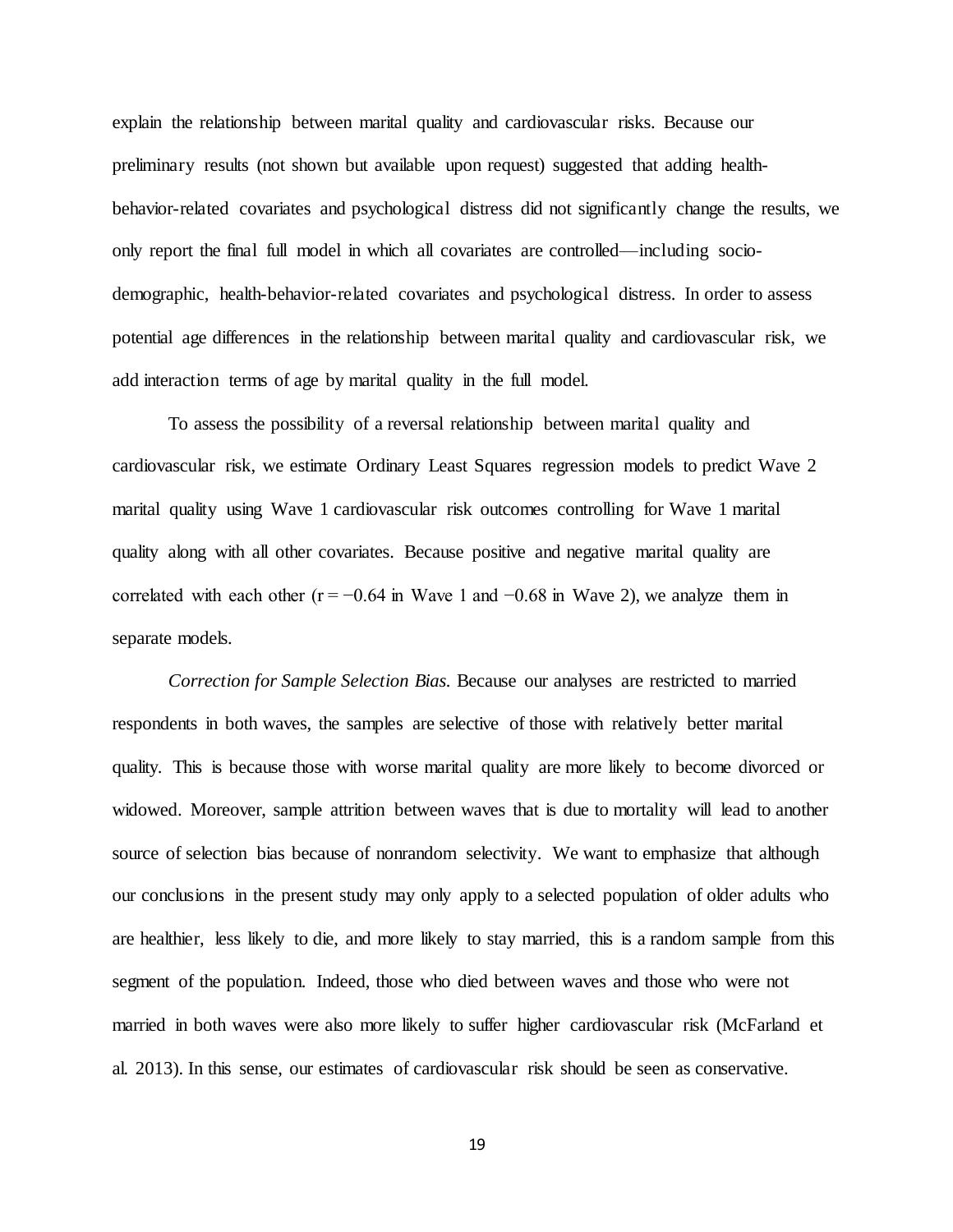explain the relationship between marital quality and cardiovascular risks. Because our preliminary results (not shown but available upon request) suggested that adding healthbehavior-related covariates and psychological distress did not significantly change the results, we only report the final full model in which all covariates are controlled—including sociodemographic, health-behavior-related covariates and psychological distress. In order to assess potential age differences in the relationship between marital quality and cardiovascular risk, we add interaction terms of age by marital quality in the full model.

To assess the possibility of a reversal relationship between marital quality and cardiovascular risk, we estimate [Ordinary Least Squares](http://www.google.com/url?sa=t&rct=j&q=&esrc=s&frm=1&source=web&cd=1&cad=rja&ved=0CCwQFjAA&url=http%3A%2F%2Fen.wikipedia.org%2Fwiki%2FOrdinary_least_squares&ei=RrWaUuCyGNbfoAS2kYGICw&usg=AFQjCNHs7NPc47SVi2MdZDzmBbczWgWrag&sig2=fNlkKAosIdy2Epsw7Okn7Q&bvm=bv.57155469,d.cGU) regression models to predict Wave 2 marital quality using Wave 1 cardiovascular risk outcomes controlling for Wave 1 marital quality along with all other covariates. Because positive and negative marital quality are correlated with each other ( $r = -0.64$  in Wave 1 and  $-0.68$  in Wave 2), we analyze them in separate models.

*Correction for Sample Selection Bias.* Because our analyses are restricted to married respondents in both waves, the samples are selective of those with relatively better marital quality. This is because those with worse marital quality are more likely to become divorced or widowed. Moreover, sample attrition between waves that is due to mortality will lead to another source of selection bias because of nonrandom selectivity. We want to emphasize that although our conclusions in the present study may only apply to a selected population of older adults who are healthier, less likely to die, and more likely to stay married, this is a random sample from this segment of the population. Indeed, those who died between waves and those who were not married in both waves were also more likely to suffer higher cardiovascular risk (McFarland et al. 2013). In this sense, our estimates of cardiovascular risk should be seen as conservative.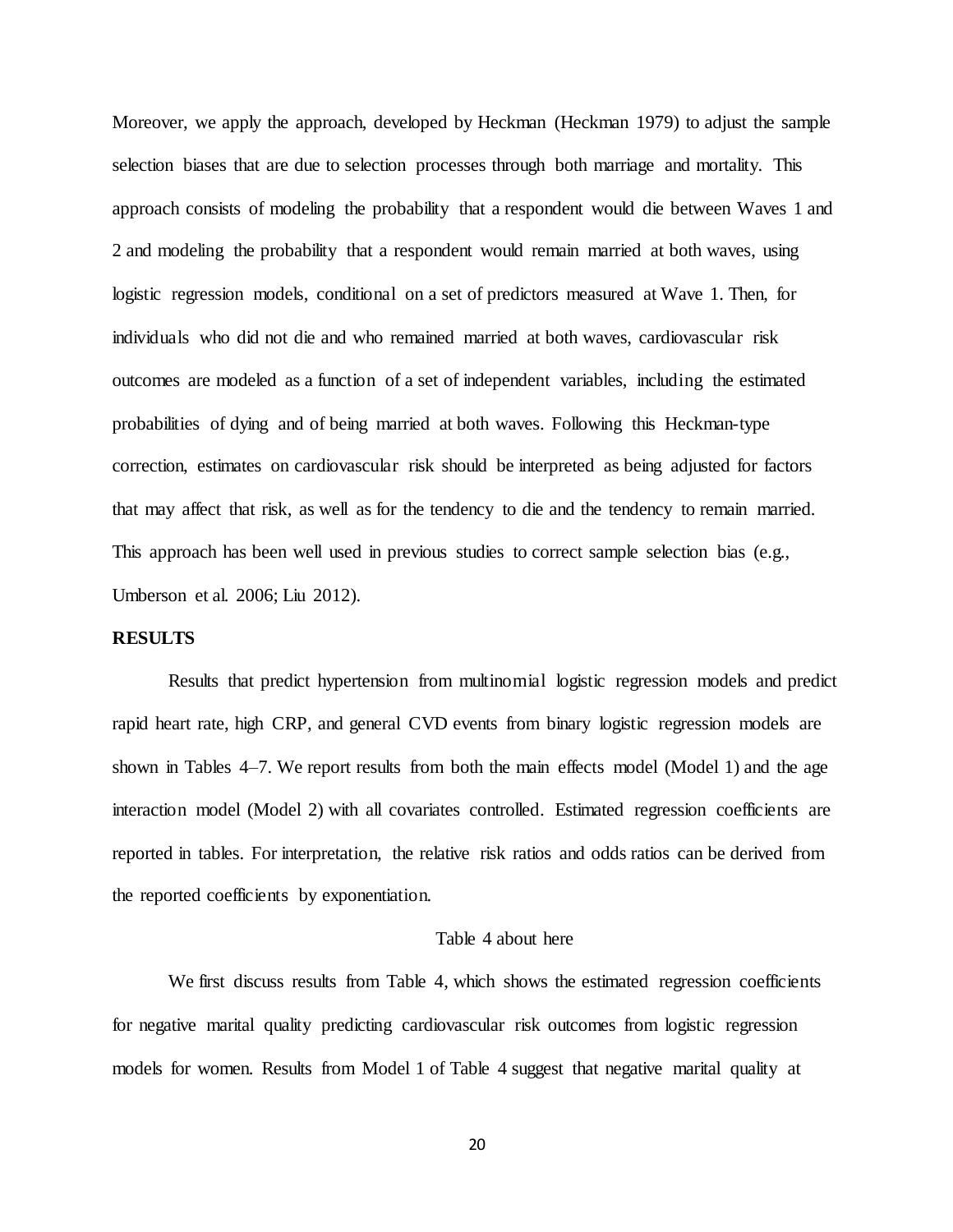Moreover, we apply the approach, developed by Heckman (Heckman 1979) to adjust the sample selection biases that are due to selection processes through both marriage and mortality. This approach consists of modeling the probability that a respondent would die between Waves 1 and 2 and modeling the probability that a respondent would remain married at both waves, using logistic regression models, conditional on a set of predictors measured at Wave 1. Then, for individuals who did not die and who remained married at both waves, cardiovascular risk outcomes are modeled as a function of a set of independent variables, including the estimated probabilities of dying and of being married at both waves. Following this Heckman-type correction, estimates on cardiovascular risk should be interpreted as being adjusted for factors that may affect that risk, as well as for the tendency to die and the tendency to remain married. This approach has been well used in previous studies to correct sample selection bias (e.g., Umberson et al. 2006; Liu 2012).

### **RESULTS**

Results that predict hypertension from multinomial logistic regression models and predict rapid heart rate, high CRP, and general CVD events from binary logistic regression models are shown in Tables 4–7. We report results from both the main effects model (Model 1) and the age interaction model (Model 2) with all covariates controlled. Estimated regression coefficients are reported in tables. For interpretation, the relative risk ratios and odds ratios can be derived from the reported coefficients by exponentiation.

#### Table 4 about here

We first discuss results from Table 4, which shows the estimated regression coefficients for negative marital quality predicting cardiovascular risk outcomes from logistic regression models for women. Results from Model 1 of Table 4 suggest that negative marital quality at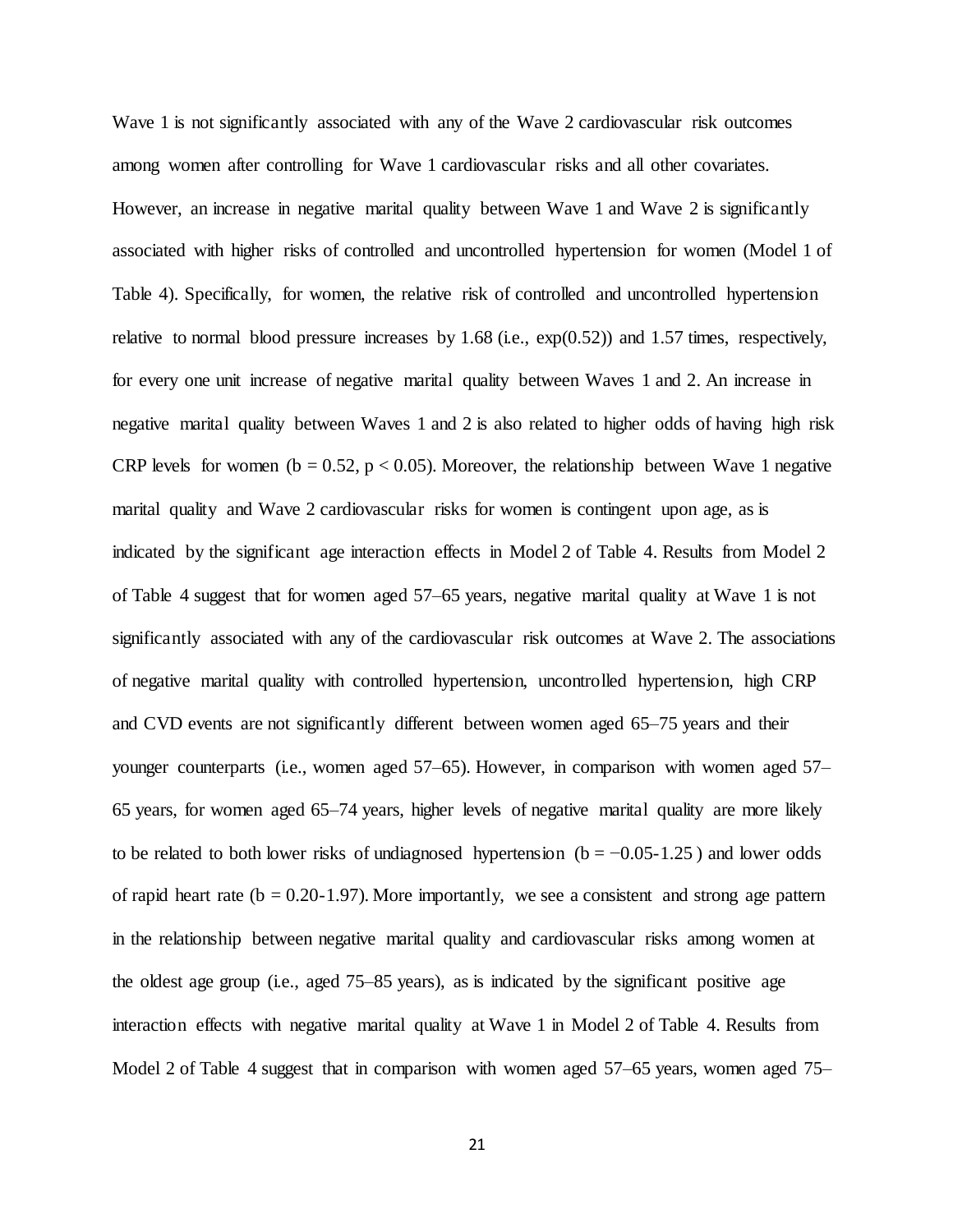Wave 1 is not significantly associated with any of the Wave 2 cardiovascular risk outcomes among women after controlling for Wave 1 cardiovascular risks and all other covariates. However, an increase in negative marital quality between Wave 1 and Wave 2 is significantly associated with higher risks of controlled and uncontrolled hypertension for women (Model 1 of Table 4). Specifically, for women, the relative risk of controlled and uncontrolled hypertension relative to normal blood pressure increases by  $1.68$  (i.e.,  $exp(0.52)$ ) and  $1.57$  times, respectively, for every one unit increase of negative marital quality between Waves 1 and 2. An increase in negative marital quality between Waves 1 and 2 is also related to higher odds of having high risk CRP levels for women ( $b = 0.52$ ,  $p < 0.05$ ). Moreover, the relationship between Wave 1 negative marital quality and Wave 2 cardiovascular risks for women is contingent upon age, as is indicated by the significant age interaction effects in Model 2 of Table 4. Results from Model 2 of Table 4 suggest that for women aged 57–65 years, negative marital quality at Wave 1 is not significantly associated with any of the cardiovascular risk outcomes at Wave 2. The associations of negative marital quality with controlled hypertension, uncontrolled hypertension, high CRP and CVD events are not significantly different between women aged 65–75 years and their younger counterparts (i.e., women aged 57–65). However, in comparison with women aged 57– 65 years, for women aged 65–74 years, higher levels of negative marital quality are more likely to be related to both lower risks of undiagnosed hypertension ( $b = -0.05-1.25$ ) and lower odds of rapid heart rate ( $b = 0.20 - 1.97$ ). More importantly, we see a consistent and strong age pattern in the relationship between negative marital quality and cardiovascular risks among women at the oldest age group (i.e., aged 75–85 years), as is indicated by the significant positive age interaction effects with negative marital quality at Wave 1 in Model 2 of Table 4. Results from Model 2 of Table 4 suggest that in comparison with women aged 57–65 years, women aged 75–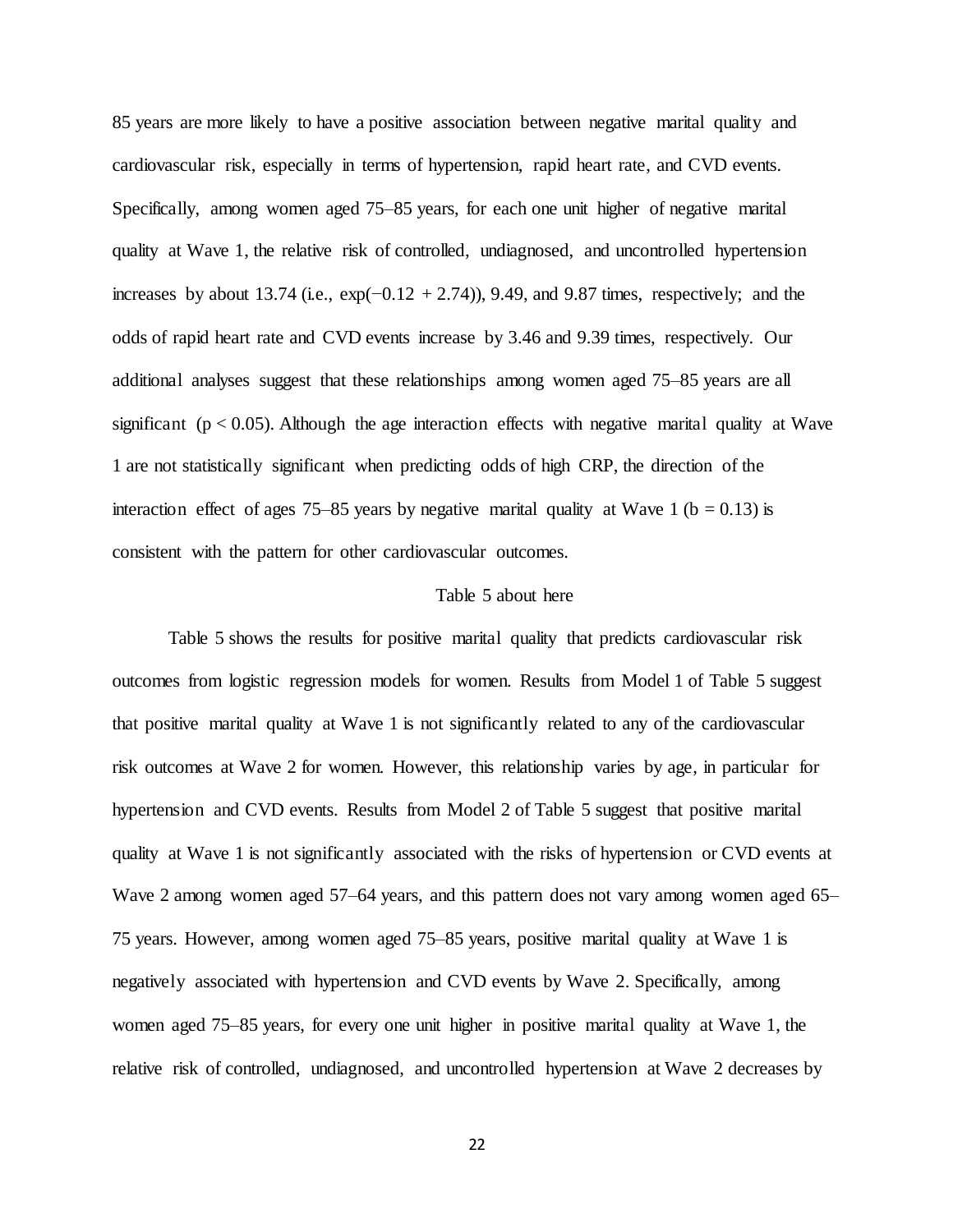85 years are more likely to have a positive association between negative marital quality and cardiovascular risk, especially in terms of hypertension, rapid heart rate, and CVD events. Specifically, among women aged 75–85 years, for each one unit higher of negative marital quality at Wave 1, the relative risk of controlled, undiagnosed, and uncontrolled hypertension increases by about 13.74 (i.e.,  $exp(-0.12 + 2.74)$ ), 9.49, and 9.87 times, respectively; and the odds of rapid heart rate and CVD events increase by 3.46 and 9.39 times, respectively. Our additional analyses suggest that these relationships among women aged 75–85 years are all significant ( $p < 0.05$ ). Although the age interaction effects with negative marital quality at Wave 1 are not statistically significant when predicting odds of high CRP, the direction of the interaction effect of ages 75–85 years by negative marital quality at Wave 1 ( $b = 0.13$ ) is consistent with the pattern for other cardiovascular outcomes.

#### Table 5 about here

Table 5 shows the results for positive marital quality that predicts cardiovascular risk outcomes from logistic regression models for women. Results from Model 1 of Table 5 suggest that positive marital quality at Wave 1 is not significantly related to any of the cardiovascular risk outcomes at Wave 2 for women. However, this relationship varies by age, in particular for hypertension and CVD events. Results from Model 2 of Table 5 suggest that positive marital quality at Wave 1 is not significantly associated with the risks of hypertension or CVD events at Wave 2 among women aged 57–64 years, and this pattern does not vary among women aged 65– 75 years. However, among women aged 75–85 years, positive marital quality at Wave 1 is negatively associated with hypertension and CVD events by Wave 2. Specifically, among women aged 75–85 years, for every one unit higher in positive marital quality at Wave 1, the relative risk of controlled, undiagnosed, and uncontrolled hypertension at Wave 2 decreases by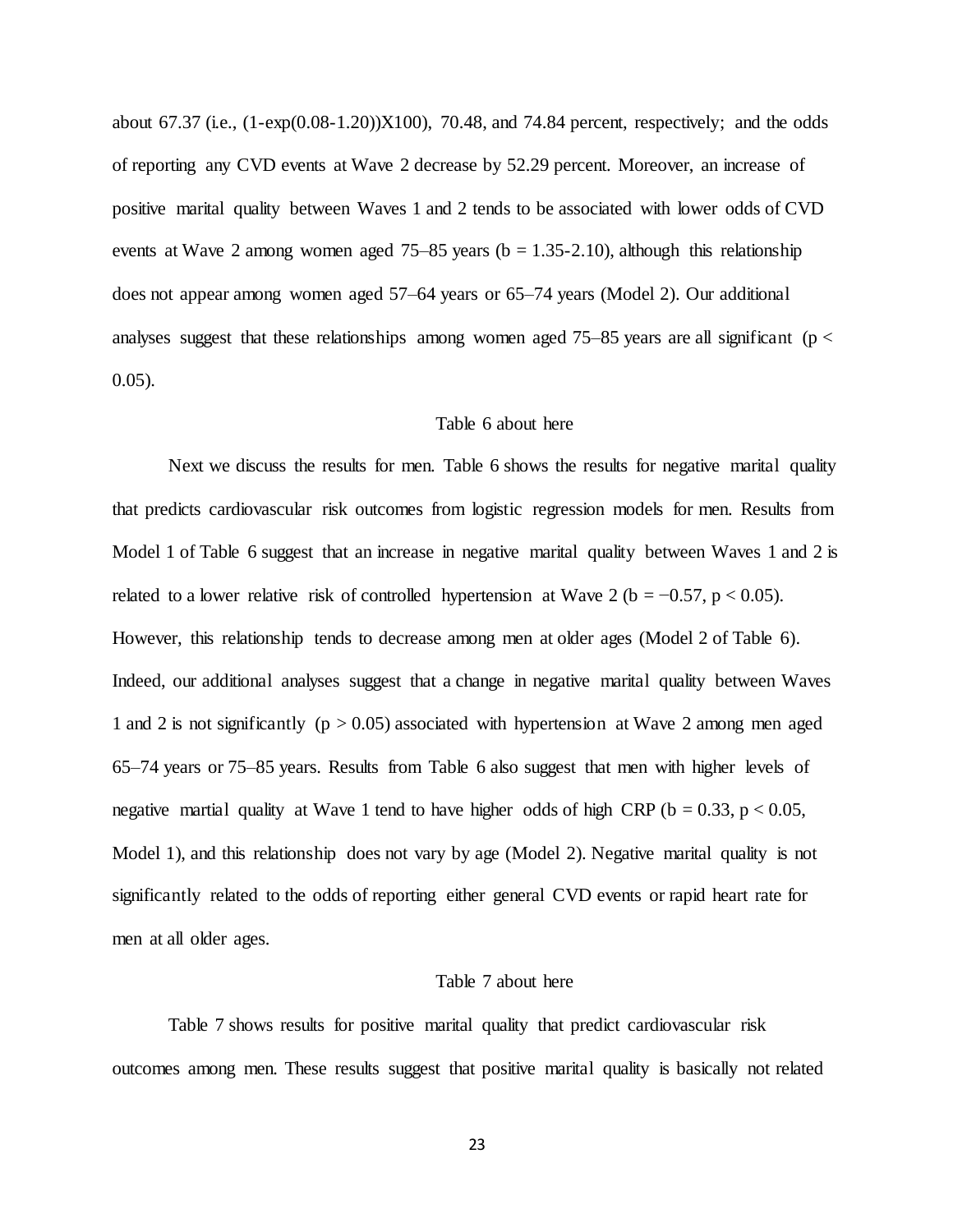about 67.37 (i.e.,  $(1-exp(0.08-1.20))X100$ ), 70.48, and 74.84 percent, respectively; and the odds of reporting any CVD events at Wave 2 decrease by 52.29 percent. Moreover, an increase of positive marital quality between Waves 1 and 2 tends to be associated with lower odds of CVD events at Wave 2 among women aged  $75-85$  years (b = 1.35-2.10), although this relationship does not appear among women aged 57–64 years or 65–74 years (Model 2). Our additional analyses suggest that these relationships among women aged  $75-85$  years are all significant ( $p <$ 0.05).

#### Table 6 about here

Next we discuss the results for men. Table 6 shows the results for negative marital quality that predicts cardiovascular risk outcomes from logistic regression models for men. Results from Model 1 of Table 6 suggest that an increase in negative marital quality between Waves 1 and 2 is related to a lower relative risk of controlled hypertension at Wave 2 (b = −0.57, p < 0.05). However, this relationship tends to decrease among men at older ages (Model 2 of Table 6). Indeed, our additional analyses suggest that a change in negative marital quality between Waves 1 and 2 is not significantly ( $p > 0.05$ ) associated with hypertension at Wave 2 among men aged 65–74 years or 75–85 years. Results from Table 6 also suggest that men with higher levels of negative martial quality at Wave 1 tend to have higher odds of high CRP ( $b = 0.33$ ,  $p < 0.05$ , Model 1), and this relationship does not vary by age (Model 2). Negative marital quality is not significantly related to the odds of reporting either general CVD events or rapid heart rate for men at all older ages.

#### Table 7 about here

Table 7 shows results for positive marital quality that predict cardiovascular risk outcomes among men. These results suggest that positive marital quality is basically not related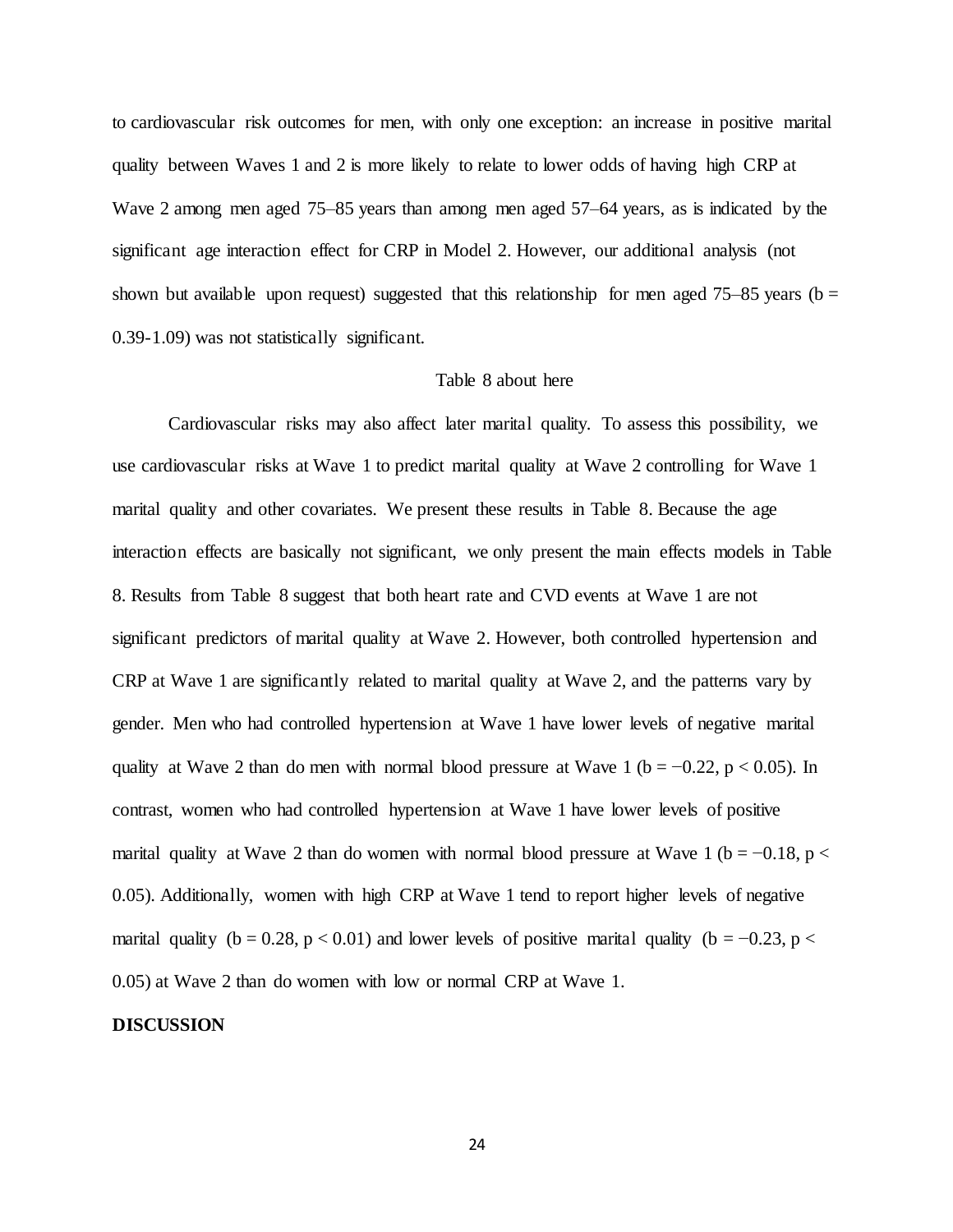to cardiovascular risk outcomes for men, with only one exception: an increase in positive marital quality between Waves 1 and 2 is more likely to relate to lower odds of having high CRP at Wave 2 among men aged 75–85 years than among men aged 57–64 years, as is indicated by the significant age interaction effect for CRP in Model 2. However, our additional analysis (not shown but available upon request) suggested that this relationship for men aged  $75-85$  years (b = 0.39-1.09) was not statistically significant.

#### Table 8 about here

Cardiovascular risks may also affect later marital quality. To assess this possibility, we use cardiovascular risks at Wave 1 to predict marital quality at Wave 2 controlling for Wave 1 marital quality and other covariates. We present these results in Table 8. Because the age interaction effects are basically not significant, we only present the main effects models in Table 8. Results from Table 8 suggest that both heart rate and CVD events at Wave 1 are not significant predictors of marital quality at Wave 2. However, both controlled hypertension and CRP at Wave 1 are significantly related to marital quality at Wave 2, and the patterns vary by gender. Men who had controlled hypertension at Wave 1 have lower levels of negative marital quality at Wave 2 than do men with normal blood pressure at Wave 1 (b =  $-0.22$ , p < 0.05). In contrast, women who had controlled hypertension at Wave 1 have lower levels of positive marital quality at Wave 2 than do women with normal blood pressure at Wave 1 (b =  $-0.18$ , p < 0.05). Additionally, women with high CRP at Wave 1 tend to report higher levels of negative marital quality (b = 0.28, p < 0.01) and lower levels of positive marital quality (b =  $-0.23$ , p < 0.05) at Wave 2 than do women with low or normal CRP at Wave 1.

#### **DISCUSSION**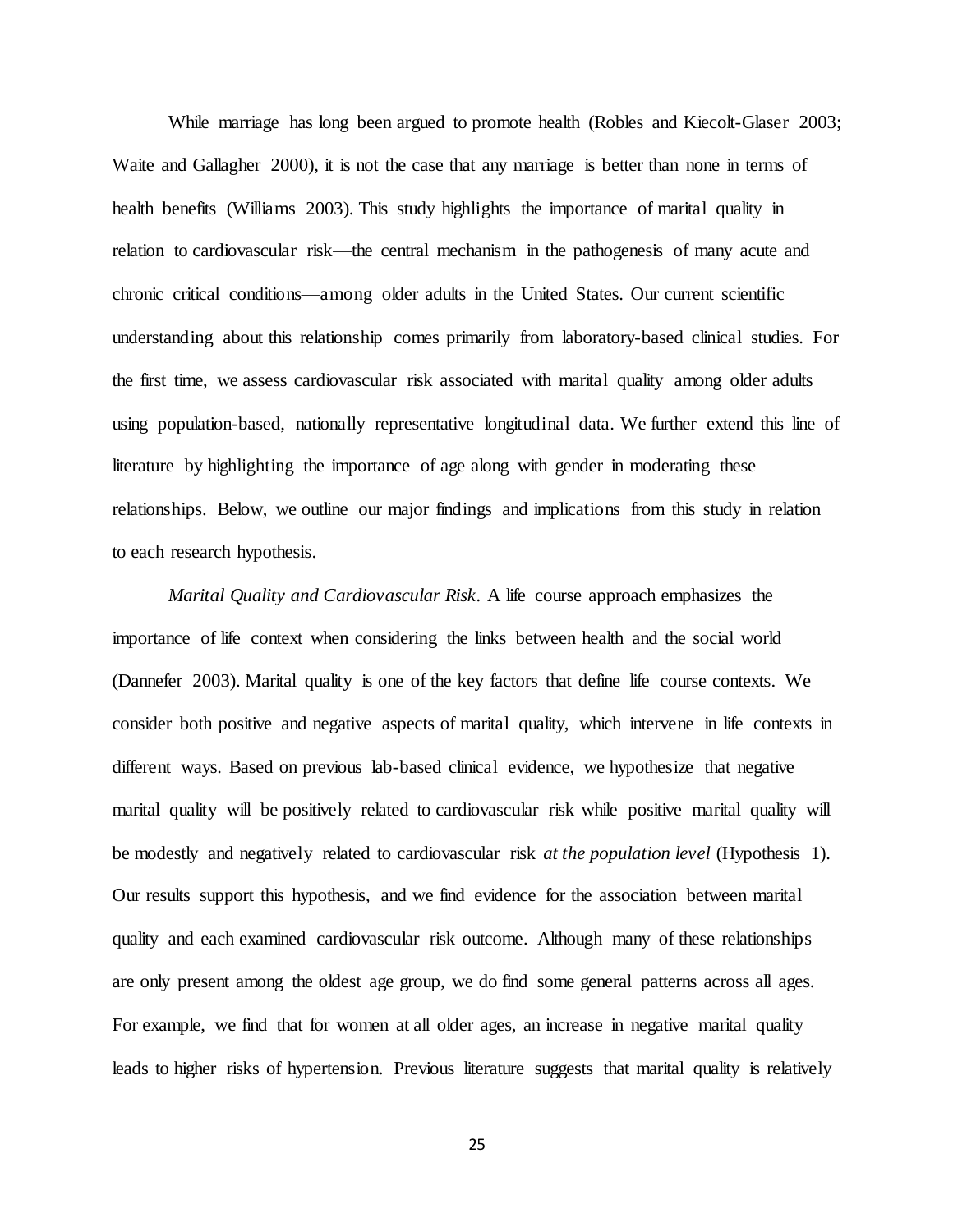While marriage has long been argued to promote health (Robles and Kiecolt-Glaser 2003; Waite and Gallagher 2000), it is not the case that any marriage is better than none in terms of health benefits (Williams 2003). This study highlights the importance of marital quality in relation to cardiovascular risk—the central mechanism in the pathogenesis of many acute and chronic critical conditions—among older adults in the United States. Our current scientific understanding about this relationship comes primarily from laboratory-based clinical studies. For the first time, we assess cardiovascular risk associated with marital quality among older adults using population-based, nationally representative longitudinal data. We further extend this line of literature by highlighting the importance of age along with gender in moderating these relationships. Below, we outline our major findings and implications from this study in relation to each research hypothesis.

*Marital Quality and Cardiovascular Risk.* A life course approach emphasizes the importance of life context when considering the links between health and the social world (Dannefer 2003). Marital quality is one of the key factors that define life course contexts. We consider both positive and negative aspects of marital quality, which intervene in life contexts in different ways. Based on previous lab-based clinical evidence, we hypothesize that negative marital quality will be positively related to cardiovascular risk while positive marital quality will be modestly and negatively related to cardiovascular risk *at the population level* (Hypothesis 1). Our results support this hypothesis, and we find evidence for the association between marital quality and each examined cardiovascular risk outcome. Although many of these relationships are only present among the oldest age group, we do find some general patterns across all ages. For example, we find that for women at all older ages, an increase in negative marital quality leads to higher risks of hypertension. Previous literature suggests that marital quality is relatively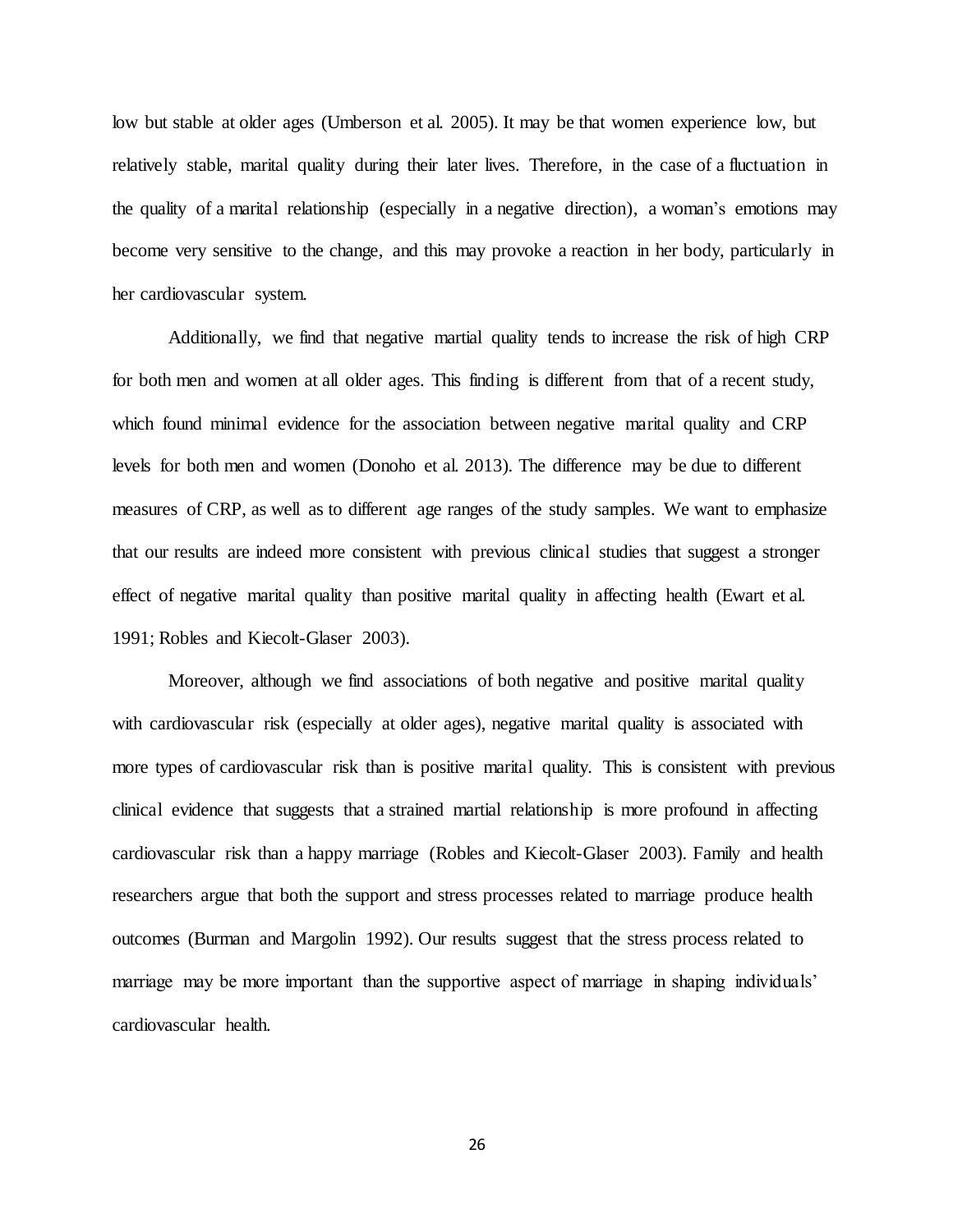low but stable at older ages (Umberson et al. 2005). It may be that women experience low, but relatively stable, marital quality during their later lives. Therefore, in the case of a fluctuation in the quality of a marital relationship (especially in a negative direction), a woman's emotions may become very sensitive to the change, and this may provoke a reaction in her body, particularly in her cardiovascular system.

Additionally, we find that negative martial quality tends to increase the risk of high CRP for both men and women at all older ages. This finding is different from that of a recent study, which found minimal evidence for the association between negative marital quality and CRP levels for both men and women (Donoho et al. 2013). The difference may be due to different measures of CRP, as well as to different age ranges of the study samples. We want to emphasize that our results are indeed more consistent with previous clinical studies that suggest a stronger effect of negative marital quality than positive marital quality in affecting health (Ewart et al. 1991; Robles and Kiecolt-Glaser 2003).

Moreover, although we find associations of both negative and positive marital quality with cardiovascular risk (especially at older ages), negative marital quality is associated with more types of cardiovascular risk than is positive marital quality. This is consistent with previous clinical evidence that suggests that a strained martial relationship is more profound in affecting cardiovascular risk than a happy marriage (Robles and Kiecolt-Glaser 2003). Family and health researchers argue that both the support and stress processes related to marriage produce health outcomes (Burman and Margolin 1992). Our results suggest that the stress process related to marriage may be more important than the supportive aspect of marriage in shaping individuals' cardiovascular health.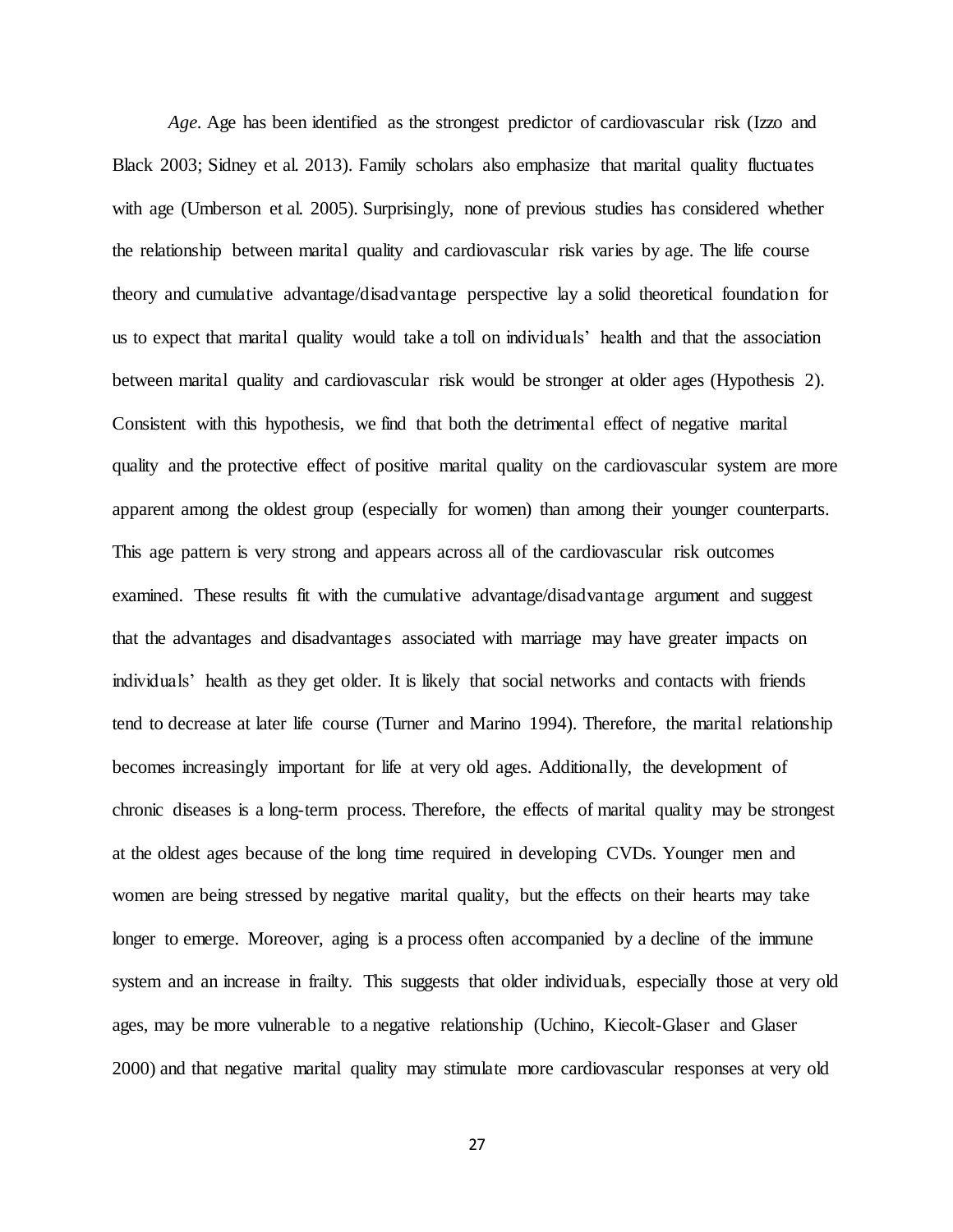*Age.* Age has been identified as the strongest predictor of cardiovascular risk (Izzo and Black 2003; Sidney et al. 2013). Family scholars also emphasize that marital quality fluctuates with age (Umberson et al. 2005). Surprisingly, none of previous studies has considered whether the relationship between marital quality and cardiovascular risk varies by age. The life course theory and cumulative advantage/disadvantage perspective lay a solid theoretical foundation for us to expect that marital quality would take a toll on individuals' health and that the association between marital quality and cardiovascular risk would be stronger at older ages (Hypothesis 2). Consistent with this hypothesis, we find that both the detrimental effect of negative marital quality and the protective effect of positive marital quality on the cardiovascular system are more apparent among the oldest group (especially for women) than among their younger counterparts. This age pattern is very strong and appears across all of the cardiovascular risk outcomes examined. These results fit with the cumulative advantage/disadvantage argument and suggest that the advantages and disadvantages associated with marriage may have greater impacts on individuals' health as they get older. It is likely that social networks and contacts with friends tend to decrease at later life course (Turner and Marino 1994). Therefore, the marital relationship becomes increasingly important for life at very old ages. Additionally, the development of chronic diseases is a long-term process. Therefore, the effects of marital quality may be strongest at the oldest ages because of the long time required in developing CVDs. Younger men and women are being stressed by negative marital quality, but the effects on their hearts may take longer to emerge. Moreover, aging is a process often accompanied by a decline of the immune system and an increase in frailty. This suggests that older individuals, especially those at very old ages, may be more vulnerable to a negative relationship (Uchino, Kiecolt-Glaser and Glaser 2000) and that negative marital quality may stimulate more cardiovascular responses at very old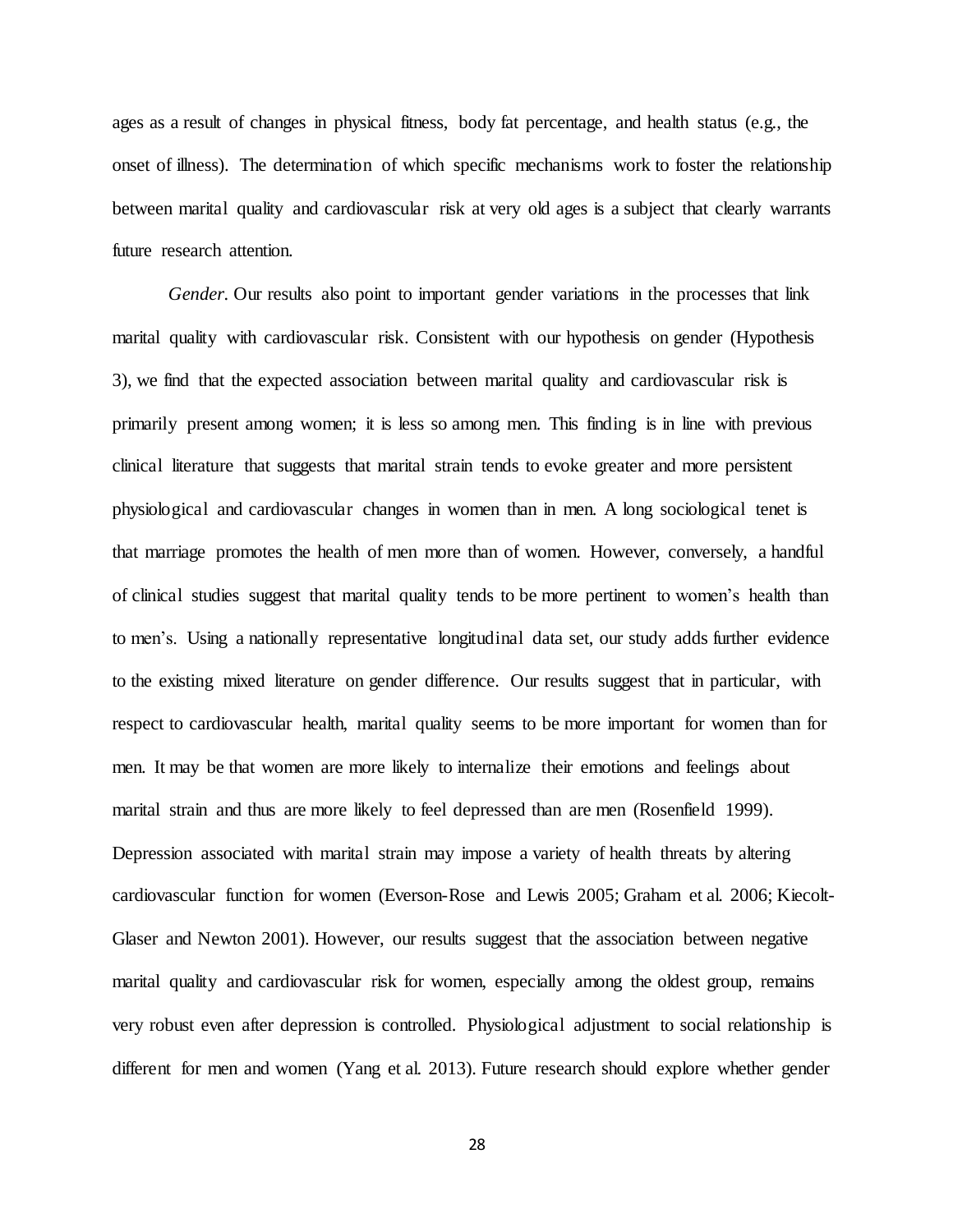ages as a result of changes in physical fitness, body fat percentage, and health status (e.g., the onset of illness). The determination of which specific mechanisms work to foster the relationship between marital quality and cardiovascular risk at very old ages is a subject that clearly warrants future research attention.

*Gender.* Our results also point to important gender variations in the processes that link marital quality with cardiovascular risk. Consistent with our hypothesis on gender (Hypothesis 3), we find that the expected association between marital quality and cardiovascular risk is primarily present among women; it is less so among men. This finding is in line with previous clinical literature that suggests that marital strain tends to evoke greater and more persistent physiological and cardiovascular changes in women than in men. A long sociological tenet is that marriage promotes the health of men more than of women. However, conversely, a handful of clinical studies suggest that marital quality tends to be more pertinent to women's health than to men's. Using a nationally representative longitudinal data set, our study adds further evidence to the existing mixed literature on gender difference. Our results suggest that in particular, with respect to cardiovascular health, marital quality seems to be more important for women than for men. It may be that women are more likely to internalize their emotions and feelings about marital strain and thus are more likely to feel depressed than are men (Rosenfield 1999). Depression associated with marital strain may impose a variety of health threats by altering cardiovascular function for women (Everson-Rose and Lewis 2005; Graham et al. 2006; Kiecolt-Glaser and Newton 2001). However, our results suggest that the association between negative marital quality and cardiovascular risk for women, especially among the oldest group, remains very robust even after depression is controlled. Physiological adjustment to social relationship is different for men and women (Yang et al. 2013). Future research should explore whether gender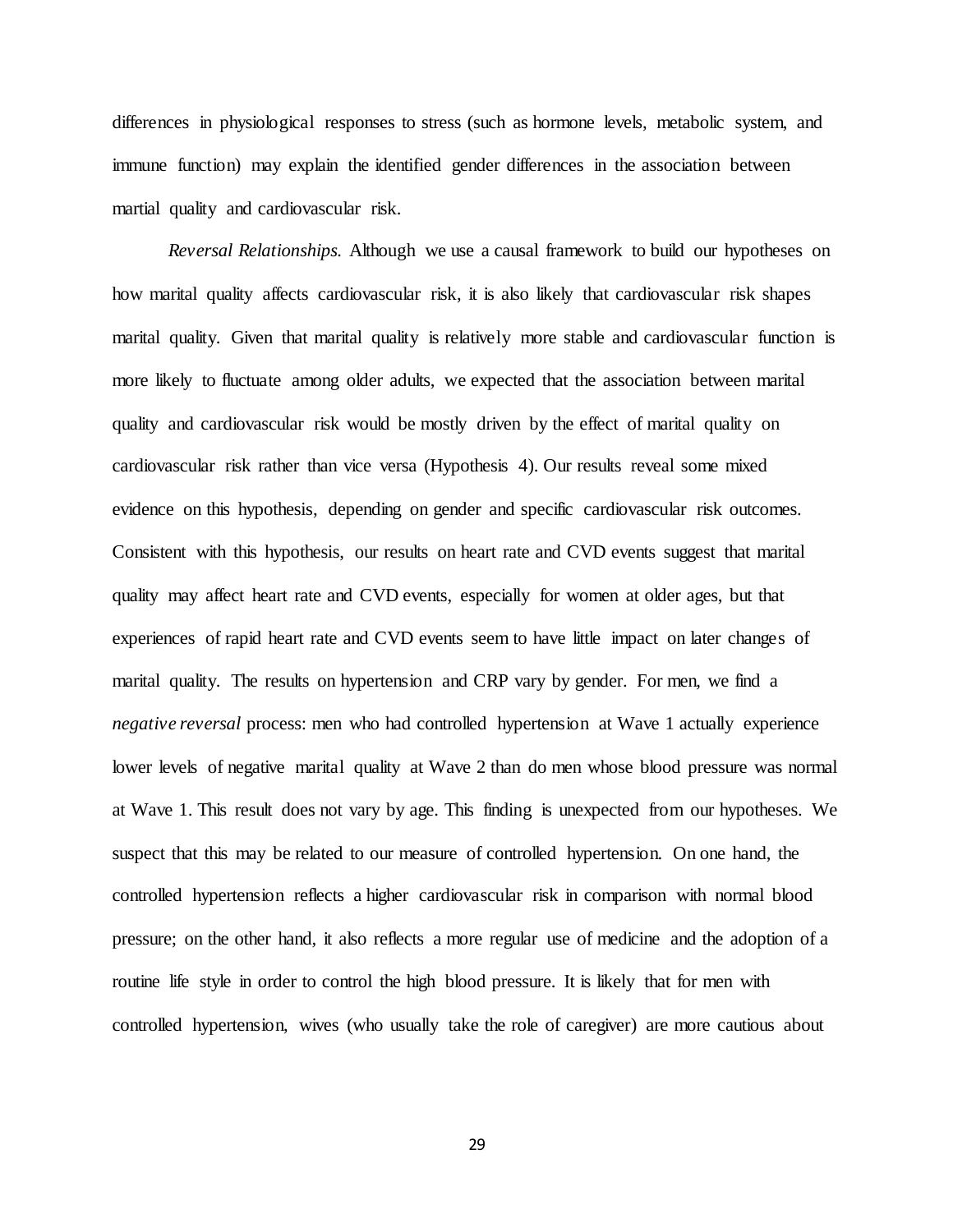differences in physiological responses to stress (such as hormone levels, metabolic system, and immune function) may explain the identified gender differences in the association between martial quality and cardiovascular risk.

*Reversal Relationships.* Although we use a causal framework to build our hypotheses on how marital quality affects cardiovascular risk, it is also likely that cardiovascular risk shapes marital quality. Given that marital quality is relatively more stable and cardiovascular function is more likely to fluctuate among older adults, we expected that the association between marital quality and cardiovascular risk would be mostly driven by the effect of marital quality on cardiovascular risk rather than vice versa (Hypothesis 4). Our results reveal some mixed evidence on this hypothesis, depending on gender and specific cardiovascular risk outcomes. Consistent with this hypothesis, our results on heart rate and CVD events suggest that marital quality may affect heart rate and CVD events, especially for women at older ages, but that experiences of rapid heart rate and CVD events seem to have little impact on later changes of marital quality. The results on hypertension and CRP vary by gender. For men, we find a *negative reversal* process: men who had controlled hypertension at Wave 1 actually experience lower levels of negative marital quality at Wave 2 than do men whose blood pressure was normal at Wave 1. This result does not vary by age. This finding is unexpected from our hypotheses. We suspect that this may be related to our measure of controlled hypertension. On one hand, the controlled hypertension reflects a higher cardiovascular risk in comparison with normal blood pressure; on the other hand, it also reflects a more regular use of medicine and the adoption of a routine life style in order to control the high blood pressure. It is likely that for men with controlled hypertension, wives (who usually take the role of caregiver) are more cautious about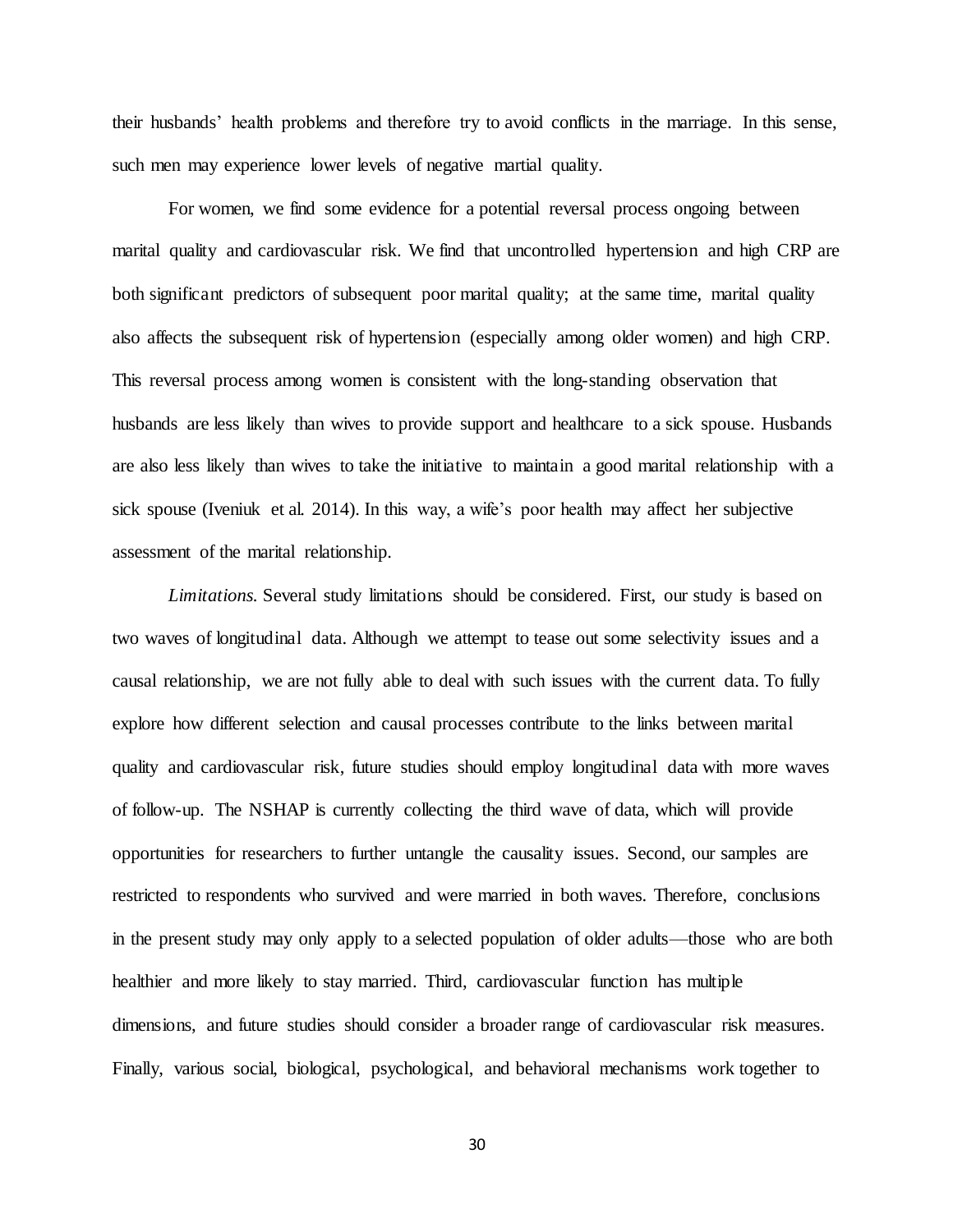their husbands' health problems and therefore try to avoid conflicts in the marriage. In this sense, such men may experience lower levels of negative martial quality.

For women, we find some evidence for a potential reversal process ongoing between marital quality and cardiovascular risk. We find that uncontrolled hypertension and high CRP are both significant predictors of subsequent poor marital quality; at the same time, marital quality also affects the subsequent risk of hypertension (especially among older women) and high CRP. This reversal process among women is consistent with the long-standing observation that husbands are less likely than wives to provide support and healthcare to a sick spouse. Husbands are also less likely than wives to take the initiative to maintain a good marital relationship with a sick spouse (Iveniuk et al. 2014). In this way, a wife's poor health may affect her subjective assessment of the marital relationship.

*Limitations.* Several study limitations should be considered. First, our study is based on two waves of longitudinal data. Although we attempt to tease out some selectivity issues and a causal relationship, we are not fully able to deal with such issues with the current data. To fully explore how different selection and causal processes contribute to the links between marital quality and cardiovascular risk, future studies should employ longitudinal data with more waves of follow-up. The NSHAP is currently collecting the third wave of data, which will provide opportunities for researchers to further untangle the causality issues. Second, our samples are restricted to respondents who survived and were married in both waves. Therefore, conclusions in the present study may only apply to a selected population of older adults—those who are both healthier and more likely to stay married. Third, cardiovascular function has multiple dimensions, and future studies should consider a broader range of cardiovascular risk measures. Finally, various social, biological, psychological, and behavioral mechanisms work together to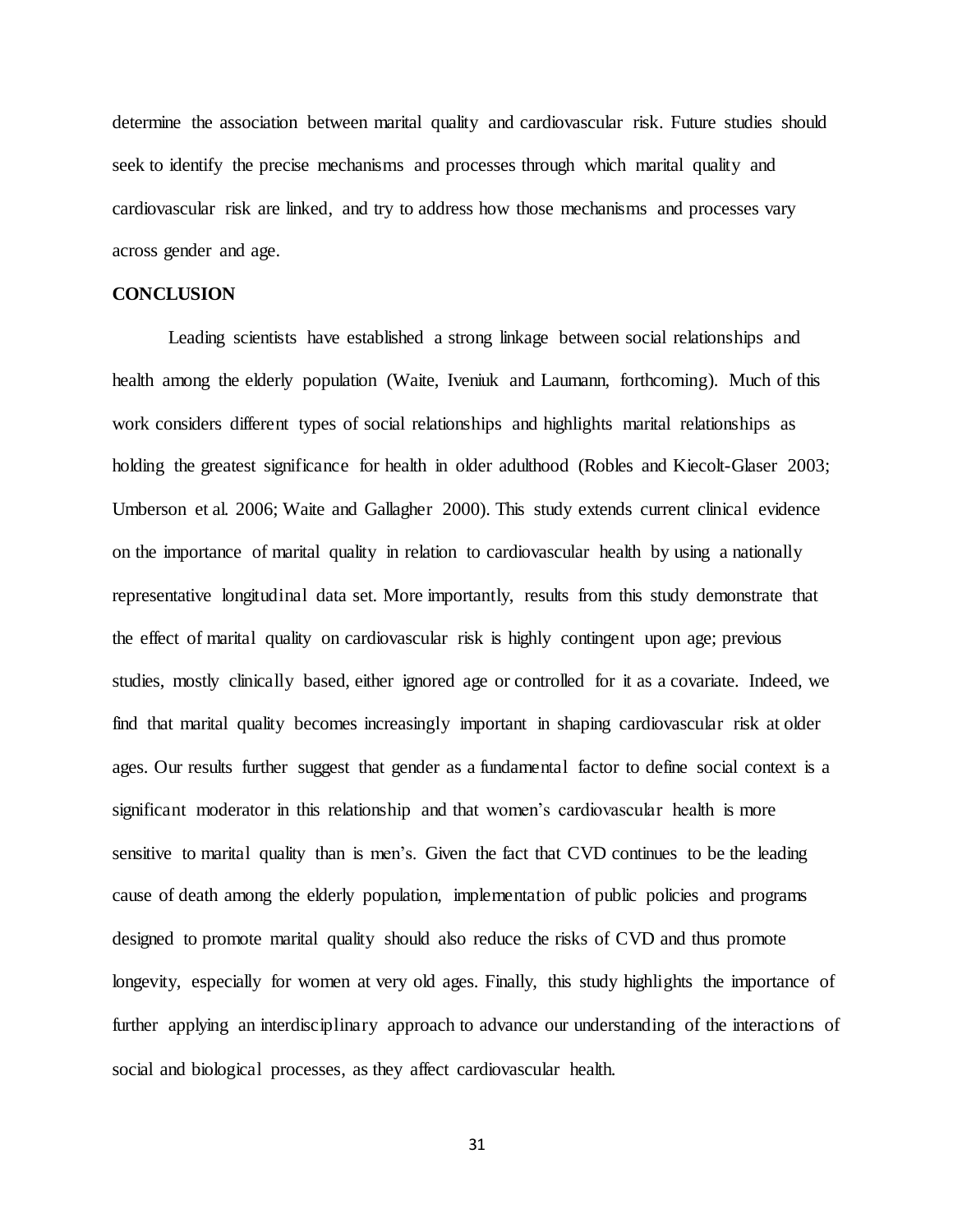determine the association between marital quality and cardiovascular risk. Future studies should seek to identify the precise mechanisms and processes through which marital quality and cardiovascular risk are linked, and try to address how those mechanisms and processes vary across gender and age.

#### **CONCLUSION**

Leading scientists have established a strong linkage between social relationships and health among the elderly population (Waite, Iveniuk and Laumann, forthcoming). Much of this work considers different types of social relationships and highlights marital relationships as holding the greatest significance for health in older adulthood (Robles and Kiecolt-Glaser 2003; Umberson et al. 2006; Waite and Gallagher 2000). This study extends current clinical evidence on the importance of marital quality in relation to cardiovascular health by using a nationally representative longitudinal data set. More importantly, results from this study demonstrate that the effect of marital quality on cardiovascular risk is highly contingent upon age; previous studies, mostly clinically based, either ignored age or controlled for it as a covariate. Indeed, we find that marital quality becomes increasingly important in shaping cardiovascular risk at older ages. Our results further suggest that gender as a fundamental factor to define social context is a significant moderator in this relationship and that women's cardiovascular health is more sensitive to marital quality than is men's. Given the fact that CVD continues to be the leading cause of death among the elderly population, implementation of public policies and programs designed to promote marital quality should also reduce the risks of CVD and thus promote longevity, especially for women at very old ages. Finally, this study highlights the importance of further applying an interdisciplinary approach to advance our understanding of the interactions of social and biological processes, as they affect cardiovascular health.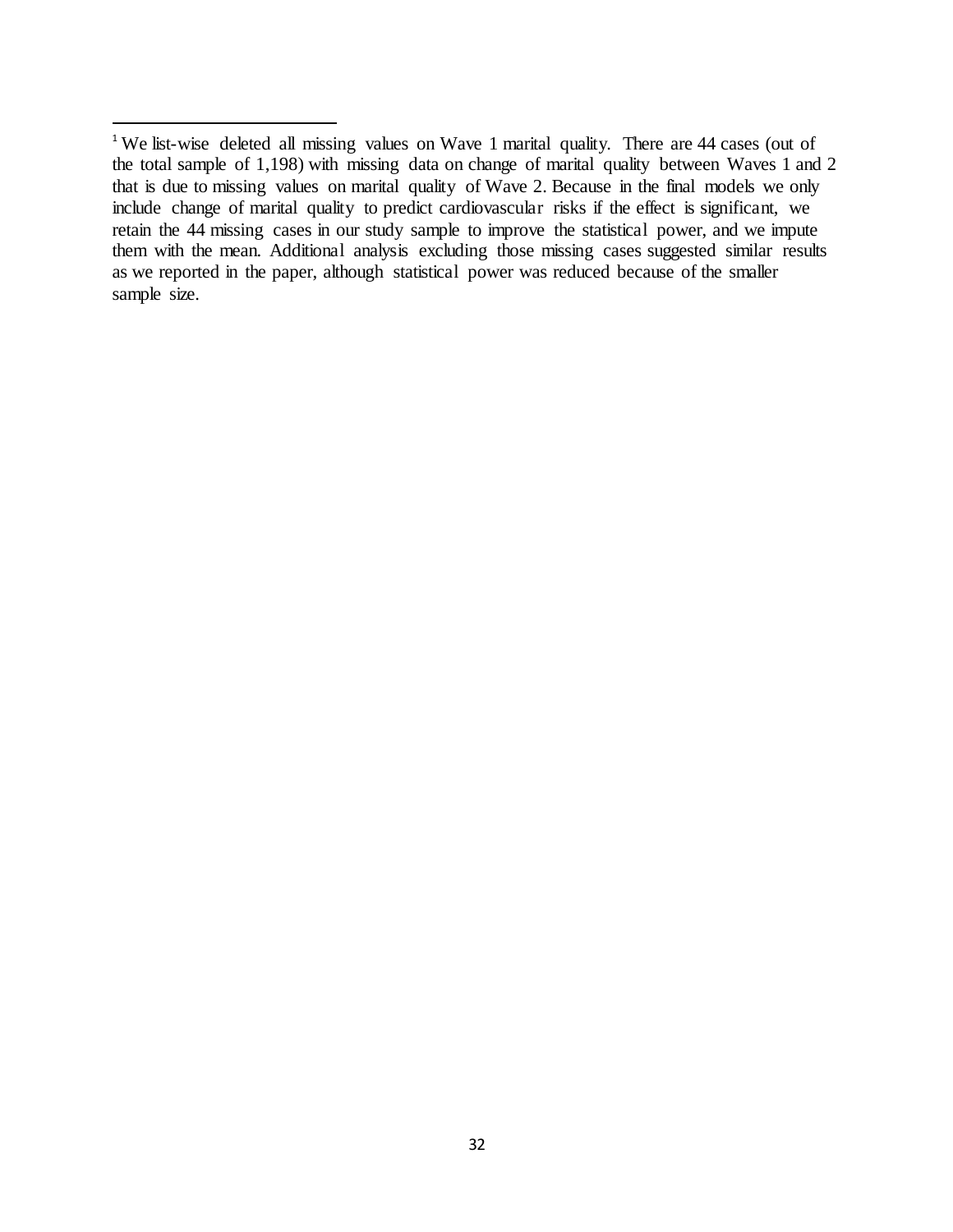$\ddot{\phantom{a}}$ 

<sup>&</sup>lt;sup>1</sup> We list-wise deleted all missing values on Wave 1 marital quality. There are 44 cases (out of the total sample of 1,198) with missing data on change of marital quality between Waves 1 and 2 that is due to missing values on marital quality of Wave 2. Because in the final models we only include change of marital quality to predict cardiovascular risks if the effect is significant, we retain the 44 missing cases in our study sample to improve the statistical power, and we impute them with the mean. Additional analysis excluding those missing cases suggested similar results as we reported in the paper, although statistical power was reduced because of the smaller sample size.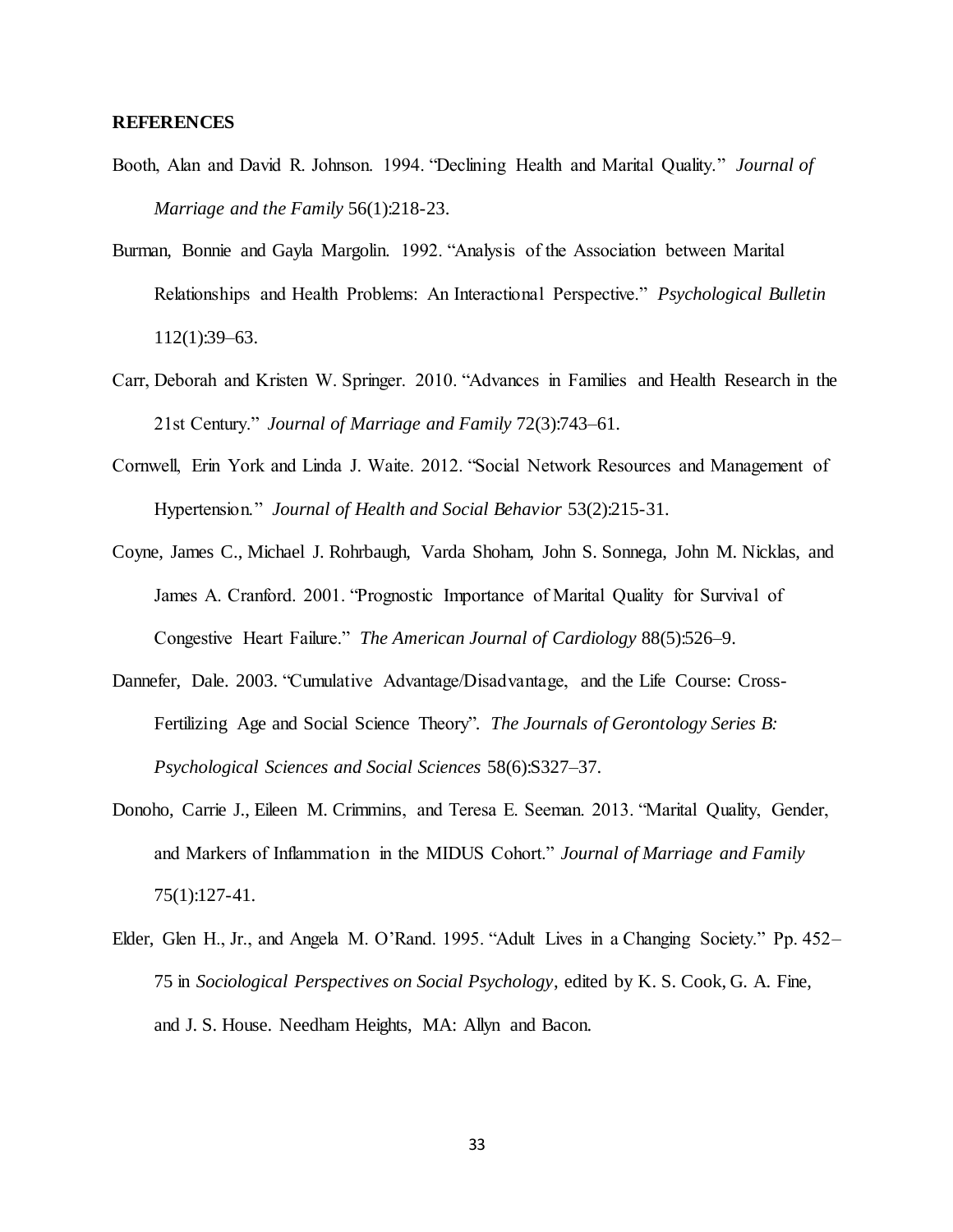#### **REFERENCES**

- Booth, Alan and David R. Johnson. 1994. "Declining Health and Marital Quality." *Journal of Marriage and the Family* 56(1):218-23.
- Burman, Bonnie and Gayla Margolin. 1992. "Analysis of the Association between Marital Relationships and Health Problems: An Interactional Perspective." *Psychological Bulletin* 112(1):39–63.
- Carr, Deborah and Kristen W. Springer. 2010. "Advances in Families and Health Research in the 21st Century." *Journal of Marriage and Family* 72(3):743–61.
- Cornwell, Erin York and Linda J. Waite. 2012. "Social Network Resources and Management of Hypertension." *Journal of Health and Social Behavior* 53(2):215-31.
- Coyne, James C., Michael J. Rohrbaugh, Varda Shoham, John S. Sonnega, John M. Nicklas, and James A. Cranford. 2001. "Prognostic Importance of Marital Quality for Survival of Congestive Heart Failure." *The American Journal of Cardiology* 88(5):526–9.
- Dannefer, Dale. 2003. "Cumulative Advantage/Disadvantage, and the Life Course: Cross-Fertilizing Age and Social Science Theory". *The Journals of Gerontology Series B: Psychological Sciences and Social Sciences* 58(6):S327–37.
- Donoho, Carrie J., Eileen M. Crimmins, and Teresa E. Seeman. 2013. "Marital Quality, Gender, and Markers of Inflammation in the MIDUS Cohort." *Journal of Marriage and Family* 75(1):127-41.
- Elder, Glen H., Jr., and Angela M. O'Rand. 1995. "Adult Lives in a Changing Society." Pp. 452– 75 in *Sociological Perspectives on Social Psychology*, edited by K. S. Cook, G. A. Fine, and J. S. House. Needham Heights, MA: Allyn and Bacon.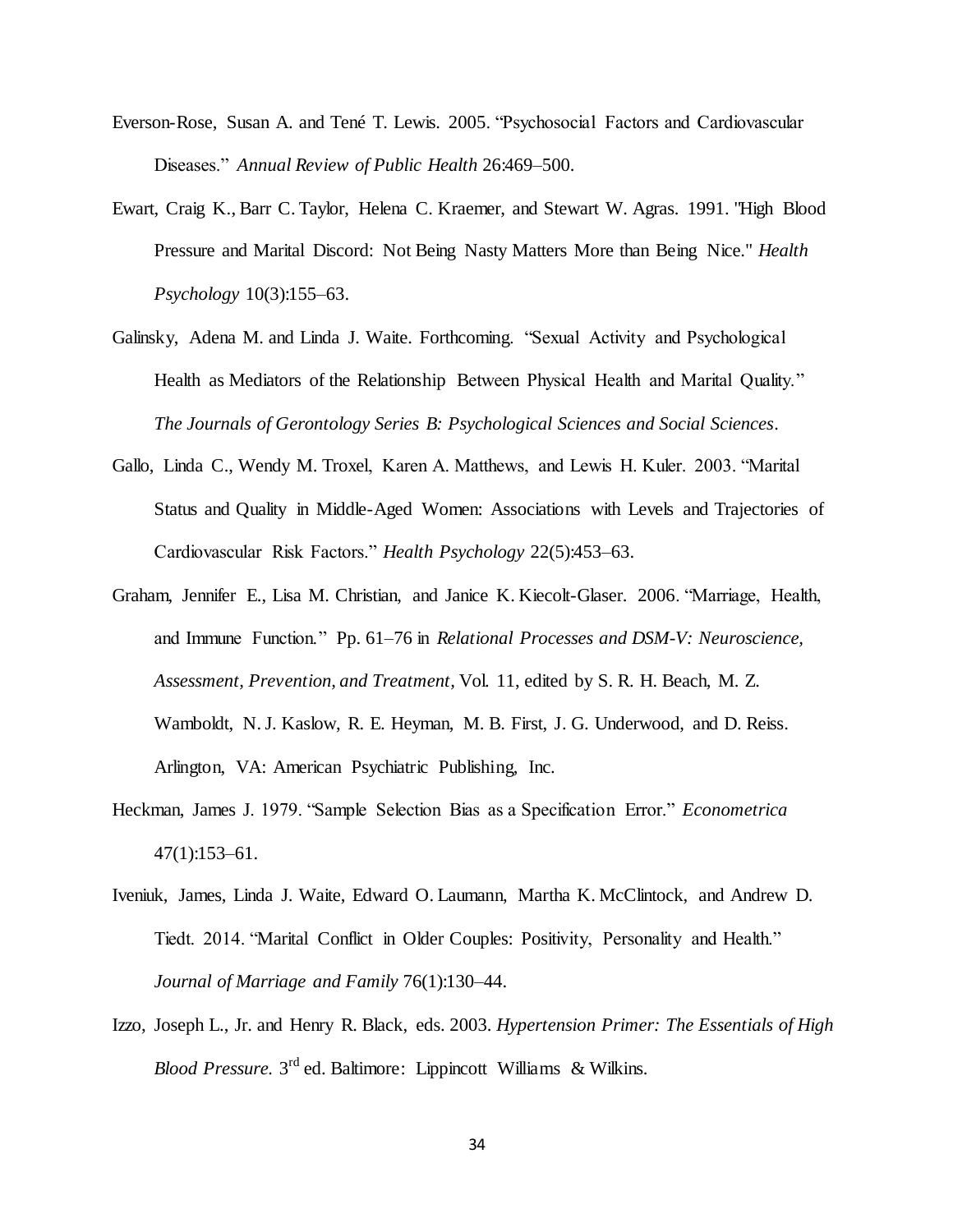- Everson-Rose, Susan A. and Tené T. Lewis. 2005. "Psychosocial Factors and Cardiovascular Diseases." *Annual Review of Public Health* 26:469–500.
- Ewart, Craig K., Barr C. Taylor, Helena C. Kraemer, and Stewart W. Agras. 1991. "High Blood Pressure and Marital Discord: Not Being Nasty Matters More than Being Nice." *Health Psychology* 10(3):155–63.
- Galinsky, Adena M. and Linda J. Waite. Forthcoming. "Sexual Activity and Psychological Health as Mediators of the Relationship Between Physical Health and Marital Quality." *The Journals of Gerontology Series B: Psychological Sciences and Social Sciences.*
- Gallo, Linda C., Wendy M. Troxel, Karen A. Matthews, and Lewis H. Kuler. 2003. "Marital Status and Quality in Middle-Aged Women: Associations with Levels and Trajectories of Cardiovascular Risk Factors." *Health Psychology* 22(5):453–63.
- Graham, Jennifer E., Lisa M. Christian, and Janice K. Kiecolt-Glaser. 2006. "Marriage, Health, and Immune Function." Pp. 61–76 in *Relational Processes and DSM-V: Neuroscience, Assessment, Prevention, and Treatment,* Vol. 11, edited by S. R. H. Beach, M. Z. Wamboldt, N. J. Kaslow, R. E. Heyman, M. B. First, J. G. Underwood, and D. Reiss. Arlington, VA: American Psychiatric Publishing, Inc.
- Heckman, James J. 1979. "Sample Selection Bias as a Specification Error." *Econometrica* 47(1):153–61.
- Iveniuk, James, Linda J. Waite, Edward O. Laumann, Martha K. McClintock, and Andrew D. Tiedt. 2014. "Marital Conflict in Older Couples: Positivity, Personality and Health." *Journal of Marriage and Family* 76(1):130–44.
- Izzo, [Joseph L., Jr.](http://www.amazon.com/s/ref=ntt_athr_dp_sr_1?_encoding=UTF8&field-author=Joseph%20L.%20Izzo%20Jr.%20%20MD&search-alias=books&sort=relevancerank) and [Henry R. Black,](http://www.amazon.com/s/ref=ntt_athr_dp_sr_2?_encoding=UTF8&field-author=Henry%20R.%20Black%20MD&search-alias=books&sort=relevancerank) eds. 2003. *Hypertension Primer: The Essentials of High*  Blood Pressure. 3<sup>rd</sup> ed. Baltimore: Lippincott Williams & Wilkins.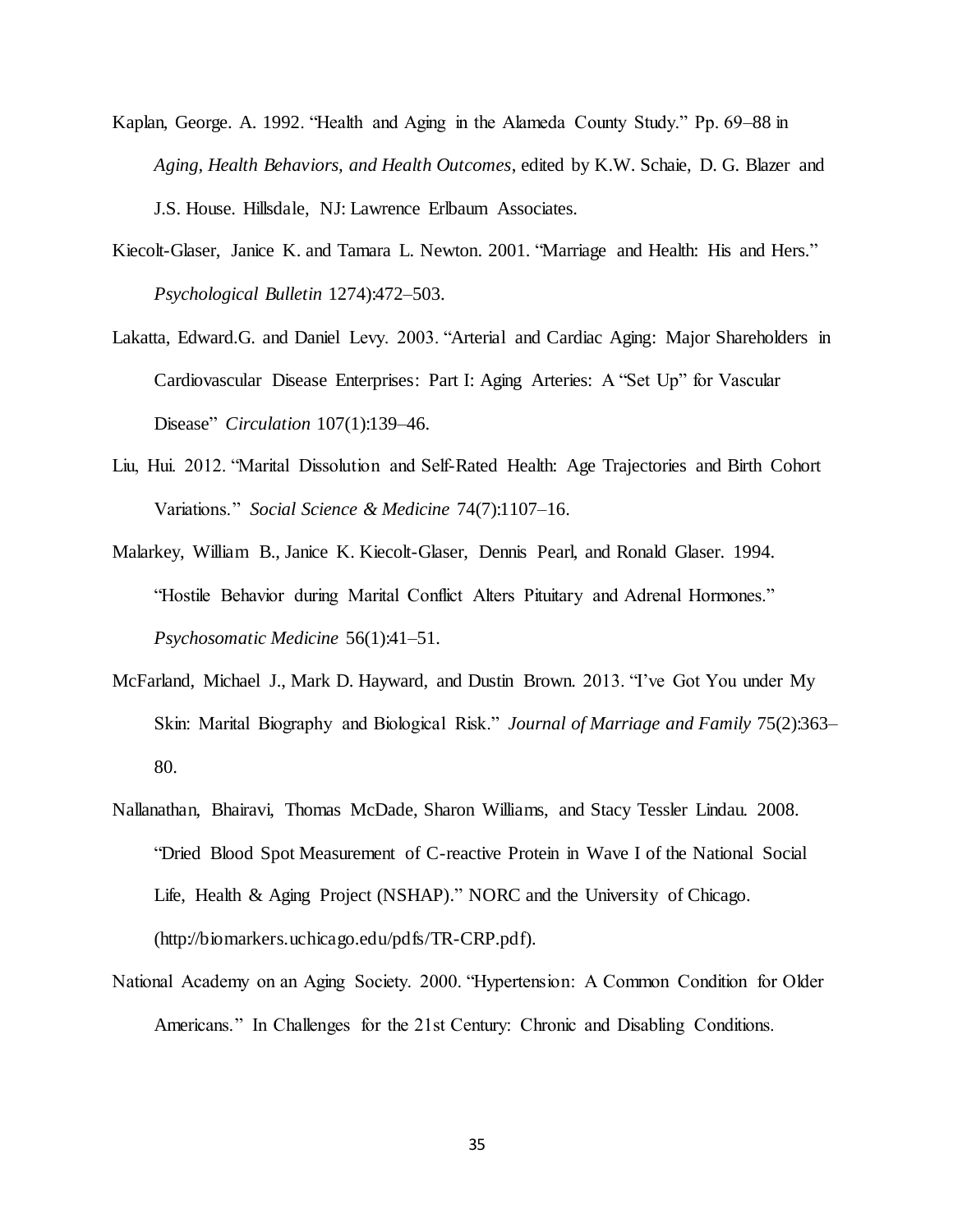- Kaplan, George. A. 1992. "Health and Aging in the Alameda County Study." Pp. 69–88 in *Aging, Health Behaviors, and Health Outcomes*, edited by K.W. Schaie, D. G. Blazer and J.S. House. Hillsdale, NJ: Lawrence Erlbaum Associates.
- Kiecolt-Glaser, Janice K. and Tamara L. Newton. 2001. "Marriage and Health: His and Hers." *Psychological Bulletin* 1274):472–503.
- Lakatta, Edward.G. and Daniel Levy. 2003. ["Arterial and Cardiac Aging: Major Shareholders in](http://circ.ahajournals.org/content/107/1/139.short)  [Cardiovascular Disease Enterprises: Part I: Aging Arteries: A "Set Up" for Vascular](http://circ.ahajournals.org/content/107/1/139.short)  [Disease"](http://circ.ahajournals.org/content/107/1/139.short) *Circulation* 107(1):139–46.
- Liu, Hui. 2012. "Marital Dissolution and Self-Rated Health: Age Trajectories and Birth Cohort Variations." *Social Science & Medicine* 74(7):1107–16.
- Malarkey, William B., Janice K. Kiecolt-Glaser, Dennis Pearl, and Ronald Glaser. 1994. "Hostile Behavior during Marital Conflict Alters Pituitary and Adrenal Hormones." *Psychosomatic Medicine* 56(1):41–51.
- McFarland, Michael J., Mark D. Hayward, and Dustin Brown. 2013. "I've Got You under My Skin: Marital Biography and Biological Risk." *Journal of Marriage and Family* 75(2):363– 80.
- Nallanathan, Bhairavi, Thomas McDade, Sharon Williams, and Stacy Tessler Lindau. 2008. "Dried Blood Spot Measurement of C-reactive Protein in Wave I of the National Social Life, Health & Aging Project (NSHAP)." NORC and the University of Chicago. (http://biomarkers.uchicago.edu/pdfs/TR-CRP.pdf).
- National Academy on an Aging Society. 2000. "Hypertension: A Common Condition for Older Americans." In Challenges for the 21st Century: Chronic and Disabling Conditions.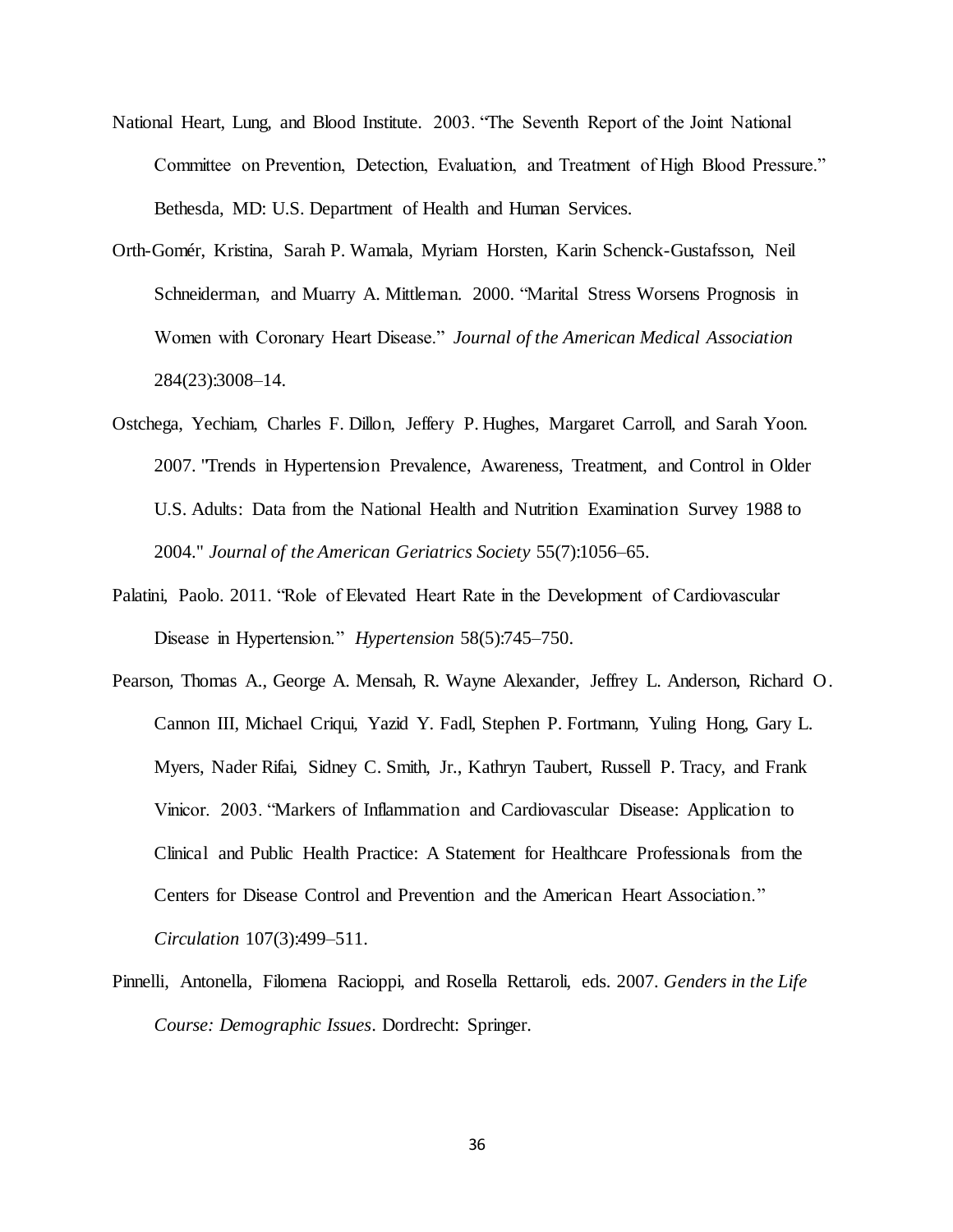- National Heart, Lung, and Blood Institute. 2003. "The Seventh Report of the Joint National Committee on Prevention, Detection, Evaluation, and Treatment of High Blood Pressure." Bethesda, MD: U.S. Department of Health and Human Services.
- Orth-Gomér, Kristina, Sarah P. Wamala, Myriam Horsten, Karin Schenck-Gustafsson, Neil Schneiderman, and Muarry A. Mittleman. 2000. "Marital Stress Worsens Prognosis in Women with Coronary Heart Disease." *Journal of the American Medical Association*  284(23):3008–14.
- Ostchega, Yechiam, Charles F. Dillon, Jeffery P. Hughes, Margaret Carroll, and Sarah Yoon. 2007. "Trends in Hypertension Prevalence, Awareness, Treatment, and Control in Older U.S. Adults: Data from the National Health and Nutrition Examination Survey 1988 to 2004." *Journal of the American Geriatrics Society* 55(7):1056–65.
- Palatini, Paolo. 2011. "Role of Elevated Heart Rate in the Development of Cardiovascular Disease in Hypertension." *Hypertension* 58(5):745–750.
- Pearson, Thomas A., George A. Mensah, R. Wayne Alexander, Jeffrey L. Anderson, Richard O. Cannon III, Michael Criqui, Yazid Y. Fadl, Stephen P. Fortmann, Yuling Hong, Gary L. Myers, Nader Rifai, Sidney C. Smith, Jr., Kathryn Taubert, Russell P. Tracy, and Frank Vinicor. 2003. "Markers of Inflammation and Cardiovascular Disease: Application to Clinical and Public Health Practice: A Statement for Healthcare Professionals from the Centers for Disease Control and Prevention and the American Heart Association." *Circulation* 107(3):499–511.
- Pinnelli, Antonella, Filomena Racioppi, and Rosella Rettaroli, eds. 2007. *Genders in the Life Course: Demographic Issues*. Dordrecht: Springer.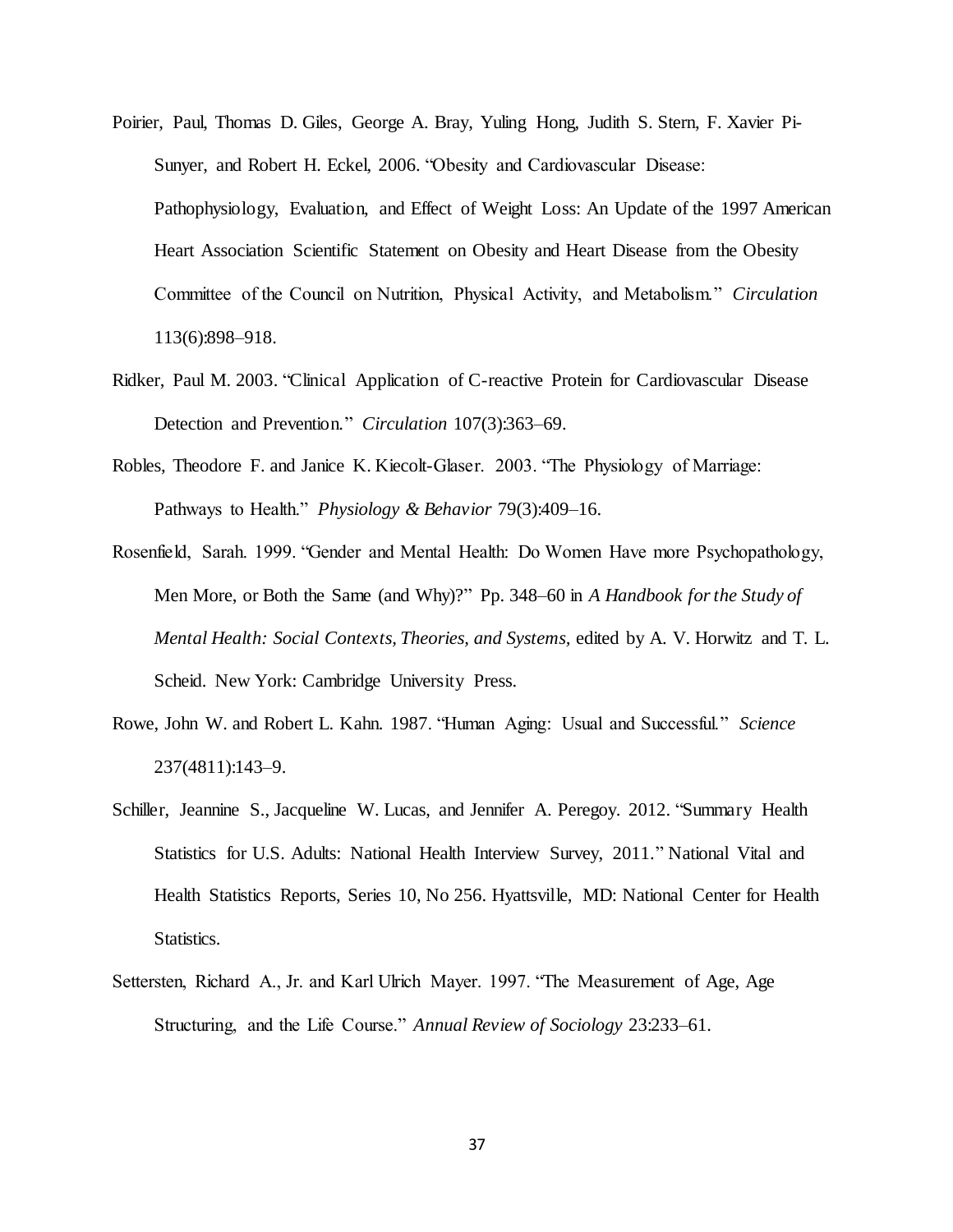- [Poirier,](http://circ.ahajournals.org/search?author1=Paul+Poirier&sortspec=date&submit=Submit) Paul, [Thomas D. Giles,](http://circ.ahajournals.org/search?author1=Thomas+D.+Giles&sortspec=date&submit=Submit) [George A. Bray,](http://circ.ahajournals.org/search?author1=George+A.+Bray&sortspec=date&submit=Submit) [Yuling Hong,](http://circ.ahajournals.org/search?author1=Yuling+Hong&sortspec=date&submit=Submit) [Judith S. Stern,](http://circ.ahajournals.org/search?author1=Judith+S.+Stern&sortspec=date&submit=Submit) [F. Xavier Pi-](http://circ.ahajournals.org/search?author1=F.+Xavier+Pi-Sunyer&sortspec=date&submit=Submit)[Sunyer,](http://circ.ahajournals.org/search?author1=F.+Xavier+Pi-Sunyer&sortspec=date&submit=Submit) and [Robert H. Eckel,](http://circ.ahajournals.org/search?author1=Robert+H.+Eckel&sortspec=date&submit=Submit) 2006. "Obesity and Cardiovascular Disease: Pathophysiology, Evaluation, and Effect of Weight Loss: An Update of the 1997 American Heart Association Scientific Statement on Obesity and Heart Disease from the Obesity Committee of the Council on Nutrition, Physical Activity, and Metabolism." *Circulation* 113(6):898–918.
- Ridker, Paul M. 2003. "Clinical Application of C-reactive Protein for Cardiovascular Disease Detection and Prevention." *Circulation* 107(3):363–69.
- Robles, Theodore F. and Janice K. Kiecolt-Glaser. 2003. "The Physiology of Marriage: Pathways to Health." *Physiology & Behavior* 79(3):409–16.
- Rosenfield, Sarah. 1999. "Gender and Mental Health: Do Women Have more Psychopathology, Men More, or Both the Same (and Why)?" Pp. 348–60 in *A Handbook for the Study of Mental Health: Social Contexts, Theories, and Systems,* edited by A. V. Horwitz and T. L. Scheid. New York: Cambridge University Press.
- Rowe, John W. and Robert L. Kahn. 1987. "Human Aging: Usual and Successful." *Science* 237(4811):143–9.
- Schiller, Jeannine S., Jacqueline W. Lucas, and Jennifer A. Peregoy. 2012. "Summary Health Statistics for U.S. Adults: National Health Interview Survey, 2011." National Vital and Health Statistics Reports, Series 10, No 256. Hyattsville, MD: National Center for Health Statistics.
- Settersten, Richard A., Jr. and Karl Ulrich Mayer. 1997. "The Measurement of Age, Age Structuring, and the Life Course." *Annual Review of Sociology* 23:233–61.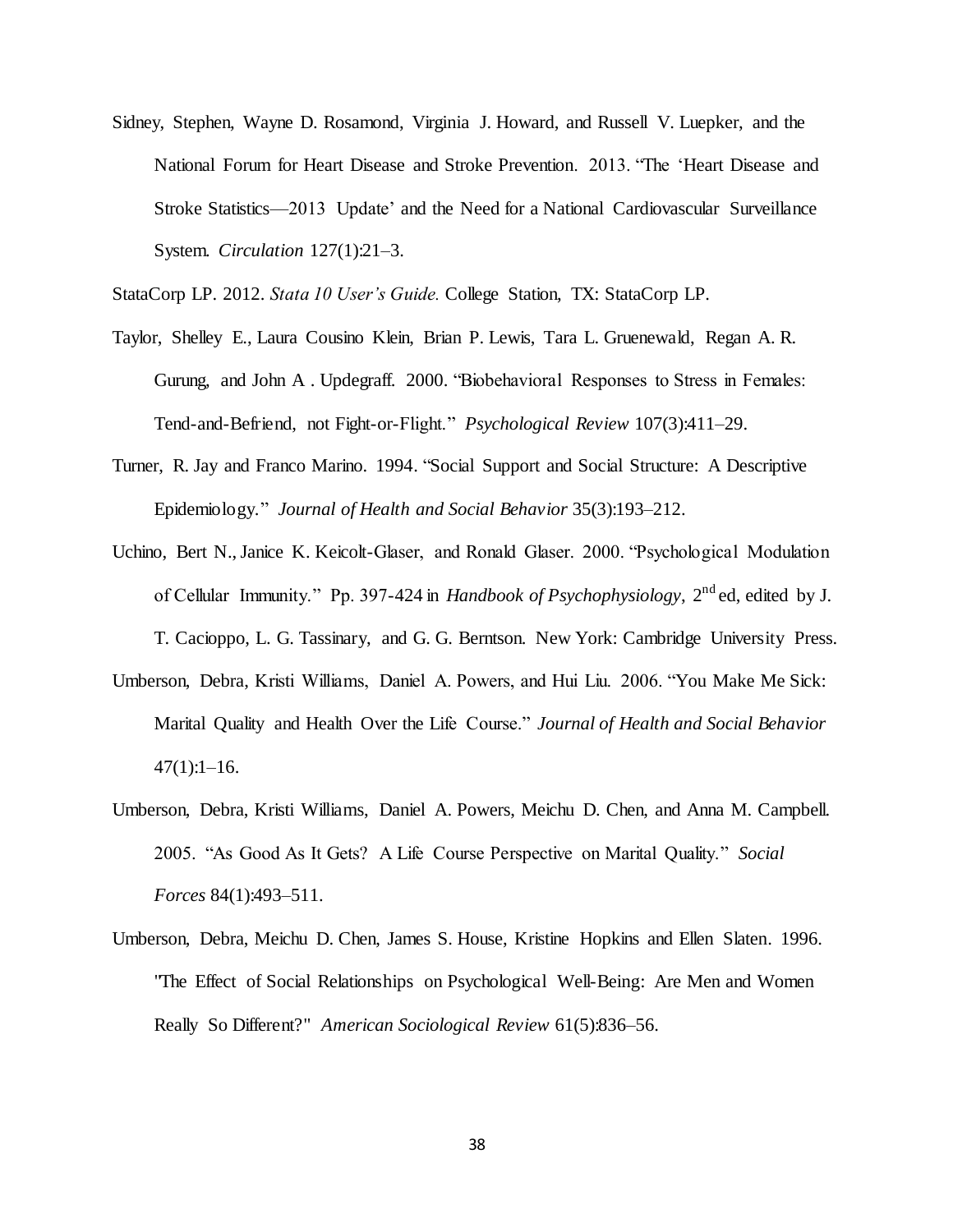Sidney, Stephen, Wayne D. Rosamond, Virginia J. Howard, and Russell V. Luepker, and the National Forum for Heart Disease and Stroke Prevention. 2013. "The 'Heart Disease and Stroke Statistics—2013 Update' and the Need for a National Cardiovascular Surveillance System. *Circulation* 127(1):21–3.

StataCorp LP. 2012. *Stata 10 User's Guide.* College Station, TX: StataCorp LP.

- Taylor, Shelley E., Laura Cousino Klein, Brian P. Lewis, Tara L. Gruenewald, Regan A. R. Gurung, and John A . Updegraff. 2000. "Biobehavioral Responses to Stress in Females: Tend-and-Befriend, not Fight-or-Flight." *Psychological Review* 107(3):411–29.
- Turner, R. Jay and Franco Marino. 1994. "Social Support and Social Structure: A Descriptive Epidemiology." *Journal of Health and Social Behavior* 35(3):193–212.
- Uchino, Bert N., Janice K. Keicolt-Glaser, and Ronald Glaser. 2000. "Psychological Modulation of Cellular Immunity." Pp. 397-424 in *Handbook of Psychophysiology*, 2nd ed, edited by J.

T. Cacioppo, L. G. Tassinary, and G. G. Berntson. New York: Cambridge University Press.

- Umberson, Debra, Kristi Williams, Daniel A. Powers, and Hui Liu. 2006. "You Make Me Sick: Marital Quality and Health Over the Life Course." *Journal of Health and Social Behavior*  $47(1):1-16.$
- Umberson, Debra, Kristi Williams, Daniel A. Powers, Meichu D. Chen, and Anna M. Campbell. 2005. "As Good As It Gets? A Life Course Perspective on Marital Quality." *Social Forces* 84(1):493–511.
- Umberson, Debra, Meichu D. Chen, James S. House, Kristine Hopkins and Ellen Slaten. 1996. "The Effect of Social Relationships on Psychological Well-Being: Are Men and Women Really So Different?" *American Sociological Review* 61(5):836–56.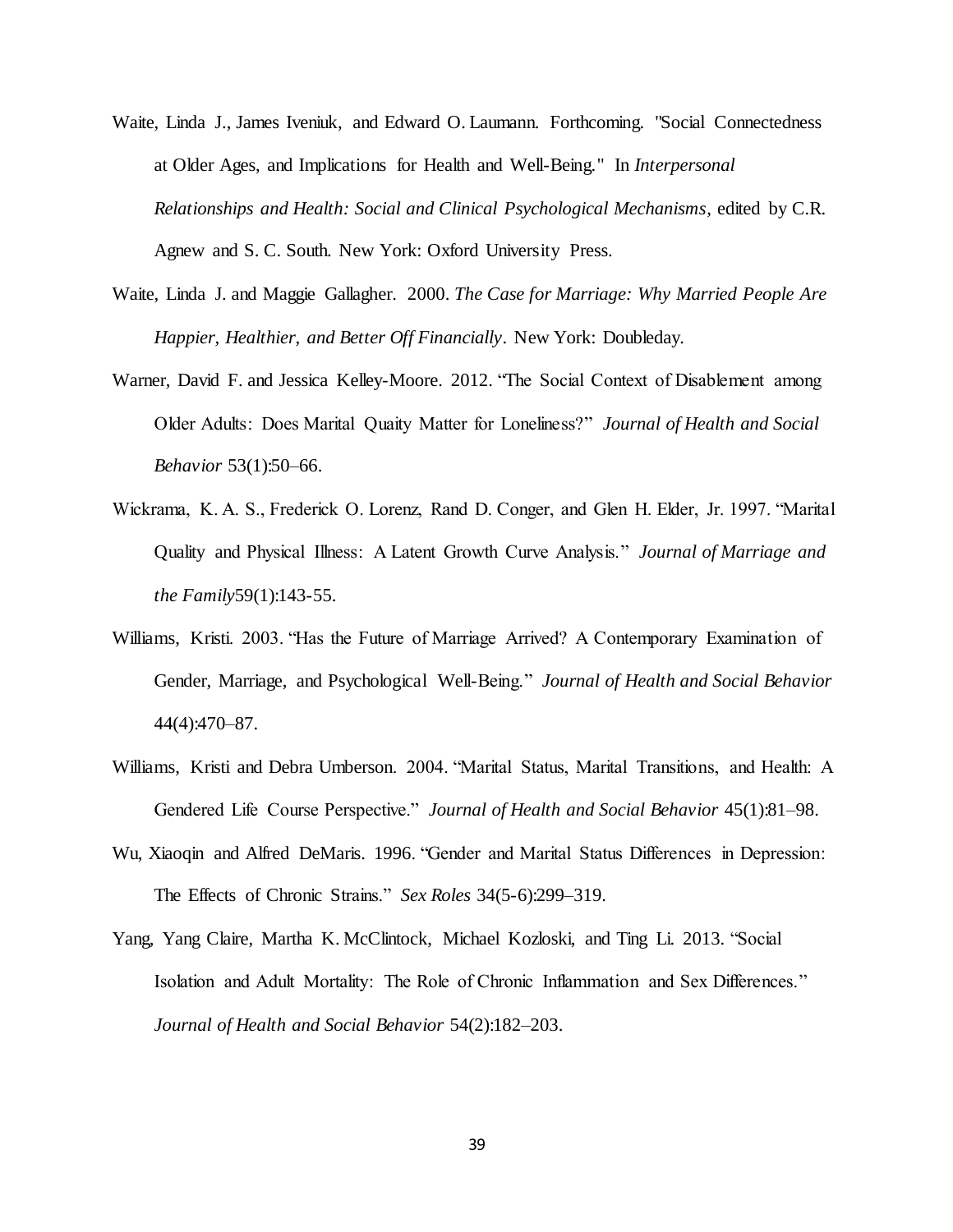- Waite, Linda J., James Iveniuk, and Edward O. Laumann. Forthcoming. "Social Connectedness at Older Ages, and Implications for Health and Well-Being." In *Interpersonal Relationships and Health: Social and Clinical Psychological Mechanisms*, edited by C.R. Agnew and S. C. South. New York: Oxford University Press.
- Waite, Linda J. and Maggie Gallagher. 2000. *The Case for Marriage: Why Married People Are Happier, Healthier, and Better Off Financially*. New York: Doubleday.
- Warner, David F. and Jessica Kelley-Moore. 2012. "The Social Context of Disablement among Older Adults: Does Marital Quaity Matter for Loneliness?" *Journal of Health and Social Behavior* 53(1):50–66.
- Wickrama, K. A. S., Frederick O. Lorenz, Rand D. Conger, and Glen H. Elder, Jr. 1997. "Marital Quality and Physical Illness: A Latent Growth Curve Analysis." *Journal of Marriage and the Family*59(1):143-55.
- Williams, Kristi. 2003. "Has the Future of Marriage Arrived? A Contemporary Examination of Gender, Marriage, and Psychological Well-Being." *Journal of Health and Social Behavior* 44(4):470–87.
- Williams, Kristi and Debra Umberson. 2004. "Marital Status, Marital Transitions, and Health: A Gendered Life Course Perspective." *Journal of Health and Social Behavior* 45(1):81–98.
- Wu, [Xiaoqin](http://link.springer.com/search?facet-author=%22Xiaoqin+Wu%22) and [Alfred DeMaris.](http://link.springer.com/search?facet-author=%22Alfred+DeMaris%22) 1996. "Gender and Marital Status Differences in Depression: The Effects of Chronic Strains." *[Sex Roles](http://link.springer.com/journal/11199)* 34[\(5-6\)](http://link.springer.com/journal/11199/34/5/page/1):299–319.
- Yang, Yang Claire, Martha K. McClintock, Michael Kozloski, and Ting Li. 2013. "Social Isolation and Adult Mortality: The Role of Chronic Inflammation and Sex Differences." *Journal of Health and Social Behavior* 54(2):182–203.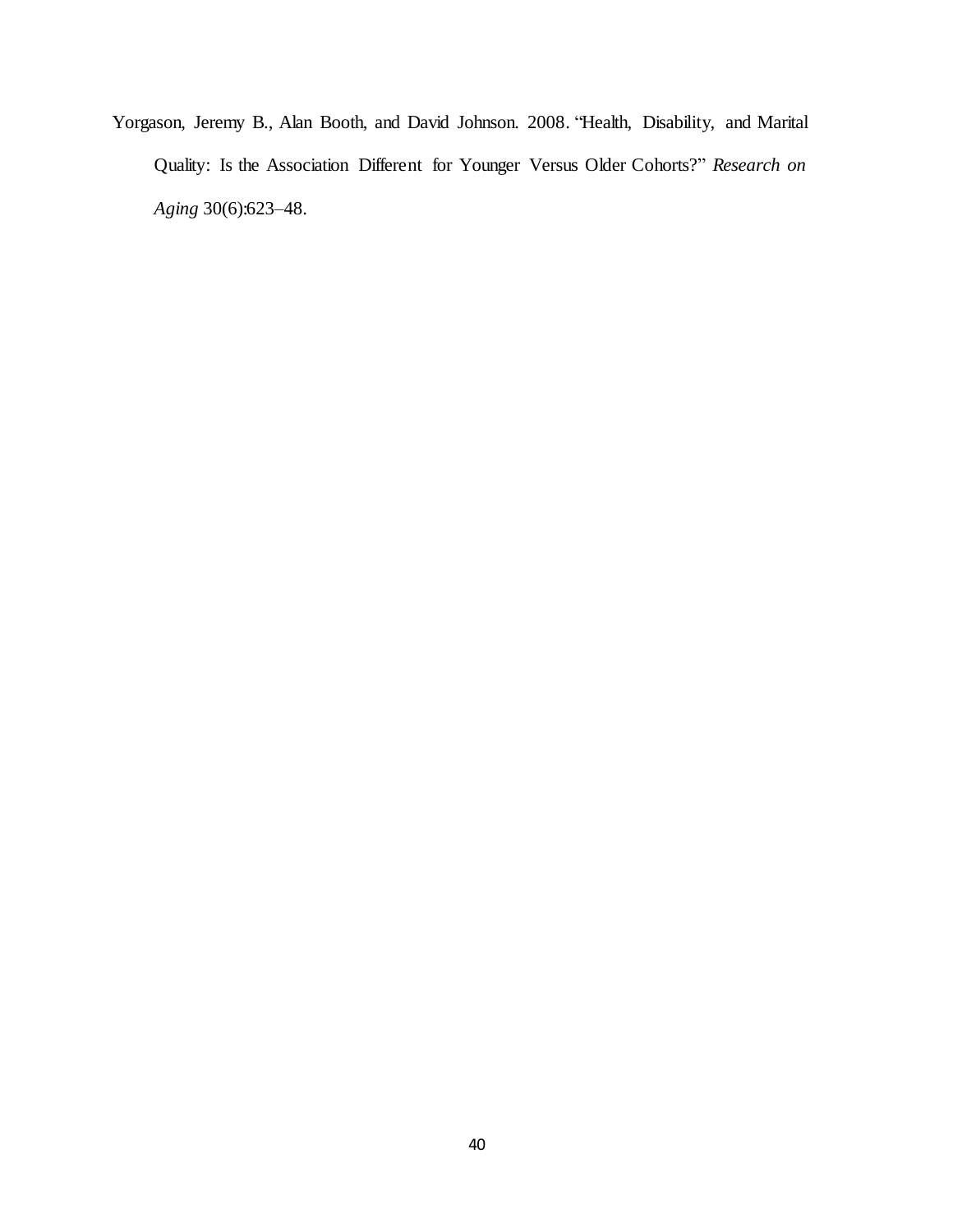Yorgason, Jeremy B., Alan Booth, and David Johnson. 2008. "Health, Disability, and Marital Quality: Is the Association Different for Younger Versus Older Cohorts?" *Research on Aging* 30(6):623–48.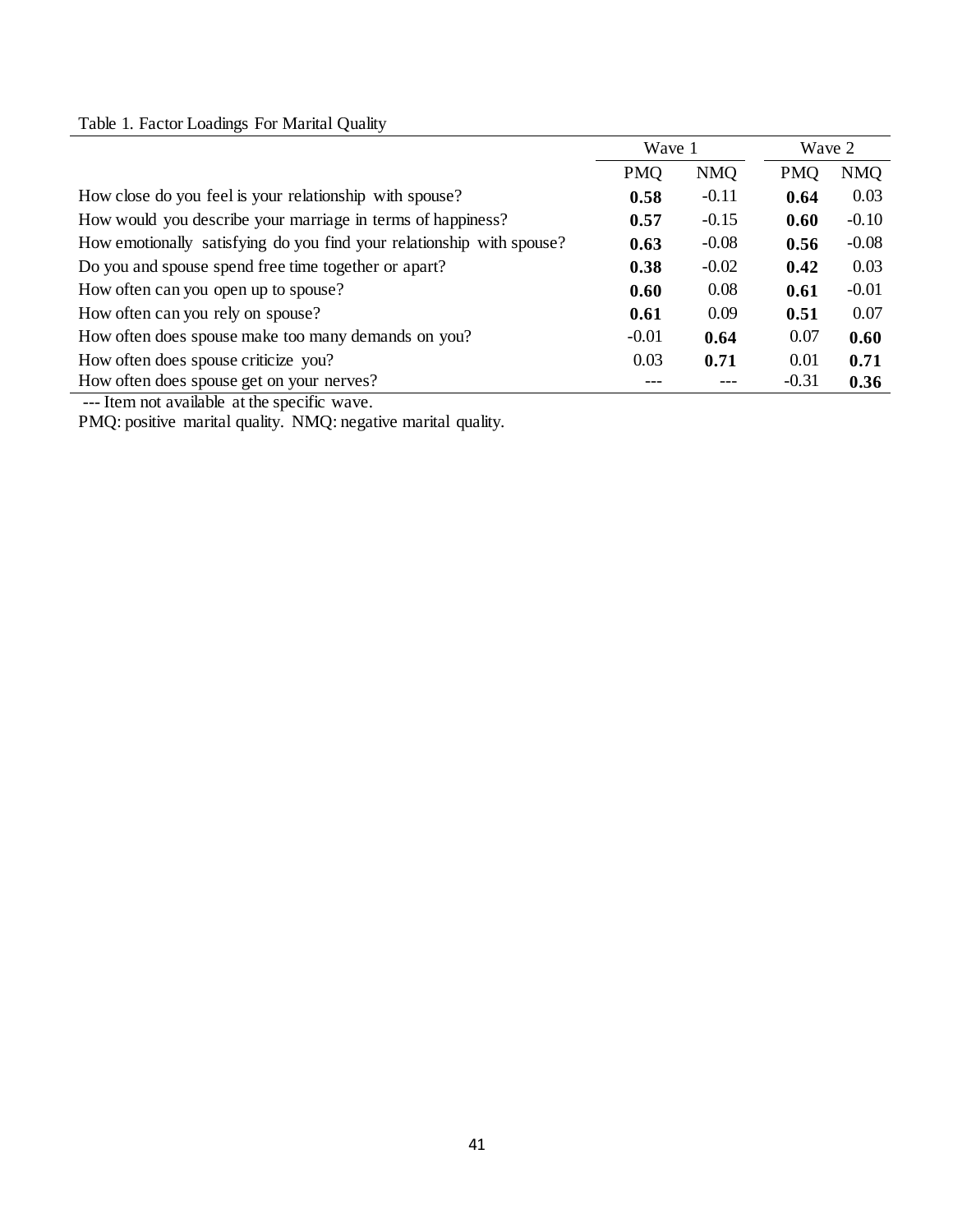# Table 1. Factor Loadings For Marital Quality

|                                                                       | Wave 1     |            | Wave 2     |            |
|-----------------------------------------------------------------------|------------|------------|------------|------------|
|                                                                       | <b>PMQ</b> | <b>NMQ</b> | <b>PMQ</b> | <b>NMQ</b> |
| How close do you feel is your relationship with spouse?               | 0.58       | $-0.11$    | 0.64       | 0.03       |
| How would you describe your marriage in terms of happiness?           | 0.57       | $-0.15$    | 0.60       | $-0.10$    |
| How emotionally satisfying do you find your relationship with spouse? | 0.63       | $-0.08$    | 0.56       | $-0.08$    |
| Do you and spouse spend free time together or apart?                  | 0.38       | $-0.02$    | 0.42       | 0.03       |
| How often can you open up to spouse?                                  | 0.60       | 0.08       | 0.61       | $-0.01$    |
| How often can you rely on spouse?                                     | 0.61       | 0.09       | 0.51       | 0.07       |
| How often does spouse make too many demands on you?                   | $-0.01$    | 0.64       | 0.07       | 0.60       |
| How often does spouse criticize you?                                  | 0.03       | 0.71       | 0.01       | 0.71       |
| How often does spouse get on your nerves?                             |            |            | $-0.31$    | 0.36       |

--- Item not available at the specific wave.

PMQ: positive marital quality. NMQ: negative marital quality.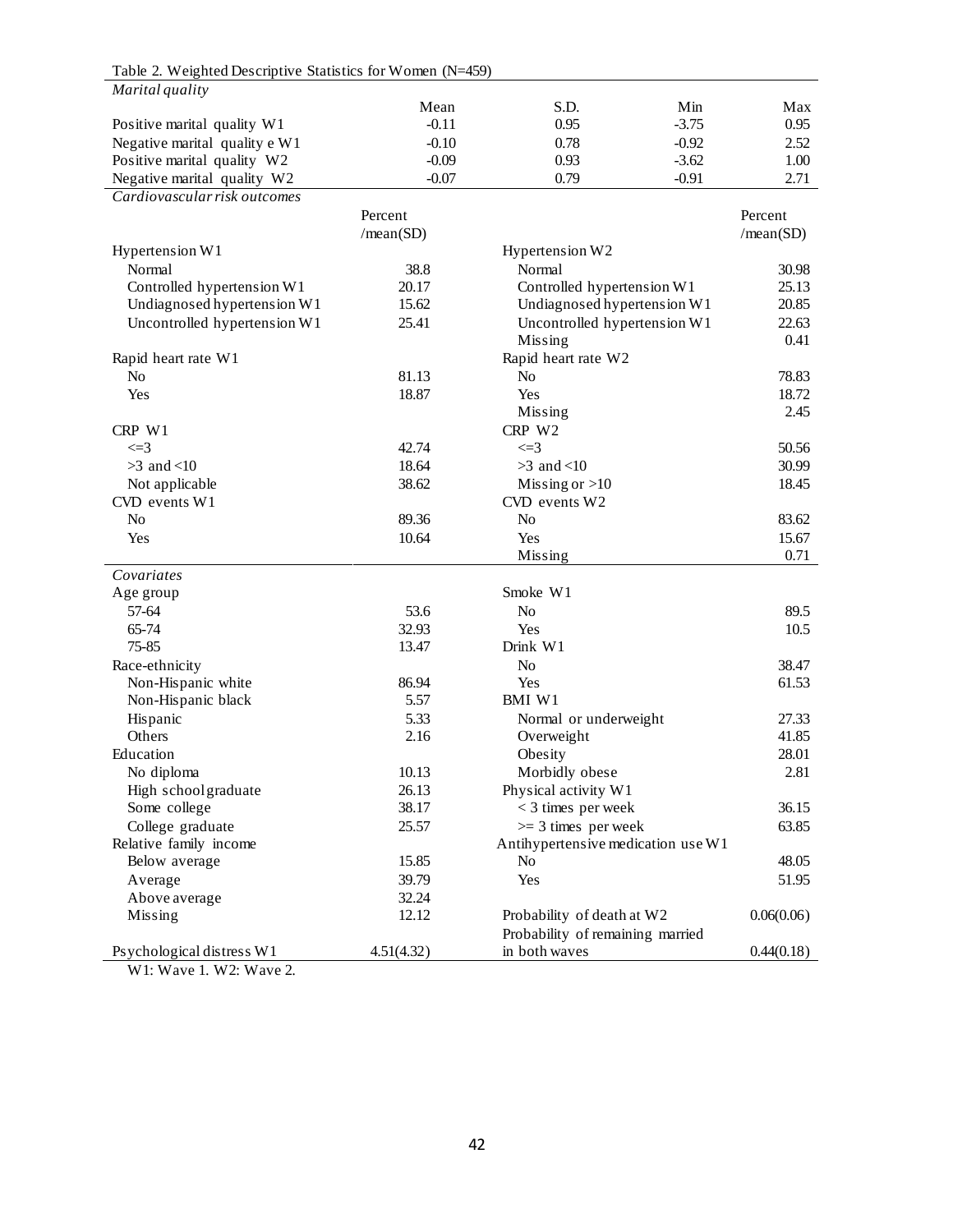| Table 2. Weighted Descriptive Statistics for Women (N=459) |            |                                    |            |
|------------------------------------------------------------|------------|------------------------------------|------------|
| Marital quality                                            |            |                                    |            |
|                                                            | Mean       | S.D.<br>Min                        | Max        |
| Positive marital quality W1                                | $-0.11$    | 0.95<br>$-3.75$                    | 0.95       |
| Negative marital quality e W1                              | $-0.10$    | $-0.92$<br>0.78                    | 2.52       |
| Positive marital quality W2                                | $-0.09$    | 0.93<br>$-3.62$                    | 1.00       |
| Negative marital quality W2                                | $-0.07$    | 0.79<br>$-0.91$                    | 2.71       |
| Cardiovascular risk outcomes                               |            |                                    |            |
|                                                            | Percent    |                                    | Percent    |
|                                                            | /mean(SD)  |                                    | /mean(SD)  |
| Hypertension W1                                            |            | Hypertension W2                    |            |
| Normal                                                     | 38.8       | Normal                             | 30.98      |
| Controlled hypertension W1                                 | 20.17      | Controlled hypertension W1         | 25.13      |
| Undiagnosed hypertension W1                                | 15.62      | Undiagnosed hypertension W1        | 20.85      |
| Uncontrolled hypertension W1                               | 25.41      | Uncontrolled hypertension W1       | 22.63      |
|                                                            |            | Missing                            | 0.41       |
| Rapid heart rate W1                                        |            | Rapid heart rate W2                |            |
| N <sub>o</sub>                                             | 81.13      | No                                 | 78.83      |
| Yes                                                        | 18.87      | Yes                                | 18.72      |
|                                                            |            | Missing                            | 2.45       |
| CRP W1                                                     |            | CRP W2                             |            |
| $\leq$ =3                                                  | 42.74      | $\leq$ 3                           | 50.56      |
| $>3$ and $<10$                                             | 18.64      | $>3$ and $<10$                     | 30.99      |
| Not applicable                                             | 38.62      | Missing or $>10$                   | 18.45      |
| CVD events W1                                              |            | CVD events W2                      |            |
| N <sub>o</sub>                                             | 89.36      | N <sub>o</sub>                     | 83.62      |
| Yes                                                        | 10.64      | Yes                                | 15.67      |
|                                                            |            | Missing                            | 0.71       |
| Covariates                                                 |            |                                    |            |
| Age group                                                  |            | Smoke W1                           |            |
| 57-64                                                      | 53.6       | No                                 | 89.5       |
| 65-74                                                      | 32.93      | Yes                                | 10.5       |
| $75 - 85$                                                  | 13.47      | Drink W1                           |            |
| Race-ethnicity                                             |            | N <sub>o</sub>                     | 38.47      |
| Non-Hispanic white                                         | 86.94      | Yes                                | 61.53      |
| Non-Hispanic black                                         | 5.57       | <b>BMI W1</b>                      |            |
| Hispanic                                                   | 5.33       | Normal or underweight              | 27.33      |
| Others                                                     | 2.16       | Overweight                         | 41.85      |
| Education                                                  |            | Obesity                            | 28.01      |
| No diploma                                                 | 10.13      | Morbidly obese                     | 2.81       |
| High school graduate                                       | 26.13      | Physical activity W1               |            |
| Some college                                               | 38.17      | $<$ 3 times per week               | 36.15      |
| College graduate                                           | 25.57      | $>=$ 3 times per week              | 63.85      |
| Relative family income                                     |            | Antihypertensive medication use W1 |            |
| Below average                                              | 15.85      | N <sub>o</sub>                     | 48.05      |
| Average                                                    | 39.79      | Yes                                | 51.95      |
| Above average                                              | 32.24      |                                    |            |
| Missing                                                    | 12.12      | Probability of death at W2         | 0.06(0.06) |
|                                                            |            | Probability of remaining married   |            |
| Psychological distress W1                                  | 4.51(4.32) | in both waves                      | 0.44(0.18) |

W1: Wave 1. W2: Wave 2.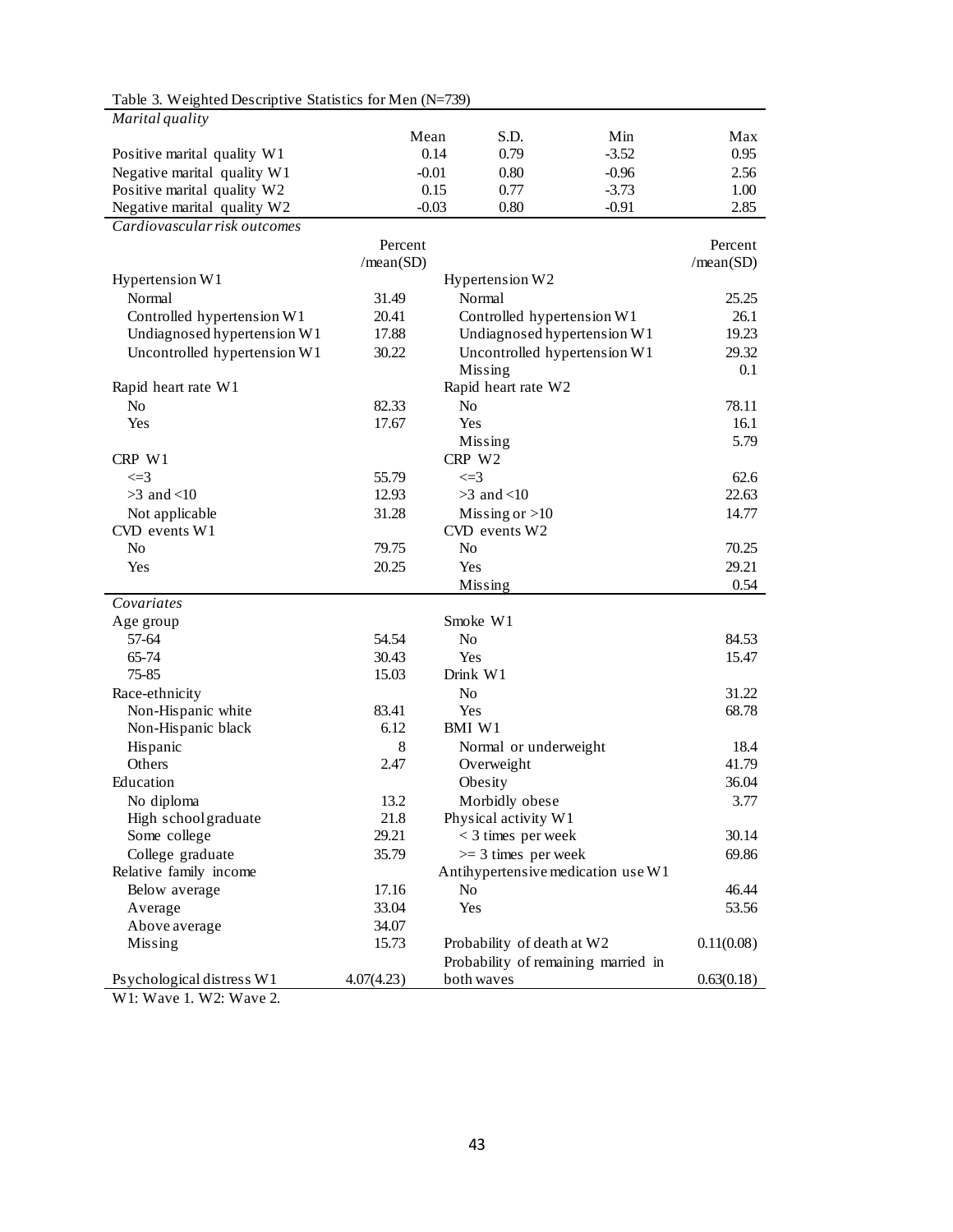| rable 5. Weighted Descriptive Statistics for Men $(Y - 139)$ |                      |                |                            |                                     |                      |
|--------------------------------------------------------------|----------------------|----------------|----------------------------|-------------------------------------|----------------------|
| Marital quality                                              |                      |                |                            |                                     |                      |
|                                                              |                      | Mean           | S.D.                       | Min                                 | Max                  |
| Positive marital quality W1                                  |                      | 0.14           | 0.79                       | $-3.52$                             | 0.95                 |
| Negative marital quality W1                                  |                      | $-0.01$        | 0.80                       | $-0.96$                             | 2.56                 |
| Positive marital quality W2                                  |                      | 0.15           | 0.77                       | $-3.73$                             | 1.00                 |
| Negative marital quality W2                                  |                      | $-0.03$        | 0.80                       | $-0.91$                             | 2.85                 |
| Cardiovascular risk outcomes                                 |                      |                |                            |                                     |                      |
|                                                              | Percent<br>/mean(SD) |                |                            |                                     | Percent<br>/mean(SD) |
| Hypertension W1                                              |                      |                | Hypertension W2            |                                     |                      |
| Normal                                                       | 31.49                |                | Normal                     |                                     | 25.25                |
| Controlled hypertension W1                                   | 20.41                |                | Controlled hypertension W1 |                                     | 26.1                 |
| Undiagnosed hypertension W1                                  | 17.88                |                |                            | Undiagnosed hypertension W1         | 19.23                |
| Uncontrolled hypertension W1                                 | 30.22                |                |                            | Uncontrolled hypertension W1        | 29.32                |
|                                                              |                      |                | Missing                    |                                     | 0.1                  |
| Rapid heart rate W1                                          |                      |                | Rapid heart rate W2        |                                     |                      |
| N <sub>o</sub>                                               | 82.33                | N <sub>0</sub> |                            |                                     | 78.11                |
| Yes                                                          | 17.67                | Yes            |                            |                                     | 16.1                 |
|                                                              |                      |                | Missing                    |                                     | 5.79                 |
| CRP W1                                                       |                      | CRP W2         |                            |                                     |                      |
| $\leq$ 3                                                     | 55.79                | $\leq$ =3      |                            |                                     | 62.6                 |
| $>3$ and $<10$                                               | 12.93                |                | $>3$ and $<10$             |                                     | 22.63                |
| Not applicable                                               | 31.28                |                | Missing or $>10$           |                                     | 14.77                |
| CVD events W1                                                |                      |                | CVD events W2              |                                     |                      |
| N <sub>o</sub>                                               | 79.75                | No             |                            |                                     | 70.25                |
| Yes                                                          | 20.25                | Yes            |                            |                                     | 29.21                |
|                                                              |                      |                | Missing                    |                                     | 0.54                 |
| Covariates                                                   |                      |                |                            |                                     |                      |
| Age group                                                    |                      |                | Smoke W1                   |                                     |                      |
| 57-64                                                        | 54.54                | N <sub>0</sub> |                            |                                     | 84.53                |
| 65-74                                                        | 30.43                | Yes            |                            |                                     | 15.47                |
| 75-85                                                        | 15.03                | Drink W1       |                            |                                     |                      |
| Race-ethnicity                                               |                      | N <sub>o</sub> |                            |                                     | 31.22                |
| Non-Hispanic white                                           | 83.41                | Yes            |                            |                                     | 68.78                |
| Non-Hispanic black                                           | 6.12                 | <b>BMI W1</b>  |                            |                                     |                      |
| Hispanic                                                     | 8                    |                | Normal or underweight      |                                     | 18.4                 |
| Others                                                       | 2.47                 |                | Overweight                 |                                     | 41.79                |
| Education                                                    |                      |                | Obesity                    |                                     | 36.04                |
| No diploma                                                   | 13.2                 |                | Morbidly obese             |                                     | 3.77                 |
| High school graduate                                         | 21.8                 |                | Physical activity W1       |                                     |                      |
| Some college                                                 | 29.21                |                | $<$ 3 times per week       |                                     | 30.14                |
| College graduate                                             | 35.79                |                | $>=$ 3 times per week      |                                     | 69.86                |
| Relative family income                                       |                      |                |                            | Antihypertensive medication use W1  |                      |
| Below average                                                | 17.16                | No             |                            |                                     | 46.44                |
| Average                                                      | 33.04                | Yes            |                            |                                     | 53.56                |
| Above average                                                | 34.07                |                |                            |                                     |                      |
| Missing                                                      | 15.73                |                | Probability of death at W2 |                                     | 0.11(0.08)           |
|                                                              |                      |                |                            | Probability of remaining married in |                      |
| Psychological distress W1                                    | 4.07(4.23)           |                | both waves                 |                                     | 0.63(0.18)           |

Table 3. Weighted Descriptive Statistics for Men (N=739)

W1: Wave 1. W2: Wave 2.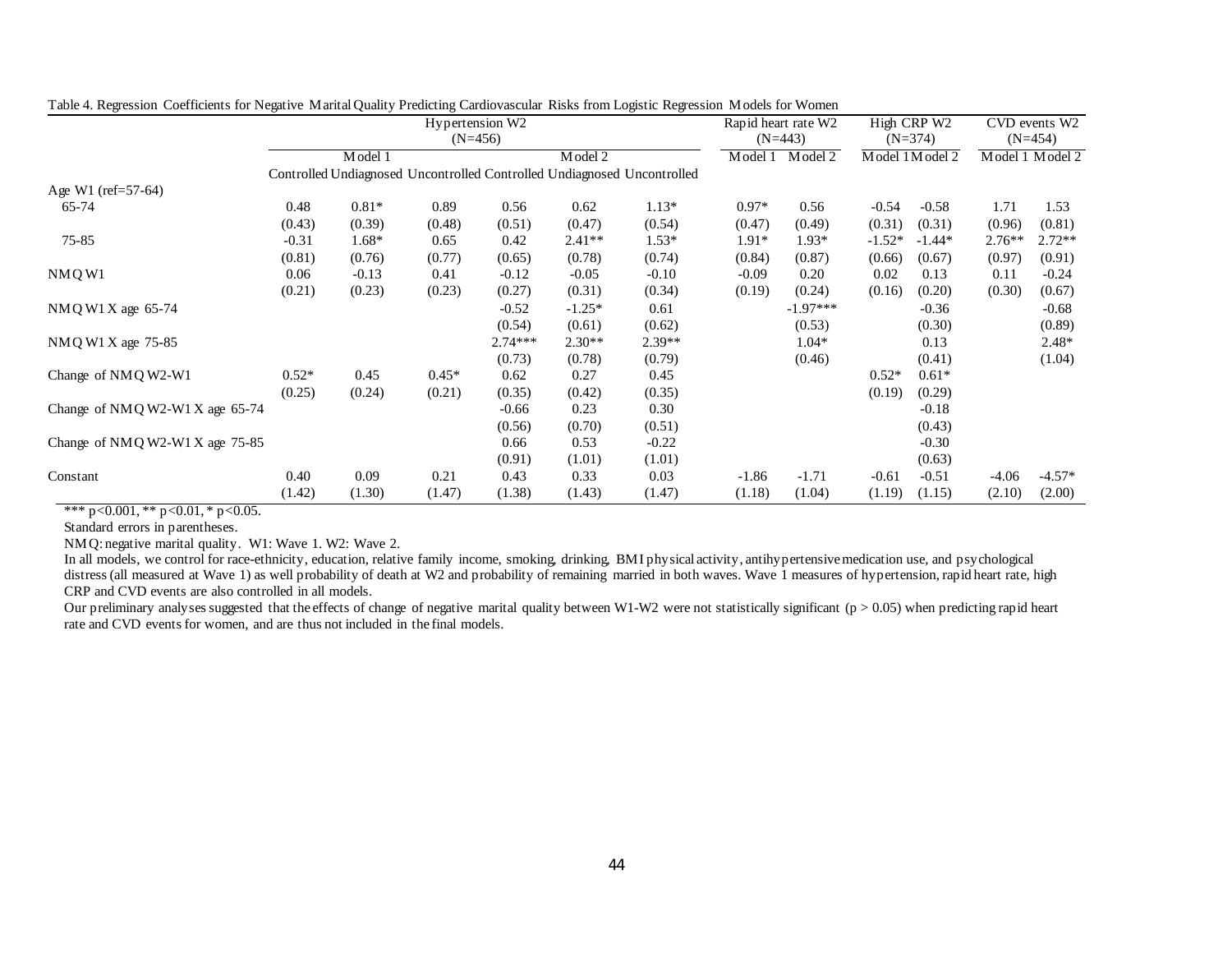|                                   | Hypertension W2<br>$(N=456)$ |         |         |           |          |                                                                         | Rapid heart rate W2<br>$(N=443)$ |            | High CRP W2<br>$(N=374)$ |                                | CVD events W2<br>$(N=454)$ |                 |
|-----------------------------------|------------------------------|---------|---------|-----------|----------|-------------------------------------------------------------------------|----------------------------------|------------|--------------------------|--------------------------------|----------------------------|-----------------|
|                                   |                              | Model 1 |         |           | Model 2  |                                                                         | Model 1                          | Model 2    |                          | Model $1\overline{M}$ odel $2$ |                            | Model 1 Model 2 |
|                                   |                              |         |         |           |          | Controlled Undiagnosed Uncontrolled Controlled Undiagnosed Uncontrolled |                                  |            |                          |                                |                            |                 |
| Age W1 (ref=57-64)                |                              |         |         |           |          |                                                                         |                                  |            |                          |                                |                            |                 |
| 65-74                             | 0.48                         | $0.81*$ | 0.89    | 0.56      | 0.62     | $1.13*$                                                                 | $0.97*$                          | 0.56       | $-0.54$                  | $-0.58$                        | 1.71                       | 1.53            |
|                                   | (0.43)                       | (0.39)  | (0.48)  | (0.51)    | (0.47)   | (0.54)                                                                  | (0.47)                           | (0.49)     | (0.31)                   | (0.31)                         | (0.96)                     | (0.81)          |
| 75-85                             | $-0.31$                      | $1.68*$ | 0.65    | 0.42      | $2.41**$ | $1.53*$                                                                 | $1.91*$                          | $1.93*$    | $-1.52*$                 | $-1.44*$                       | $2.76**$                   | $2.72**$        |
|                                   | (0.81)                       | (0.76)  | (0.77)  | (0.65)    | (0.78)   | (0.74)                                                                  | (0.84)                           | (0.87)     | (0.66)                   | (0.67)                         | (0.97)                     | (0.91)          |
| NMQW1                             | 0.06                         | $-0.13$ | 0.41    | $-0.12$   | $-0.05$  | $-0.10$                                                                 | $-0.09$                          | 0.20       | 0.02                     | 0.13                           | 0.11                       | $-0.24$         |
|                                   | (0.21)                       | (0.23)  | (0.23)  | (0.27)    | (0.31)   | (0.34)                                                                  | (0.19)                           | (0.24)     | (0.16)                   | (0.20)                         | (0.30)                     | (0.67)          |
| NMQ W1 X age 65-74                |                              |         |         | $-0.52$   | $-1.25*$ | 0.61                                                                    |                                  | $-1.97***$ |                          | $-0.36$                        |                            | $-0.68$         |
|                                   |                              |         |         | (0.54)    | (0.61)   | (0.62)                                                                  |                                  | (0.53)     |                          | (0.30)                         |                            | (0.89)          |
| NMQ W1 X age 75-85                |                              |         |         | $2.74***$ | $2.30**$ | $2.39**$                                                                |                                  | $1.04*$    |                          | 0.13                           |                            | $2.48*$         |
|                                   |                              |         |         | (0.73)    | (0.78)   | (0.79)                                                                  |                                  | (0.46)     |                          | (0.41)                         |                            | (1.04)          |
| Change of NMQ W2-W1               | $0.52*$                      | 0.45    | $0.45*$ | 0.62      | 0.27     | 0.45                                                                    |                                  |            | $0.52*$                  | $0.61*$                        |                            |                 |
|                                   | (0.25)                       | (0.24)  | (0.21)  | (0.35)    | (0.42)   | (0.35)                                                                  |                                  |            | (0.19)                   | (0.29)                         |                            |                 |
| Change of NMQ W2-W1 X age $65-74$ |                              |         |         | $-0.66$   | 0.23     | 0.30                                                                    |                                  |            |                          | $-0.18$                        |                            |                 |
|                                   |                              |         |         | (0.56)    | (0.70)   | (0.51)                                                                  |                                  |            |                          | (0.43)                         |                            |                 |
| Change of NMQ W2-W1 X age 75-85   |                              |         |         | 0.66      | 0.53     | $-0.22$                                                                 |                                  |            |                          | $-0.30$                        |                            |                 |
|                                   |                              |         |         | (0.91)    | (1.01)   | (1.01)                                                                  |                                  |            |                          | (0.63)                         |                            |                 |
| Constant                          | 0.40                         | 0.09    | 0.21    | 0.43      | 0.33     | 0.03                                                                    | $-1.86$                          | $-1.71$    | $-0.61$                  | $-0.51$                        | $-4.06$                    | $-4.57*$        |
|                                   | (1.42)                       | (1.30)  | (1.47)  | (1.38)    | (1.43)   | (1.47)                                                                  | (1.18)                           | (1.04)     | (1.19)                   | (1.15)                         | (2.10)                     | (2.00)          |

|  |  |  | Table 4. Regression Coefficients for Negative Marital Quality Predicting Cardiovascular Risks from Logistic Regression Models for Women |  |  |  |
|--|--|--|-----------------------------------------------------------------------------------------------------------------------------------------|--|--|--|
|  |  |  |                                                                                                                                         |  |  |  |
|  |  |  |                                                                                                                                         |  |  |  |

\*\*\* p<0.001, \*\* p<0.01, \* p<0.05.

Standard errors in parentheses.

NMQ: negative marital quality. W1: Wave 1. W2: Wave 2.

In all models, we control for race-ethnicity, education, relative family income, smoking, drinking, BMI physical activity, antihypertensive medication use, and psychological distress (all measured at Wave 1) as well probability of death at W2 and probability of remaining married in both waves. Wave 1 measures of hypertension, rapid heart rate, high CRP and CVD events are also controlled in all models.

Our preliminary analyses suggested that the effects of change of negative marital quality between W1-W2 were not statistically significant (p > 0.05) when predicting rapid heart rate and CVD events for women, and are thus not included in the final models.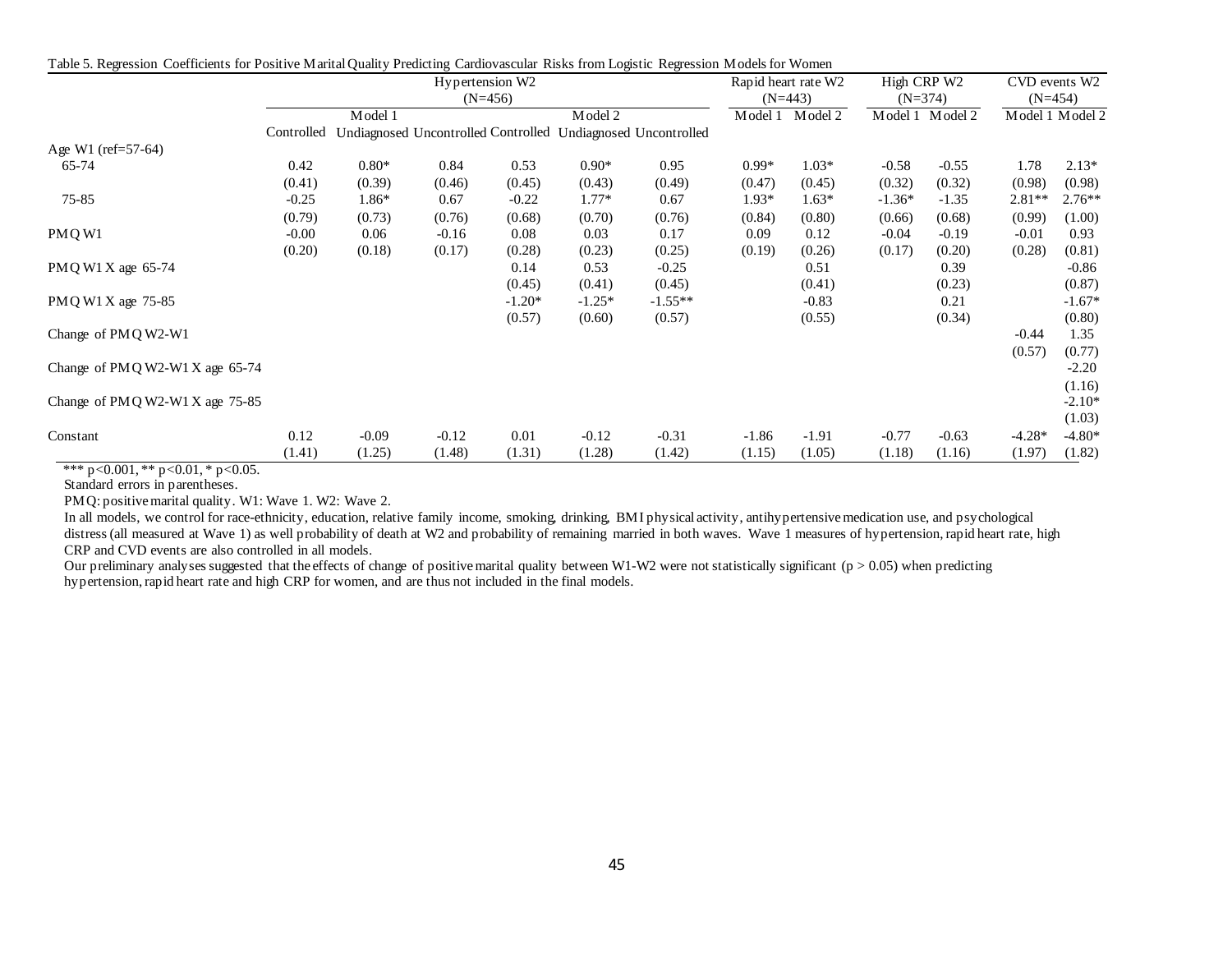| able 5: Regression Coemetents for 1 control manual guanty 1 redicting | Hypertension W2<br>$(N=456)$ |         |         |          |                                                              |           |         | Rapid heart rate W2<br>$(N=443)$ |          | High CRP W2<br>$(N=374)$ |          | CVD events W2<br>$(N=454)$ |
|-----------------------------------------------------------------------|------------------------------|---------|---------|----------|--------------------------------------------------------------|-----------|---------|----------------------------------|----------|--------------------------|----------|----------------------------|
|                                                                       |                              | Model 1 |         |          | Model 2                                                      |           |         | Model 2                          |          | Model 1 Model 2          |          | Model 1 Model 2            |
|                                                                       | Controlled                   |         |         |          | Undiagnosed Uncontrolled Controlled Undiagnosed Uncontrolled |           |         |                                  |          |                          |          |                            |
| Age W1 (ref=57-64)                                                    |                              |         |         |          |                                                              |           |         |                                  |          |                          |          |                            |
| 65-74                                                                 | 0.42                         | $0.80*$ | 0.84    | 0.53     | $0.90*$                                                      | 0.95      | $0.99*$ | $1.03*$                          | $-0.58$  | $-0.55$                  | 1.78     | $2.13*$                    |
|                                                                       | (0.41)                       | (0.39)  | (0.46)  | (0.45)   | (0.43)                                                       | (0.49)    | (0.47)  | (0.45)                           | (0.32)   | (0.32)                   | (0.98)   | (0.98)                     |
| 75-85                                                                 | $-0.25$                      | $1.86*$ | 0.67    | $-0.22$  | $1.77*$                                                      | 0.67      | $1.93*$ | $1.63*$                          | $-1.36*$ | $-1.35$                  | $2.81**$ | $2.76**$                   |
|                                                                       | (0.79)                       | (0.73)  | (0.76)  | (0.68)   | (0.70)                                                       | (0.76)    | (0.84)  | (0.80)                           | (0.66)   | (0.68)                   | (0.99)   | (1.00)                     |
| PMQ W1                                                                | $-0.00$                      | 0.06    | $-0.16$ | 0.08     | 0.03                                                         | 0.17      | 0.09    | 0.12                             | $-0.04$  | $-0.19$                  | $-0.01$  | 0.93                       |
|                                                                       | (0.20)                       | (0.18)  | (0.17)  | (0.28)   | (0.23)                                                       | (0.25)    | (0.19)  | (0.26)                           | (0.17)   | (0.20)                   | (0.28)   | (0.81)                     |
| PM Q W1 X age 65-74                                                   |                              |         |         | 0.14     | 0.53                                                         | $-0.25$   |         | 0.51                             |          | 0.39                     |          | $-0.86$                    |
|                                                                       |                              |         |         | (0.45)   | (0.41)                                                       | (0.45)    |         | (0.41)                           |          | (0.23)                   |          | (0.87)                     |
| PM Q W1 X age 75-85                                                   |                              |         |         | $-1.20*$ | $-1.25*$                                                     | $-1.55**$ |         | $-0.83$                          |          | 0.21                     |          | $-1.67*$                   |
|                                                                       |                              |         |         | (0.57)   | (0.60)                                                       | (0.57)    |         | (0.55)                           |          | (0.34)                   |          | (0.80)                     |
| Change of PMQ W2-W1                                                   |                              |         |         |          |                                                              |           |         |                                  |          |                          | $-0.44$  | 1.35                       |
|                                                                       |                              |         |         |          |                                                              |           |         |                                  |          |                          | (0.57)   | (0.77)                     |
| Change of PMQ W2-W1 X age $65-74$                                     |                              |         |         |          |                                                              |           |         |                                  |          |                          |          | $-2.20$                    |
|                                                                       |                              |         |         |          |                                                              |           |         |                                  |          |                          |          | (1.16)                     |
| Change of PMQ W2-W1 X age 75-85                                       |                              |         |         |          |                                                              |           |         |                                  |          |                          |          | $-2.10*$                   |
|                                                                       |                              |         |         |          |                                                              |           |         |                                  |          |                          |          | (1.03)                     |
| Constant                                                              | 0.12                         | $-0.09$ | $-0.12$ | 0.01     | $-0.12$                                                      | $-0.31$   | $-1.86$ | $-1.91$                          | $-0.77$  | $-0.63$                  | $-4.28*$ | $-4.80*$                   |
|                                                                       | (1.41)                       | (1.25)  | (1.48)  | (1.31)   | (1.28)                                                       | (1.42)    | (1.15)  | (1.05)                           | (1.18)   | (1.16)                   | (1.97)   | (1.82)                     |

Table 5. Regression Coefficients for Positive Marital Quality Predicting Cardiovascular Risks from Logistic Regression Models for Women

\*\*\* p<0.001, \*\* p<0.01, \* p<0.05.

Standard errors in parentheses.

PMQ: positive marital quality. W1: Wave 1. W2: Wave 2.

In all models, we control for race-ethnicity, education, relative family income, smoking, drinking, BMI physical activity, antihypertensive medication use, and psychological distress (all measured at Wave 1) as well probability of death at W2 and probability of remaining married in both waves. Wave 1 measures of hypertension, rapid heart rate, high CRP and CVD events are also controlled in all models.

Our preliminary analyses suggested that the effects of change of positive marital quality between W1-W2 were not statistically significant ( $p > 0.05$ ) when predicting hypertension, rapid heart rate and high CRP for women, and are thus not included in the final models.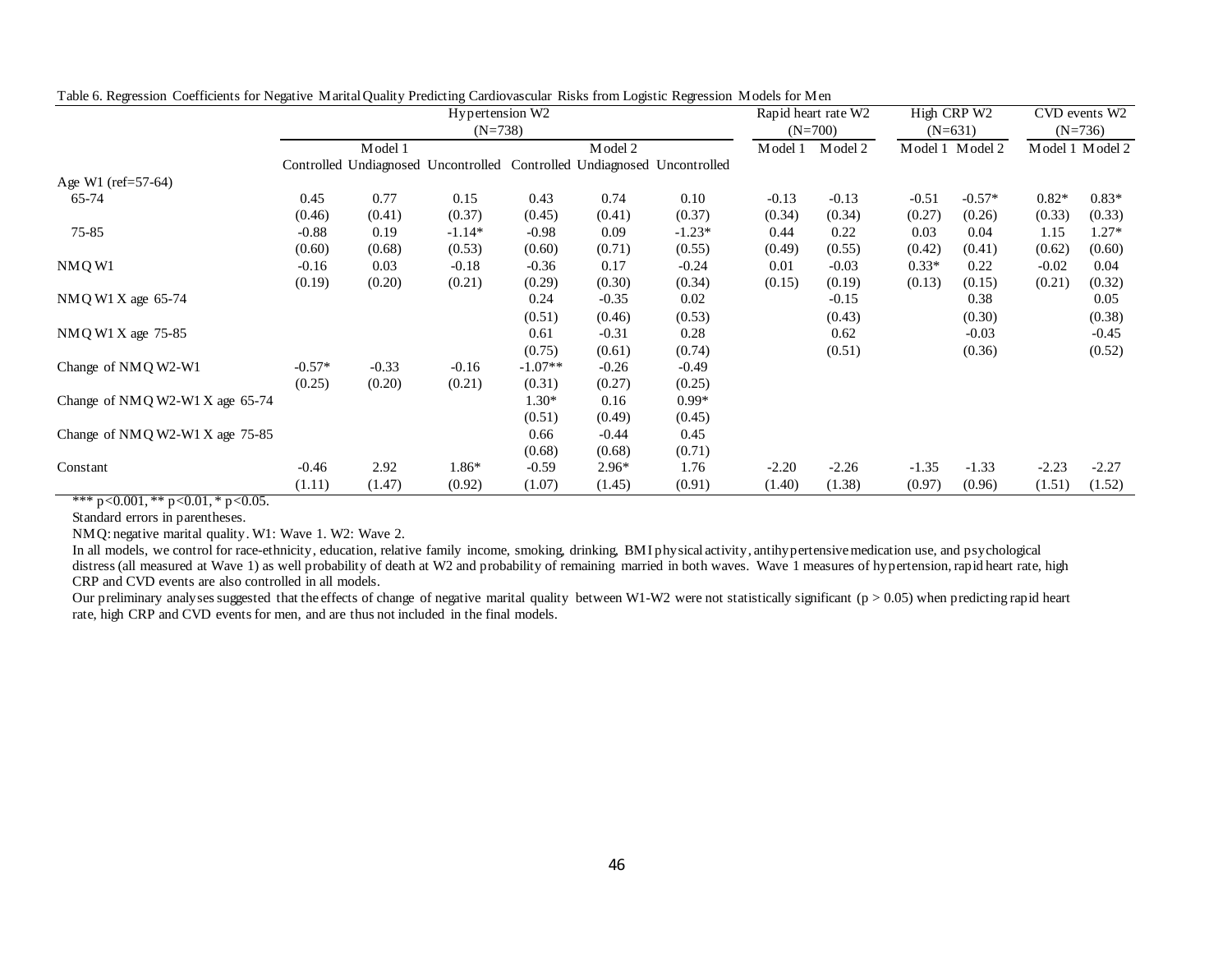|                                 |          |         | Hypertension W2 |           |         | Rapid heart rate W2                                                     |         | High CRP W2 |         | CVD events W2   |         |                 |
|---------------------------------|----------|---------|-----------------|-----------|---------|-------------------------------------------------------------------------|---------|-------------|---------|-----------------|---------|-----------------|
|                                 |          |         | $(N=738)$       |           |         |                                                                         |         | $(N=700)$   |         | $(N=631)$       |         | $(N=736)$       |
|                                 |          | Model 1 |                 |           | Model 2 |                                                                         | Model 1 | Model 2     |         | Model 1 Model 2 |         | Model 1 Model 2 |
|                                 |          |         |                 |           |         | Controlled Undiagnosed Uncontrolled Controlled Undiagnosed Uncontrolled |         |             |         |                 |         |                 |
| Age W1 ( $ref=57-64$ )          |          |         |                 |           |         |                                                                         |         |             |         |                 |         |                 |
| 65-74                           | 0.45     | 0.77    | 0.15            | 0.43      | 0.74    | 0.10                                                                    | $-0.13$ | $-0.13$     | $-0.51$ | $-0.57*$        | $0.82*$ | $0.83*$         |
|                                 | (0.46)   | (0.41)  | (0.37)          | (0.45)    | (0.41)  | (0.37)                                                                  | (0.34)  | (0.34)      | (0.27)  | (0.26)          | (0.33)  | (0.33)          |
| $75 - 85$                       | $-0.88$  | 0.19    | $-1.14*$        | $-0.98$   | 0.09    | $-1.23*$                                                                | 0.44    | 0.22        | 0.03    | 0.04            | 1.15    | $1.27*$         |
|                                 | (0.60)   | (0.68)  | (0.53)          | (0.60)    | (0.71)  | (0.55)                                                                  | (0.49)  | (0.55)      | (0.42)  | (0.41)          | (0.62)  | (0.60)          |
| NMQ W1                          | $-0.16$  | 0.03    | $-0.18$         | $-0.36$   | 0.17    | $-0.24$                                                                 | 0.01    | $-0.03$     | $0.33*$ | 0.22            | $-0.02$ | 0.04            |
|                                 | (0.19)   | (0.20)  | (0.21)          | (0.29)    | (0.30)  | (0.34)                                                                  | (0.15)  | (0.19)      | (0.13)  | (0.15)          | (0.21)  | (0.32)          |
| NMQ W1 X age 65-74              |          |         |                 | 0.24      | $-0.35$ | 0.02                                                                    |         | $-0.15$     |         | 0.38            |         | 0.05            |
|                                 |          |         |                 | (0.51)    | (0.46)  | (0.53)                                                                  |         | (0.43)      |         | (0.30)          |         | (0.38)          |
| NMO W1 X age 75-85              |          |         |                 | 0.61      | $-0.31$ | 0.28                                                                    |         | 0.62        |         | $-0.03$         |         | $-0.45$         |
|                                 |          |         |                 | (0.75)    | (0.61)  | (0.74)                                                                  |         | (0.51)      |         | (0.36)          |         | (0.52)          |
| Change of NMQ W2-W1             | $-0.57*$ | $-0.33$ | $-0.16$         | $-1.07**$ | $-0.26$ | $-0.49$                                                                 |         |             |         |                 |         |                 |
|                                 | (0.25)   | (0.20)  | (0.21)          | (0.31)    | (0.27)  | (0.25)                                                                  |         |             |         |                 |         |                 |
| Change of NMQ W2-W1 X age 65-74 |          |         |                 | $1.30*$   | 0.16    | $0.99*$                                                                 |         |             |         |                 |         |                 |
|                                 |          |         |                 | (0.51)    | (0.49)  | (0.45)                                                                  |         |             |         |                 |         |                 |
| Change of NMQ W2-W1 X age 75-85 |          |         |                 | 0.66      | $-0.44$ | 0.45                                                                    |         |             |         |                 |         |                 |
|                                 |          |         |                 | (0.68)    | (0.68)  | (0.71)                                                                  |         |             |         |                 |         |                 |
| Constant                        | $-0.46$  | 2.92    | $1.86*$         | $-0.59$   | $2.96*$ | 1.76                                                                    | $-2.20$ | $-2.26$     | $-1.35$ | $-1.33$         | $-2.23$ | $-2.27$         |
|                                 | (1.11)   | (1.47)  | (0.92)          | (1.07)    | (1.45)  | (0.91)                                                                  | (1.40)  | (1.38)      | (0.97)  | (0.96)          | (1.51)  | (1.52)          |

Table 6. Regression Coefficients for Negative Marital Quality Predicting Cardiovascular Risks from Logistic Regression Models for Men

\*\*\*  $p<0.001$ , \*\*  $p<0.01$ , \*  $p<0.05$ .

Standard errors in parentheses.

NMQ: negative marital quality. W1: Wave 1. W2: Wave 2.

In all models, we control for race-ethnicity, education, relative family income, smoking, drinking, BMI physical activity, antihypertensive medication use, and psychological distress (all measured at Wave 1) as well probability of death at W2 and probability of remaining married in both waves. Wave 1 measures of hypertension, rapid heart rate, high CRP and CVD events are also controlled in all models.

Our preliminary analyses suggested that the effects of change of negative marital quality between W1-W2 were not statistically significant ( $p > 0.05$ ) when predicting rapid heart rate, high CRP and CVD events for men, and are thus not included in the final models.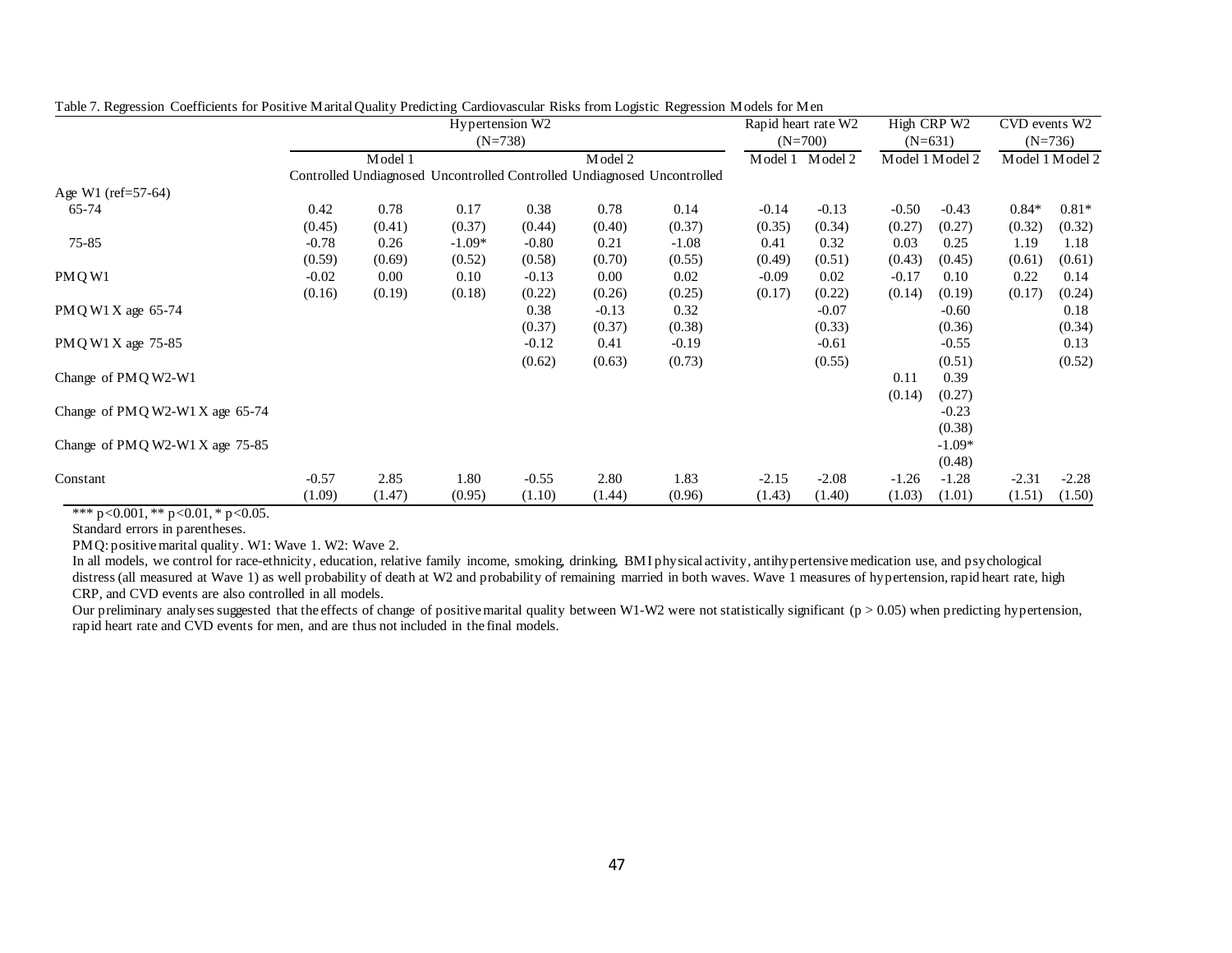|                                   | Hypertension W2<br>$(N=738)$ |         |          |         |         | Rapid heart rate W2<br>$(N=700)$                                        |         | High CRP W2<br>$(N=631)$ |         | CVD events W2<br>$(N=736)$ |         |                 |
|-----------------------------------|------------------------------|---------|----------|---------|---------|-------------------------------------------------------------------------|---------|--------------------------|---------|----------------------------|---------|-----------------|
|                                   |                              | Model 1 |          |         | Model 2 |                                                                         |         | Model 2                  |         | Model 1 Model 2            |         | Model 1 Model 2 |
|                                   |                              |         |          |         |         | Controlled Undiagnosed Uncontrolled Controlled Undiagnosed Uncontrolled |         |                          |         |                            |         |                 |
| Age W1 (ref=57-64)                |                              |         |          |         |         |                                                                         |         |                          |         |                            |         |                 |
| 65-74                             | 0.42                         | 0.78    | 0.17     | 0.38    | 0.78    | 0.14                                                                    | $-0.14$ | $-0.13$                  | $-0.50$ | $-0.43$                    | $0.84*$ | $0.81*$         |
|                                   | (0.45)                       | (0.41)  | (0.37)   | (0.44)  | (0.40)  | (0.37)                                                                  | (0.35)  | (0.34)                   | (0.27)  | (0.27)                     | (0.32)  | (0.32)          |
| $75 - 85$                         | $-0.78$                      | 0.26    | $-1.09*$ | $-0.80$ | 0.21    | $-1.08$                                                                 | 0.41    | 0.32                     | 0.03    | 0.25                       | 1.19    | 1.18            |
|                                   | (0.59)                       | (0.69)  | (0.52)   | (0.58)  | (0.70)  | (0.55)                                                                  | (0.49)  | (0.51)                   | (0.43)  | (0.45)                     | (0.61)  | (0.61)          |
| PMQ W1                            | $-0.02$                      | 0.00    | 0.10     | $-0.13$ | 0.00    | 0.02                                                                    | $-0.09$ | 0.02                     | $-0.17$ | 0.10                       | 0.22    | 0.14            |
|                                   | (0.16)                       | (0.19)  | (0.18)   | (0.22)  | (0.26)  | (0.25)                                                                  | (0.17)  | (0.22)                   | (0.14)  | (0.19)                     | (0.17)  | (0.24)          |
| PM Q W1 X age 65-74               |                              |         |          | 0.38    | $-0.13$ | 0.32                                                                    |         | $-0.07$                  |         | $-0.60$                    |         | 0.18            |
|                                   |                              |         |          | (0.37)  | (0.37)  | (0.38)                                                                  |         | (0.33)                   |         | (0.36)                     |         | (0.34)          |
| PM Q W1 X age 75-85               |                              |         |          | $-0.12$ | 0.41    | $-0.19$                                                                 |         | $-0.61$                  |         | $-0.55$                    |         | 0.13            |
|                                   |                              |         |          | (0.62)  | (0.63)  | (0.73)                                                                  |         | (0.55)                   |         | (0.51)                     |         | (0.52)          |
| Change of PMQ W2-W1               |                              |         |          |         |         |                                                                         |         |                          | 0.11    | 0.39                       |         |                 |
|                                   |                              |         |          |         |         |                                                                         |         |                          | (0.14)  | (0.27)                     |         |                 |
| Change of PMQ W2-W1 X age $65-74$ |                              |         |          |         |         |                                                                         |         |                          |         | $-0.23$                    |         |                 |
|                                   |                              |         |          |         |         |                                                                         |         |                          |         | (0.38)                     |         |                 |
| Change of PMQ W2-W1 X age $75-85$ |                              |         |          |         |         |                                                                         |         |                          |         | $-1.09*$                   |         |                 |
|                                   |                              |         |          |         |         |                                                                         |         |                          |         | (0.48)                     |         |                 |
| Constant                          | $-0.57$                      | 2.85    | 1.80     | $-0.55$ | 2.80    | 1.83                                                                    | $-2.15$ | $-2.08$                  | $-1.26$ | $-1.28$                    | $-2.31$ | $-2.28$         |
|                                   | (1.09)                       | (1.47)  | (0.95)   | (1.10)  | (1.44)  | (0.96)                                                                  | (1.43)  | (1.40)                   | (1.03)  | (1.01)                     | (1.51)  | (1.50)          |

|  |  |  |  |  | Table 7. Regression Coefficients for Positive Marital Quality Predicting Cardiovascular Risks from Logistic Regression Models for Men |
|--|--|--|--|--|---------------------------------------------------------------------------------------------------------------------------------------|
|  |  |  |  |  |                                                                                                                                       |
|  |  |  |  |  |                                                                                                                                       |
|  |  |  |  |  | . And the second contract of the second contract the contract of the second contract of the contract of the second                    |

\*\*\* p<0.001, \*\* p<0.01, \* p<0.05.

Standard errors in parentheses.

PMQ: positive marital quality. W1: Wave 1. W2: Wave 2.

In all models, we control for race-ethnicity, education, relative family income, smoking, drinking, BMI physical activity, antihypertensive medication use, and psychological distress (all measured at Wave 1) as well probability of death at W2 and probability of remaining married in both waves. Wave 1 measures of hypertension, rapid heart rate, high CRP, and CVD events are also controlled in all models.

Our preliminary analyses suggested that the effects of change of positive marital quality between W1-W2 were not statistically significant ( $p > 0.05$ ) when predicting hypertension, rapid heart rate and CVD events for men, and are thus not included in the final models.